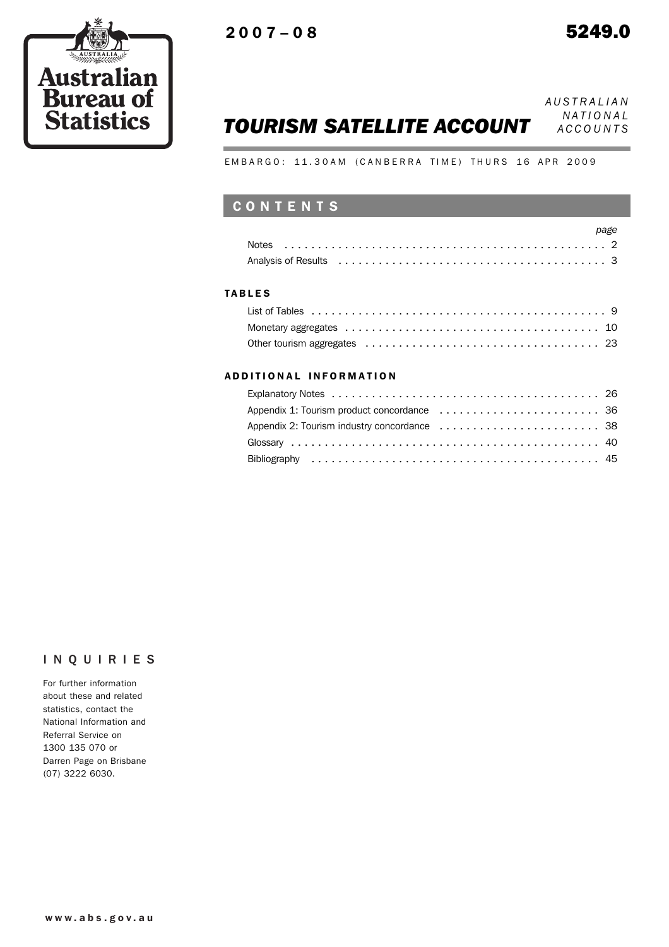

# *TOURISM SATELLITE ACCOUNT*

*AUSTRALIAN NATIONAL ACCOUNTS*

EMBARGO: 11.30AM (CANBERRA TIME) THURS 16 APR 2009

## CONTENTS

#### TABLES

#### ADD ITIONAL INFORMATION

### INQUIRIES

For further information about these and related statistics, contact the National Information and Referral Service on 1300 135 070 or Darren Page on Brisbane (07) 3222 6030.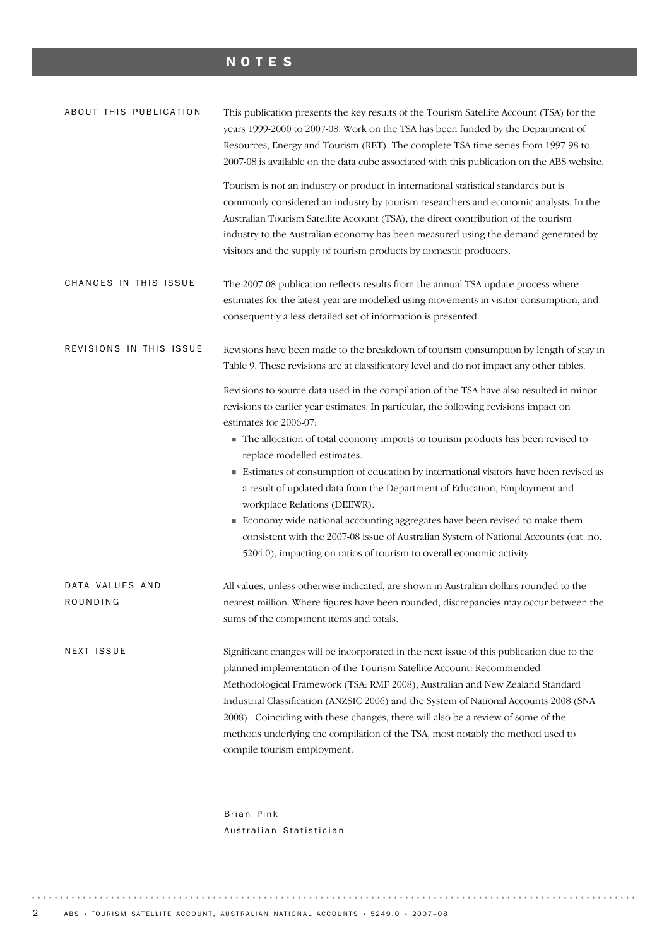## NOTES

| ABOUT THIS PUBLICATION      | This publication presents the key results of the Tourism Satellite Account (TSA) for the<br>years 1999-2000 to 2007-08. Work on the TSA has been funded by the Department of<br>Resources, Energy and Tourism (RET). The complete TSA time series from 1997-98 to<br>2007-08 is available on the data cube associated with this publication on the ABS website.                                                                                                                                                                                                                                                                                                                                                                                                                   |
|-----------------------------|-----------------------------------------------------------------------------------------------------------------------------------------------------------------------------------------------------------------------------------------------------------------------------------------------------------------------------------------------------------------------------------------------------------------------------------------------------------------------------------------------------------------------------------------------------------------------------------------------------------------------------------------------------------------------------------------------------------------------------------------------------------------------------------|
|                             | Tourism is not an industry or product in international statistical standards but is<br>commonly considered an industry by tourism researchers and economic analysts. In the<br>Australian Tourism Satellite Account (TSA), the direct contribution of the tourism<br>industry to the Australian economy has been measured using the demand generated by<br>visitors and the supply of tourism products by domestic producers.                                                                                                                                                                                                                                                                                                                                                     |
| CHANGES IN THIS ISSUE       | The 2007-08 publication reflects results from the annual TSA update process where<br>estimates for the latest year are modelled using movements in visitor consumption, and<br>consequently a less detailed set of information is presented.                                                                                                                                                                                                                                                                                                                                                                                                                                                                                                                                      |
| REVISIONS IN THIS ISSUE     | Revisions have been made to the breakdown of tourism consumption by length of stay in<br>Table 9. These revisions are at classificatory level and do not impact any other tables.                                                                                                                                                                                                                                                                                                                                                                                                                                                                                                                                                                                                 |
|                             | Revisions to source data used in the compilation of the TSA have also resulted in minor<br>revisions to earlier year estimates. In particular, the following revisions impact on<br>estimates for 2006-07:<br>The allocation of total economy imports to tourism products has been revised to<br>replace modelled estimates.<br>Estimates of consumption of education by international visitors have been revised as<br>a result of updated data from the Department of Education, Employment and<br>workplace Relations (DEEWR).<br>Economy wide national accounting aggregates have been revised to make them<br>consistent with the 2007-08 issue of Australian System of National Accounts (cat. no.<br>5204.0), impacting on ratios of tourism to overall economic activity. |
| DATA VALUES AND<br>ROUNDING | All values, unless otherwise indicated, are shown in Australian dollars rounded to the<br>nearest million. Where figures have been rounded, discrepancies may occur between the<br>sums of the component items and totals.                                                                                                                                                                                                                                                                                                                                                                                                                                                                                                                                                        |
| NEXT ISSUE                  | Significant changes will be incorporated in the next issue of this publication due to the<br>planned implementation of the Tourism Satellite Account: Recommended<br>Methodological Framework (TSA: RMF 2008), Australian and New Zealand Standard<br>Industrial Classification (ANZSIC 2006) and the System of National Accounts 2008 (SNA<br>2008). Coinciding with these changes, there will also be a review of some of the<br>methods underlying the compilation of the TSA, most notably the method used to<br>compile tourism employment.                                                                                                                                                                                                                                  |

Brian Pink Australian Statistician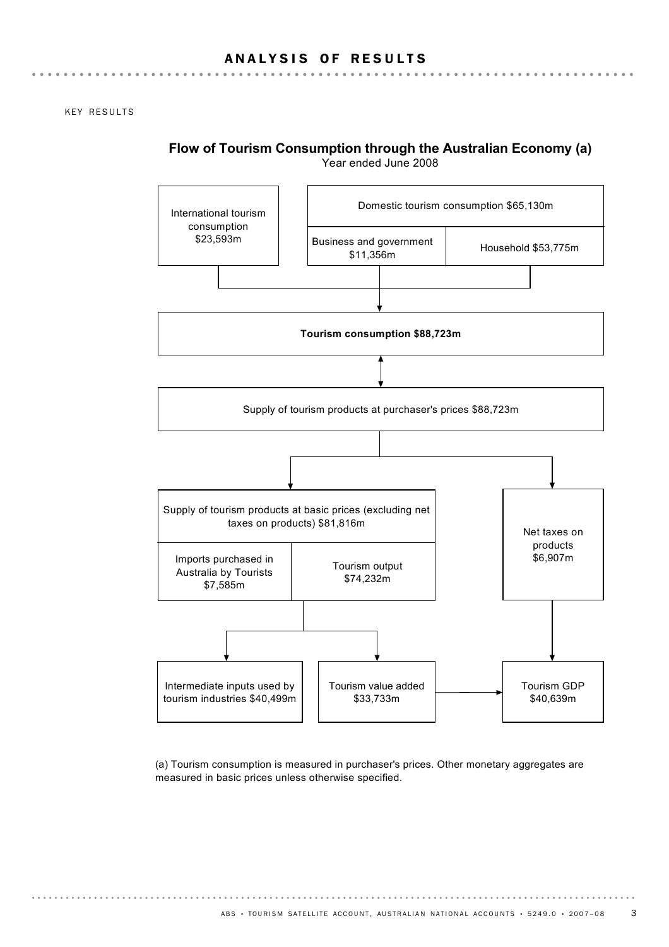KEY RESULTS



**Flow of Tourism Consumption through the Australian Economy (a)**

(a) Tourism consumption is measured in purchaser's prices. Other monetary aggregates are measured in basic prices unless otherwise specified.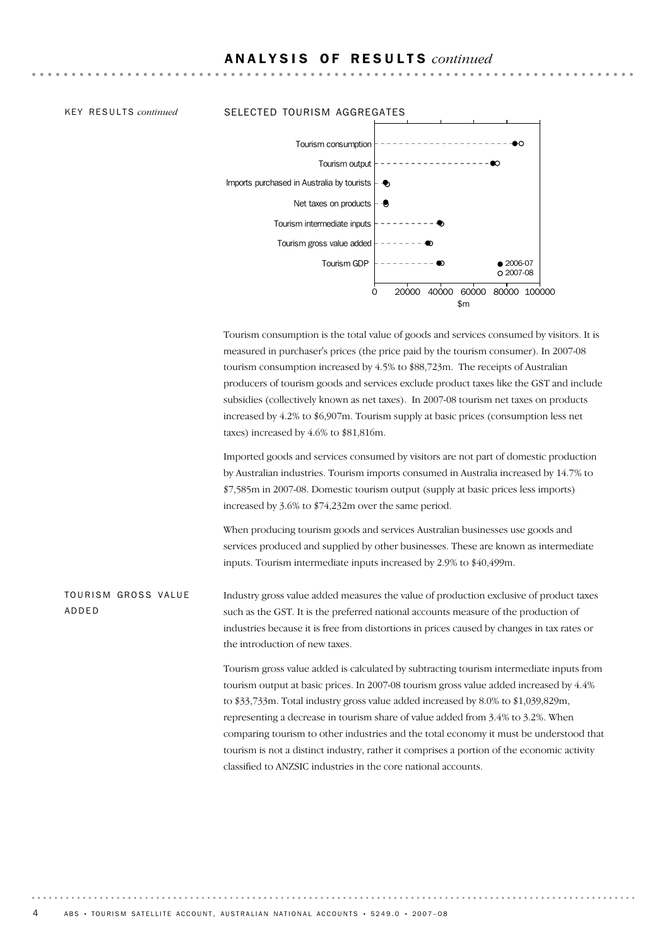#### KEY RESULTS *continued* SELECTED TOURISM AGGREGATES



Tourism consumption is the total value of goods and services consumed by visitors. It is measured in purchaser's prices (the price paid by the tourism consumer). In 2007-08 tourism consumption increased by 4.5% to \$88,723m. The receipts of Australian producers of tourism goods and services exclude product taxes like the GST and include subsidies (collectively known as net taxes). In 2007-08 tourism net taxes on products increased by 4.2% to \$6,907m. Tourism supply at basic prices (consumption less net taxes) increased by 4.6% to \$81,816m.

Imported goods and services consumed by visitors are not part of domestic production by Australian industries. Tourism imports consumed in Australia increased by 14.7% to \$7,585m in 2007-08. Domestic tourism output (supply at basic prices less imports) increased by 3.6% to \$74,232m over the same period.

When producing tourism goods and services Australian businesses use goods and services produced and supplied by other businesses. These are known as intermediate inputs. Tourism intermediate inputs increased by 2.9% to \$40,499m.

Industry gross value added measures the value of production exclusive of product taxes such as the GST. It is the preferred national accounts measure of the production of industries because it is free from distortions in prices caused by changes in tax rates or the introduction of new taxes. TOURISM GROSS VALUE ADDED

> Tourism gross value added is calculated by subtracting tourism intermediate inputs from tourism output at basic prices. In 2007-08 tourism gross value added increased by 4.4% to \$33,733m. Total industry gross value added increased by 8.0% to \$1,039,829m, representing a decrease in tourism share of value added from 3.4% to 3.2%. When comparing tourism to other industries and the total economy it must be understood that tourism is not a distinct industry, rather it comprises a portion of the economic activity classified to ANZSIC industries in the core national accounts.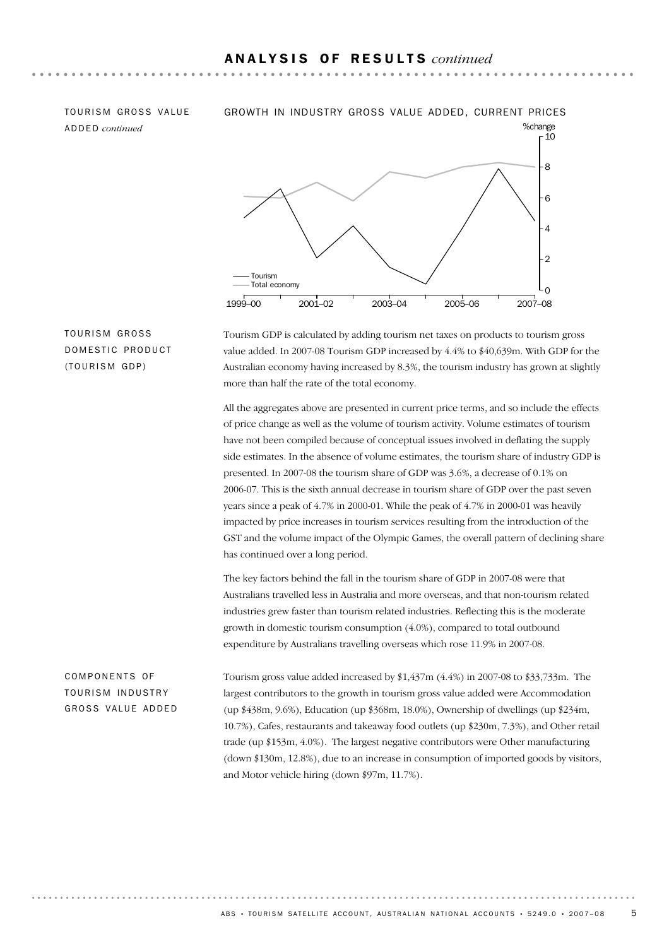ADDED *continued*

#### TOURISM GROSS VALUE GROWTH IN INDUSTRY GROSS VALUE ADDED, CURRENT PRICES



TOURISM GROSS DOMESTIC PRODUCT (TOURISM GDP)

Tourism GDP is calculated by adding tourism net taxes on products to tourism gross value added. In 2007-08 Tourism GDP increased by 4.4% to \$40,639m. With GDP for the Australian economy having increased by 8.3%, the tourism industry has grown at slightly more than half the rate of the total economy.

All the aggregates above are presented in current price terms, and so include the effects of price change as well as the volume of tourism activity. Volume estimates of tourism have not been compiled because of conceptual issues involved in deflating the supply side estimates. In the absence of volume estimates, the tourism share of industry GDP is presented. In 2007-08 the tourism share of GDP was 3.6%, a decrease of 0.1% on 2006-07. This is the sixth annual decrease in tourism share of GDP over the past seven years since a peak of 4.7% in 2000-01. While the peak of 4.7% in 2000-01 was heavily impacted by price increases in tourism services resulting from the introduction of the GST and the volume impact of the Olympic Games, the overall pattern of declining share has continued over a long period.

The key factors behind the fall in the tourism share of GDP in 2007-08 were that Australians travelled less in Australia and more overseas, and that non-tourism related industries grew faster than tourism related industries. Reflecting this is the moderate growth in domestic tourism consumption (4.0%), compared to total outbound expenditure by Australians travelling overseas which rose 11.9% in 2007-08.

COMPONENTS OF TOURISM INDUSTRY GROSS VALUE ADDED Tourism gross value added increased by \$1,437m (4.4%) in 2007-08 to \$33,733m. The largest contributors to the growth in tourism gross value added were Accommodation (up \$438m, 9.6%), Education (up \$368m, 18.0%), Ownership of dwellings (up \$234m, 10.7%), Cafes, restaurants and takeaway food outlets (up \$230m, 7.3%), and Other retail trade (up \$153m, 4.0%). The largest negative contributors were Other manufacturing (down \$130m, 12.8%), due to an increase in consumption of imported goods by visitors, and Motor vehicle hiring (down \$97m, 11.7%).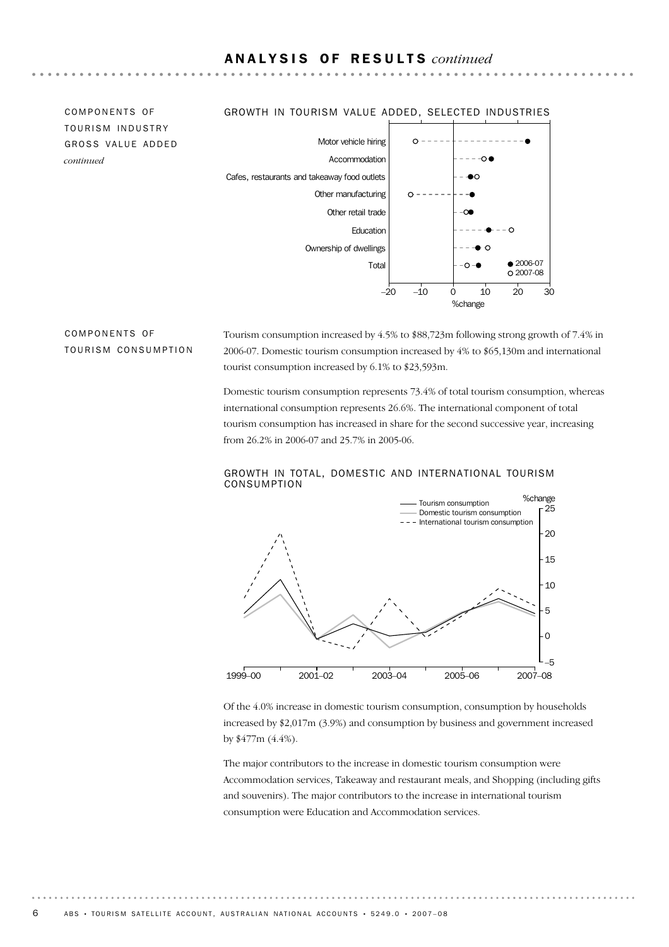TOURISM INDUSTRY GROSS VALUE ADDED *continued*

#### COMPONENTS OF GROWTH IN TOURISM VALUE ADDED, SELECTED INDUSTRIES



#### COMPONENTS OF TOURISM CONSUMPTION

Tourism consumption increased by 4.5% to \$88,723m following strong growth of 7.4% in 2006-07. Domestic tourism consumption increased by 4% to \$65,130m and international tourist consumption increased by 6.1% to \$23,593m.

Domestic tourism consumption represents 73.4% of total tourism consumption, whereas international consumption represents 26.6%. The international component of total tourism consumption has increased in share for the second successive year, increasing from 26.2% in 2006-07 and 25.7% in 2005-06.



#### GROWTH IN TOTAL, DOMESTIC AND INTERNATIONAL TOURISM CONSUMPTION

Of the 4.0% increase in domestic tourism consumption, consumption by households increased by \$2,017m (3.9%) and consumption by business and government increased by \$477m (4.4%).

The major contributors to the increase in domestic tourism consumption were Accommodation services, Takeaway and restaurant meals, and Shopping (including gifts and souvenirs). The major contributors to the increase in international tourism consumption were Education and Accommodation services.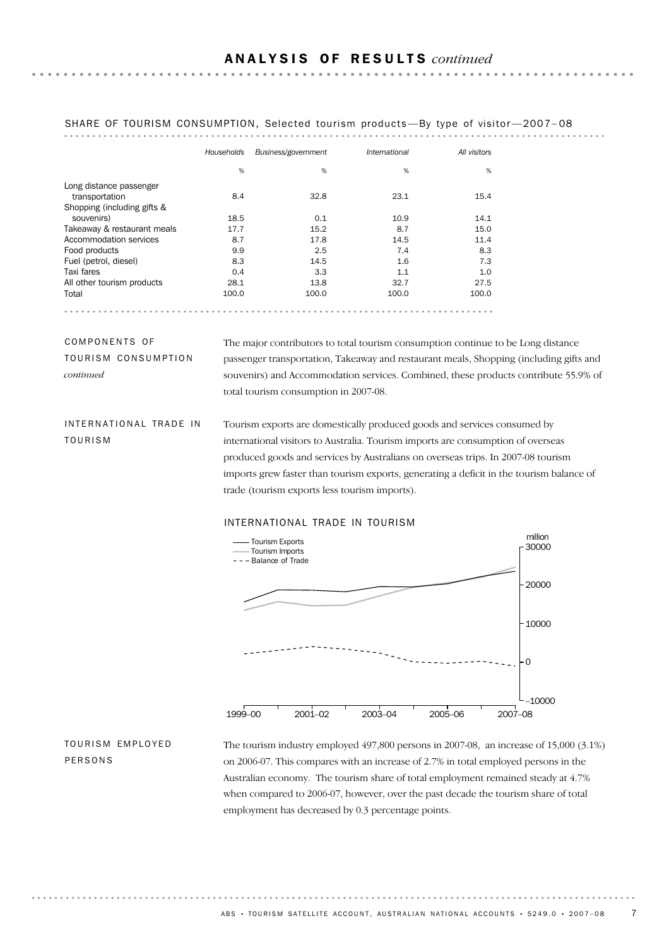|                             | Households | Business/government | International | All visitors |
|-----------------------------|------------|---------------------|---------------|--------------|
|                             | %          | %                   | %             | %            |
| Long distance passenger     |            |                     |               |              |
| transportation              | 8.4        | 32.8                | 23.1          | 15.4         |
| Shopping (including gifts & |            |                     |               |              |
| souvenirs)                  | 18.5       | 0.1                 | 10.9          | 14.1         |
| Takeaway & restaurant meals | 17.7       | 15.2                | 8.7           | 15.0         |
| Accommodation services      | 8.7        | 17.8                | 14.5          | 11.4         |
| Food products               | 9.9        | 2.5                 | 7.4           | 8.3          |
| Fuel (petrol, diesel)       | 8.3        | 14.5                | 1.6           | 7.3          |
| Taxi fares                  | 0.4        | 3.3                 | 1.1           | 1.0          |
| All other tourism products  | 28.1       | 13.8                | 32.7          | 27.5         |
| Total                       | 100.0      | 100.0               | 100.0         | 100.0        |

### SHARE OF TOURISM CONSUMPTION, Selected tourism products-By type of visitor-2007-08

COMPONENTS OF TOURISM CONSUMPTION *continued*

The major contributors to total tourism consumption continue to be Long distance passenger transportation, Takeaway and restaurant meals, Shopping (including gifts and souvenirs) and Accommodation services. Combined, these products contribute 55.9% of total tourism consumption in 2007-08.

INTERNATIONAL TRADE IN TOURISM

Tourism exports are domestically produced goods and services consumed by international visitors to Australia. Tourism imports are consumption of overseas produced goods and services by Australians on overseas trips. In 2007-08 tourism imports grew faster than tourism exports, generating a deficit in the tourism balance of trade (tourism exports less tourism imports).

### INTERNATIONAL TRADE IN TOURISM



TOURISM EMPLOYED PERSONS

The tourism industry employed 497,800 persons in 2007-08, an increase of 15,000 (3.1%) on 2006-07. This compares with an increase of 2.7% in total employed persons in the Australian economy. The tourism share of total employment remained steady at 4.7% when compared to 2006-07, however, over the past decade the tourism share of total employment has decreased by 0.3 percentage points.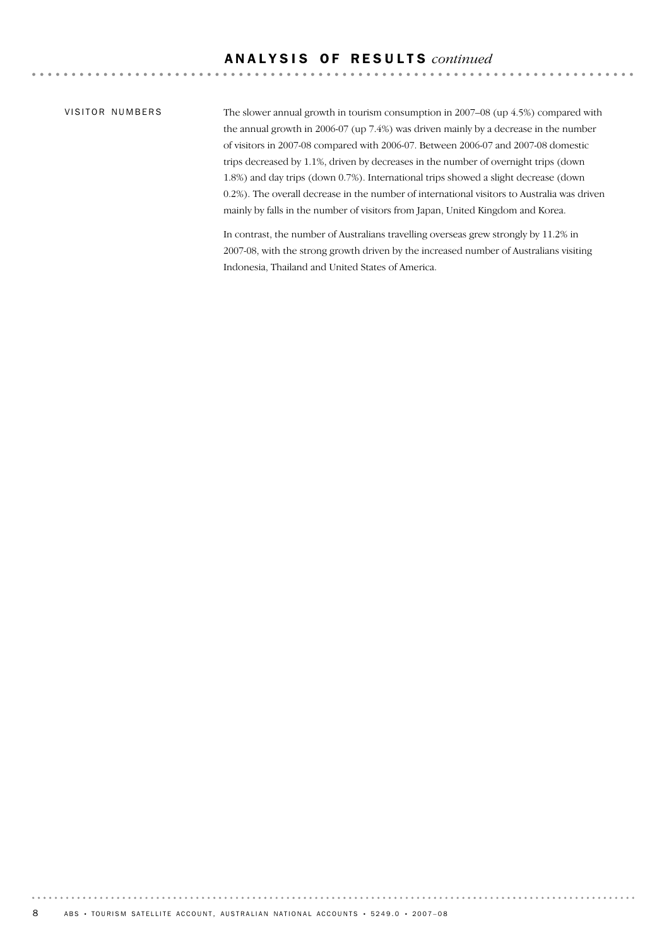#### A N A L Y S I S O F R E S U L T S *continued*

#### VISITOR NUMBERS

The slower annual growth in tourism consumption in 2007–08 (up 4.5%) compared with the annual growth in 2006-07 (up 7.4%) was driven mainly by a decrease in the number of visitors in 2007-08 compared with 2006-07. Between 2006-07 and 2007-08 domestic trips decreased by 1.1%, driven by decreases in the number of overnight trips (down 1.8%) and day trips (down 0.7%). International trips showed a slight decrease (down 0.2%). The overall decrease in the number of international visitors to Australia was driven mainly by falls in the number of visitors from Japan, United Kingdom and Korea.

In contrast, the number of Australians travelling overseas grew strongly by 11.2% in 2007-08, with the strong growth driven by the increased number of Australians visiting Indonesia, Thailand and United States of America.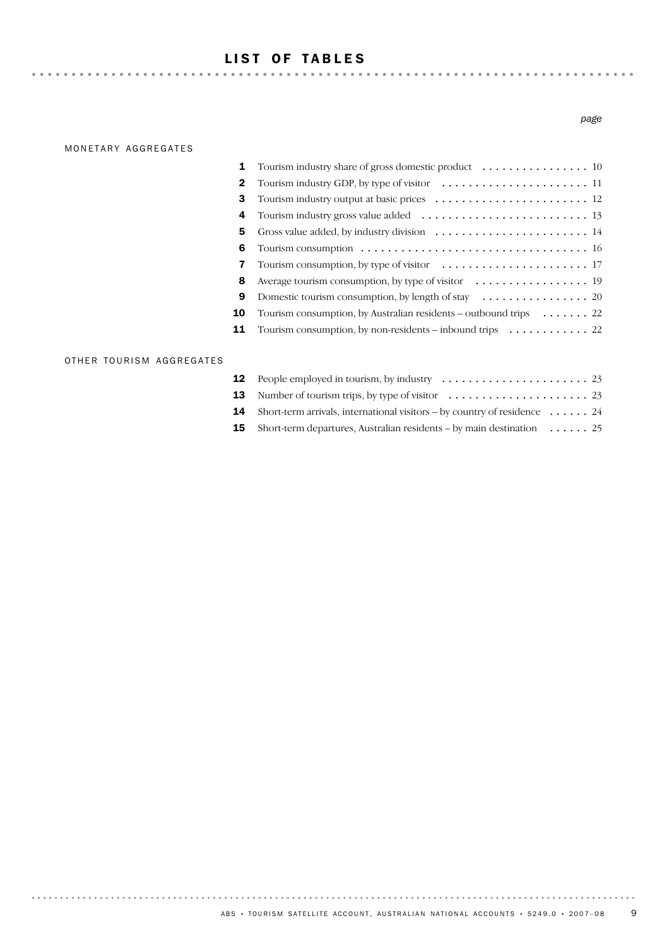## LIST OF TABLES

#### MONETARY AGGREGATES

#### *page*

| 1            | Tourism industry share of gross domestic product $\dots \dots \dots \dots \dots \dots \dots$                 |
|--------------|--------------------------------------------------------------------------------------------------------------|
| $\mathbf{2}$ |                                                                                                              |
| 3            |                                                                                                              |
| 4            |                                                                                                              |
| 5            | Gross value added, by industry division $\dots \dots \dots \dots \dots \dots \dots \dots \dots$              |
| 6            | Tourism consumption $\ldots \ldots \ldots \ldots \ldots \ldots \ldots \ldots \ldots \ldots \ldots \ldots$ 16 |
| 7            |                                                                                                              |
| 8            | Average tourism consumption, by type of visitor $\dots \dots \dots \dots \dots \dots$                        |
| 9            | Domestic tourism consumption, by length of stay $\dots \dots \dots \dots \dots \dots$ 20                     |
| 10           | Tourism consumption, by Australian residents – outbound trips $\dots \dots$ 22                               |
| 11           | Tourism consumption, by non-residents – inbound trips $\dots \dots \dots \dots$ 22                           |
|              |                                                                                                              |

#### OTHER TOURISM AGGREGATES

| <b>13</b> Number of tourism trips, by type of visitor $\dots \dots \dots \dots \dots \dots \dots \dots$ 23 |
|------------------------------------------------------------------------------------------------------------|
| <b>14</b> Short-term arrivals, international visitors – by country of residence $\dots \dots$ 24           |
| <b>15</b> Short-term departures, Australian residents – by main destination $\dots \dots$ 25               |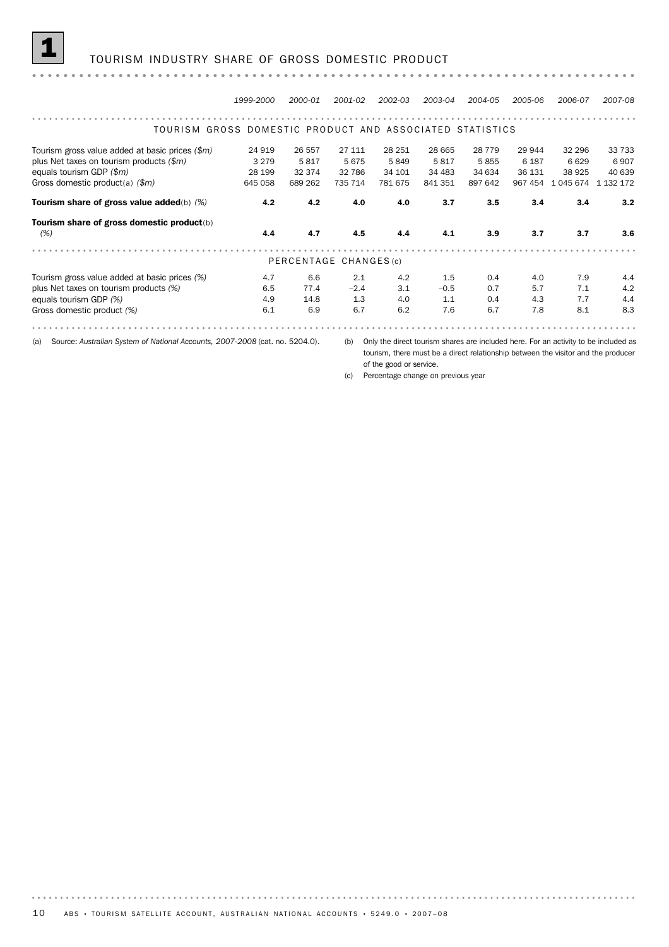#### 1 TOURISM INDUSTRY SHARE OF GROSS DOMESTIC PRODUCT

#### *1999-2000 2000-01 2001-02 2002-03 2003-04 2004-05 2005-06 2006-07 2007-08* TOURISM GROSS DOMESTIC PRODUCT AND ASSOCIATED STATISTICS Tourism gross value added at basic prices *(\$m)* 24 919 26 557 27 111 28 251 28 665 28 779 29 944 32 296 33 733 plus Net taxes on tourism products (\$*m*)  $3\ 279$  5 817 5 675 5 849 5 817 5 855 6 187 6 629 6 907<br>equals tourism GDP (\$*m*)  $28\ 199$  32 374 32 786 34 101 34 483 34 634 36 131 38 925 40 639 equals tourism GDP *(\$m)* 28 199 32 374 32 786 34 101 34 483 34 634 36 131 38 925 40 639 Gross domestic product(a) *(\$m)* 645 058 689 262 735 714 781 675 841 351 897 642 967 454 1 045 674 1 132 172 Tourism share of gross value added(b) *(%)* 4.2 4.2 4.0 4.0 3.7 3.5 3.4 3.4 3.2 Tourism share of gross domestic product(b) *(%)* 4.4 4.7 4.5 4.4 4.1 3.9 3.7 3.7 3.6 PERCENTAGE CHANGES (c) Tourism gross value added at basic prices *(%)* 4.7 6.6 2.1 4.2 1.5 0.4 4.0 7.9 4.4 plus Net taxes on tourism products *(%)* 6.5 77.4 –2.4 3.1 –0.5 0.7 5.7 7.1 4.2 equals tourism GDP *(%)* 4.9 14.8 1.3 4.0 1.1 0.4 4.3 7.7 4.4 Gross domestic product *(%)* 6.1 6.9 6.7 6.2 7.6 6.7 7.8 8.1 8.3

(a) Source: *Australian System of National Accounts, 2007-2008* (cat. no. 5204.0).

(b) Only the direct tourism shares are included here. For an activity to be included as tourism, there must be a direct relationship between the visitor and the producer of the good or service.

(c) Percentage change on previous year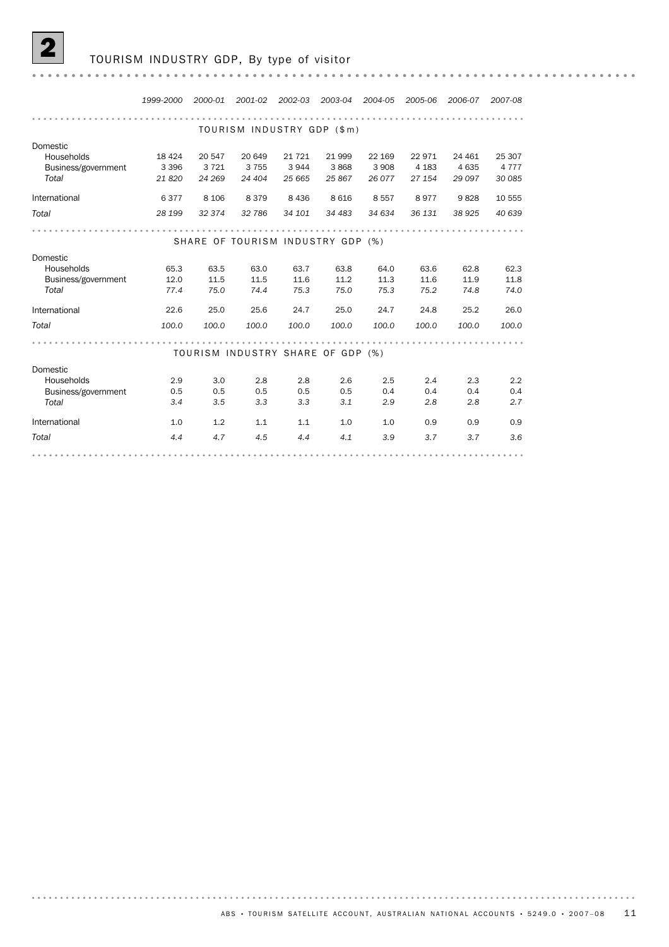

#### TOURISM INDUSTRY GDP, By type of visitor

. . . . . . . . . . . . . . . . . . .

*1999-2000 2000-01 2001-02 2002-03 2003-04 2004-05 2005-06 2006-07 2007-08* TOURISM INDUSTRY GDP (\$m) Domestic Households 18 424 20 547 20 649 21 721 21 999 22 169 22 971 24 461 25 307 Business/government 3 396 3 721 3 755 3 944 3 868 3 908 4 183 4 635 4 777 *Total 21 820 24 269 24 404 25 665 25 867 26 077 27 154 29 097 30 085* International 6 377 8 106 8 379 8 436 8 616 8 557 8 977 9 828 10 555 *Total 28 199 32 374 32 786 34 101 34 483 34 634 36 131 38 925 40 639* SHARE OF TOURISM INDUSTRY GDP (%) Domestic Households 65.3 63.5 63.0 63.7 63.8 64.0 63.6 62.8 62.3 Business/government 12.0 11.5 11.5 11.6 11.2 11.3 11.6 11.9 11.8<br>
Total 57.4 75.0 74.4 75.3 75.0 75.3 75.2 74.8 74.0 *Total 77.4 75.0 74.4 75.3 75.0 75.3 75.2 74.8 74.0* International 22.6 25.0 25.6 24.7 25.0 24.7 24.8 25.2 26.0 *Total 100.0 100.0 100.0 100.0 100.0 100.0 100.0 100.0 100.0* TOURISM INDUSTRY SHARE OF GDP (%) Domestic Households 2.9 3.0 2.8 2.8 2.6 2.5 2.4 2.3 2.2 Business/government 0.5 0.5 0.5 0.5 0.5 0.4 0.4 0.4 0.4 *Total 3.4 3.5 3.3 3.3 3.1 2.9 2.8 2.8 2.7* International 1.0 1.2 1.1 1.1 1.0 1.0 0.9 0.9 0.9 *Total 4.4 4.7 4.5 4.4 4.1 3.9 3.7 3.7 3.6*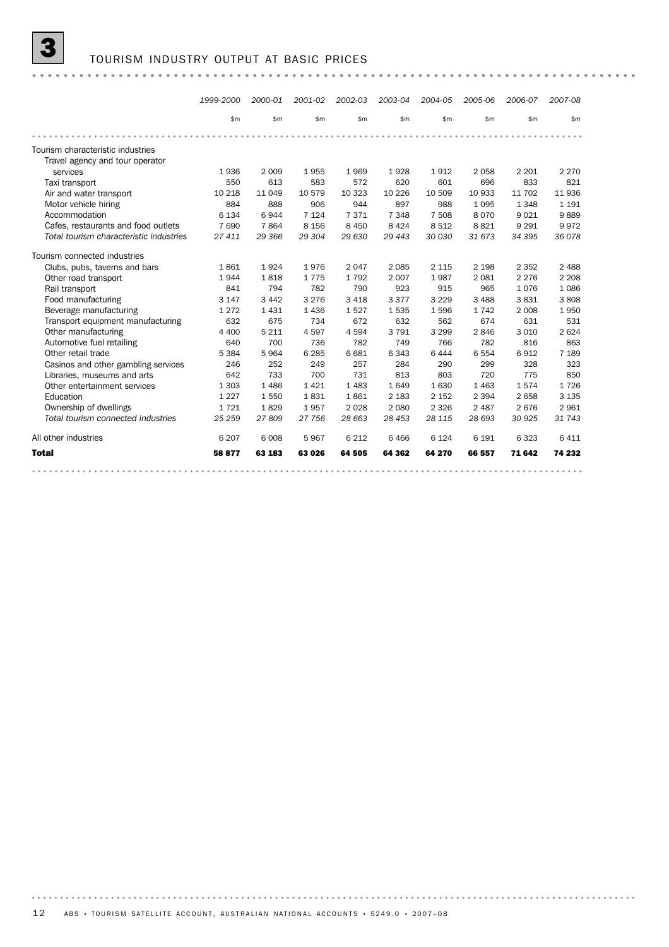#### 3 TOURISM INDUSTRY OUTPUT AT BASIC PRICES

|                                         | 1999-2000 | 2000-01 | 2001-02 | 2002-03 | 2003-04 | 2004-05 | 2005-06 | 2006-07 | 2007-08 |
|-----------------------------------------|-----------|---------|---------|---------|---------|---------|---------|---------|---------|
|                                         | \$m       | \$m     | \$m\$   | \$m     | \$m     | \$m     | \$m     | \$m     | \$m     |
|                                         |           |         |         |         |         |         |         |         |         |
| Tourism characteristic industries       |           |         |         |         |         |         |         |         |         |
| Travel agency and tour operator         |           |         |         |         |         |         |         |         |         |
| services                                | 1936      | 2 0 0 9 | 1955    | 1969    | 1928    | 1912    | 2058    | 2 2 0 1 | 2 2 7 0 |
| Taxi transport                          | 550       | 613     | 583     | 572     | 620     | 601     | 696     | 833     | 821     |
| Air and water transport                 | 10 218    | 11 049  | 10 579  | 10 323  | 10 2 26 | 10 509  | 10 933  | 11 702  | 11 936  |
| Motor vehicle hiring                    | 884       | 888     | 906     | 944     | 897     | 988     | 1 0 9 5 | 1348    | 1 1 9 1 |
| Accommodation                           | 6 1 3 4   | 6944    | 7 1 2 4 | 7371    | 7 3 4 8 | 7 508   | 8 0 7 0 | 9021    | 9889    |
| Cafes, restaurants and food outlets     | 7 6 9 0   | 7864    | 8 1 5 6 | 8 4 5 0 | 8 4 2 4 | 8512    | 8821    | 9 2 9 1 | 9972    |
| Total tourism characteristic industries | 27 411    | 29 366  | 29 304  | 29 630  | 29 4 43 | 30 030  | 31 673  | 34 395  | 36 0 78 |
| Tourism connected industries            |           |         |         |         |         |         |         |         |         |
| Clubs, pubs, taverns and bars           | 1861      | 1924    | 1976    | 2 0 4 7 | 2 0 8 5 | 2 1 1 5 | 2 1 9 8 | 2 3 5 2 | 2 4 8 8 |
| Other road transport                    | 1944      | 1818    | 1775    | 1792    | 2 0 0 7 | 1987    | 2 0 8 1 | 2 2 7 6 | 2 2 0 8 |
| Rail transport                          | 841       | 794     | 782     | 790     | 923     | 915     | 965     | 1076    | 1086    |
| Food manufacturing                      | 3 1 4 7   | 3 4 4 2 | 3 2 7 6 | 3 4 1 8 | 3 3 7 7 | 3 2 2 9 | 3 4 8 8 | 3831    | 3808    |
| Beverage manufacturing                  | 1 2 7 2   | 1431    | 1436    | 1527    | 1535    | 1596    | 1742    | 2 0 0 8 | 1950    |
| Transport equipment manufacturing       | 632       | 675     | 734     | 672     | 632     | 562     | 674     | 631     | 531     |
| Other manufacturing                     | 4 4 0 0   | 5 2 1 1 | 4597    | 4594    | 3791    | 3 2 9 9 | 2846    | 3 0 1 0 | 2624    |
| Automotive fuel retailing               | 640       | 700     | 736     | 782     | 749     | 766     | 782     | 816     | 863     |
| Other retail trade                      | 5 3 8 4   | 5964    | 6 2 8 5 | 6 6 8 1 | 6343    | 6444    | 6 5 5 4 | 6912    | 7 1 8 9 |
| Casinos and other gambling services     | 246       | 252     | 249     | 257     | 284     | 290     | 299     | 328     | 323     |
| Libraries, museums and arts             | 642       | 733     | 700     | 731     | 813     | 803     | 720     | 775     | 850     |
| Other entertainment services            | 1 3 0 3   | 1486    | 1421    | 1 4 8 3 | 1649    | 1630    | 1 4 6 3 | 1574    | 1726    |
| Education                               | 1 2 2 7   | 1550    | 1831    | 1861    | 2 1 8 3 | 2 1 5 2 | 2 3 9 4 | 2658    | 3 1 3 5 |
| Ownership of dwellings                  | 1721      | 1829    | 1957    | 2 0 2 8 | 2 0 8 0 | 2 3 2 6 | 2 4 8 7 | 2676    | 2961    |
| Total tourism connected industries      | 25 25 9   | 27809   | 27 756  | 28 663  | 28 453  | 28 1 15 | 28 693  | 30 925  | 31 743  |
| All other industries                    | 6 2 0 7   | 6 0 0 8 | 5967    | 6 2 1 2 | 6466    | 6 1 2 4 | 6 1 9 1 | 6323    | 6 4 1 1 |
| <b>Total</b>                            | 58 877    | 63 183  | 63 026  | 64 505  | 64 362  | 64 270  | 66 557  | 71 642  | 74 232  |
|                                         |           |         |         |         |         |         |         |         |         |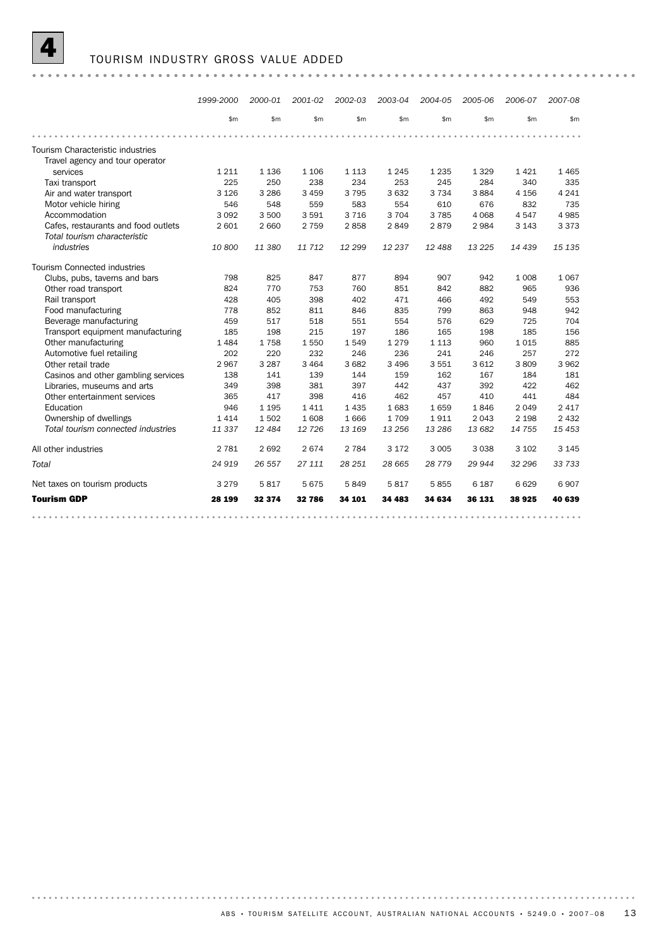

#### 4 TOURISM INDUSTRY GROSS VALUE ADDED

|                                                                      | 1999-2000 | 2000-01 | 2001-02 | 2002-03 | 2003-04 | 2004-05 | 2005-06 | 2006-07 | 2007-08 |
|----------------------------------------------------------------------|-----------|---------|---------|---------|---------|---------|---------|---------|---------|
|                                                                      | \$m       | \$m\$   | \$m\$   | \$m\$   | \$m     | \$m\$   | \$m\$   | \$m     | \$m     |
|                                                                      |           |         |         |         |         |         |         |         |         |
| Tourism Characteristic industries<br>Travel agency and tour operator |           |         |         |         |         |         |         |         |         |
| services                                                             | 1 2 1 1   | 1 1 3 6 | 1 1 0 6 | 1 1 1 3 | 1 2 4 5 | 1 2 3 5 | 1 3 2 9 | 1421    | 1465    |
| Taxi transport                                                       | 225       | 250     | 238     | 234     | 253     | 245     | 284     | 340     | 335     |
| Air and water transport                                              | 3 1 2 6   | 3 2 8 6 | 3 4 5 9 | 3795    | 3 6 3 2 | 3 7 3 4 | 3884    | 4 1 5 6 | 4 2 4 1 |
| Motor vehicle hiring                                                 | 546       | 548     | 559     | 583     | 554     | 610     | 676     | 832     | 735     |
| Accommodation                                                        | 3 0 9 2   | 3 500   | 3591    | 3 7 1 6 | 3 7 0 4 | 3785    | 4 0 6 8 | 4 5 4 7 | 4985    |
| Cafes, restaurants and food outlets                                  | 2 601     | 2 6 6 0 | 2 7 5 9 | 2858    | 2849    | 2879    | 2984    | 3 1 4 3 | 3 3 7 3 |
| Total tourism characteristic                                         |           |         |         |         |         |         |         |         |         |
| industries                                                           | 10800     | 11 380  | 11 712  | 12 299  | 12 237  | 12488   | 13 2 25 | 14 439  | 15 135  |
| <b>Tourism Connected industries</b>                                  |           |         |         |         |         |         |         |         |         |
| Clubs, pubs, taverns and bars                                        | 798       | 825     | 847     | 877     | 894     | 907     | 942     | 1 0 0 8 | 1067    |
| Other road transport                                                 | 824       | 770     | 753     | 760     | 851     | 842     | 882     | 965     | 936     |
| Rail transport                                                       | 428       | 405     | 398     | 402     | 471     | 466     | 492     | 549     | 553     |
| Food manufacturing                                                   | 778       | 852     | 811     | 846     | 835     | 799     | 863     | 948     | 942     |
| Beverage manufacturing                                               | 459       | 517     | 518     | 551     | 554     | 576     | 629     | 725     | 704     |
| Transport equipment manufacturing                                    | 185       | 198     | 215     | 197     | 186     | 165     | 198     | 185     | 156     |
| Other manufacturing                                                  | 1484      | 1758    | 1550    | 1549    | 1 2 7 9 | 1 1 1 3 | 960     | 1 0 1 5 | 885     |
| Automotive fuel retailing                                            | 202       | 220     | 232     | 246     | 236     | 241     | 246     | 257     | 272     |
| Other retail trade                                                   | 2967      | 3 2 8 7 | 3 4 6 4 | 3682    | 3 4 9 6 | 3551    | 3612    | 3809    | 3 9 6 2 |
| Casinos and other gambling services                                  | 138       | 141     | 139     | 144     | 159     | 162     | 167     | 184     | 181     |
| Libraries, museums and arts                                          | 349       | 398     | 381     | 397     | 442     | 437     | 392     | 422     | 462     |
| Other entertainment services                                         | 365       | 417     | 398     | 416     | 462     | 457     | 410     | 441     | 484     |
| Education                                                            | 946       | 1 1 9 5 | 1411    | 1 4 3 5 | 1683    | 1659    | 1846    | 2 0 4 9 | 2417    |
| Ownership of dwellings                                               | 1414      | 1502    | 1608    | 1666    | 1709    | 1911    | 2 0 4 3 | 2 1 9 8 | 2 4 3 2 |
| Total tourism connected industries                                   | 11337     | 12484   | 12 7 26 | 13 169  | 13 25 6 | 13 28 6 | 13 682  | 14 7 55 | 15 4 53 |
| All other industries                                                 | 2 7 8 1   | 2692    | 2674    | 2 7 8 4 | 3 1 7 2 | 3 0 0 5 | 3 0 3 8 | 3 1 0 2 | 3 1 4 5 |
| Total                                                                | 24 919    | 26 557  | 27 111  | 28 251  | 28 665  | 28 7 79 | 29 944  | 32 296  | 33 733  |
| Net taxes on tourism products                                        | 3 2 7 9   | 5817    | 5675    | 5849    | 5817    | 5855    | 6 187   | 6629    | 6907    |
| <b>Tourism GDP</b>                                                   | 28 199    | 32 374  | 32786   | 34 101  | 34 483  | 34 634  | 36 131  | 38 925  | 40 639  |
|                                                                      |           |         |         |         |         |         |         |         |         |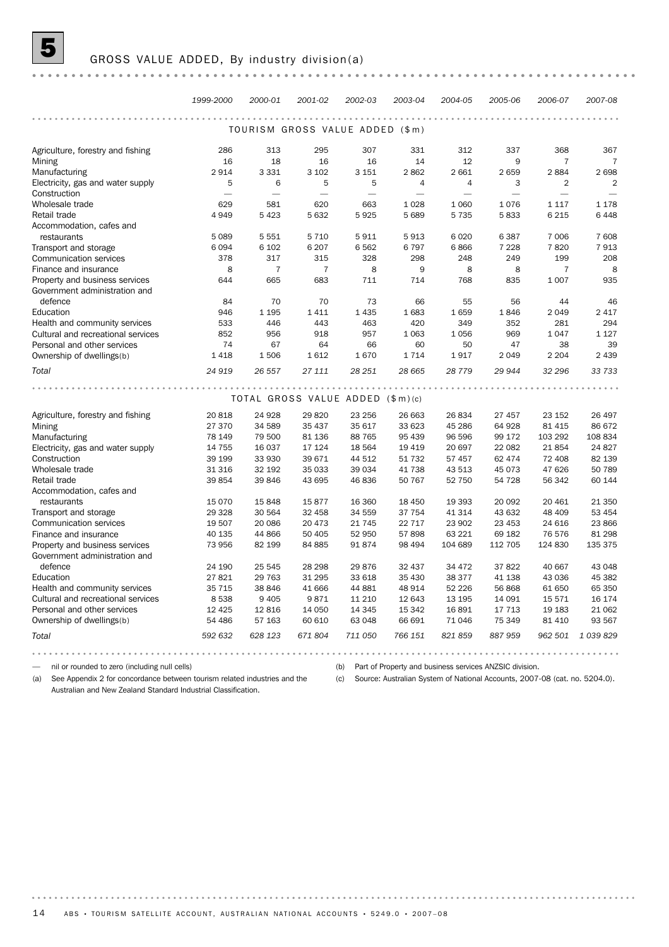|                                    | 1999-2000 | 2000-01        | 2001-02                          | 2002-03  | 2003-04        | 2004-05        | 2005-06                  | 2006-07        | 2007-08        |  |  |  |
|------------------------------------|-----------|----------------|----------------------------------|----------|----------------|----------------|--------------------------|----------------|----------------|--|--|--|
|                                    |           |                |                                  |          |                |                |                          |                |                |  |  |  |
| TOURISM GROSS VALUE ADDED (\$m)    |           |                |                                  |          |                |                |                          |                |                |  |  |  |
| Agriculture, forestry and fishing  | 286       | 313            | 295                              | 307      | 331            | 312            | 337                      | 368            | 367            |  |  |  |
| Mining                             | 16        | 18             | 16                               | 16       | 14             | 12             | 9                        | 7              | 7              |  |  |  |
| Manufacturing                      | 2914      | 3 3 3 1        | 3 1 0 2                          | 3 1 5 1  | 2862           | 2 6 6 1        | 2 659                    | 2884           | 2 6 9 8        |  |  |  |
| Electricity, gas and water supply  | 5         | 6              | 5                                | 5        | $\overline{4}$ | $\overline{4}$ | 3                        | $\overline{2}$ | $\overline{2}$ |  |  |  |
| Construction                       |           |                | $\overline{\phantom{0}}$         |          |                |                | $\overline{\phantom{0}}$ |                |                |  |  |  |
| Wholesale trade                    | 629       | 581            | 620                              | 663      | 1028           | 1 0 6 0        | 1076                     | 1 1 1 7        | 1 1 7 8        |  |  |  |
| Retail trade                       | 4949      | 5423           | 5632                             | 5925     | 5 6 8 9        | 5 7 3 5        | 5833                     | 6 2 1 5        | 6448           |  |  |  |
| Accommodation, cafes and           |           |                |                                  |          |                |                |                          |                |                |  |  |  |
| restaurants                        | 5 0 8 9   | 5 5 5 1        | 5 7 1 0                          | 5911     | 5913           | 6 0 20         | 6 3 8 7                  | 7 0 0 6        | 7 608          |  |  |  |
| Transport and storage              | 6 0 9 4   | 6 1 0 2        | 6 2 0 7                          | 6562     | 6797           | 6866           | 7 2 2 8                  | 7820           | 7913           |  |  |  |
| Communication services             | 378       | 317            | 315                              | 328      | 298            | 248            | 249                      | 199            | 208            |  |  |  |
| Finance and insurance              | 8         | $\overline{7}$ | $\overline{7}$                   | 8        | 9              | 8              | 8                        | 7              | 8              |  |  |  |
| Property and business services     | 644       | 665            | 683                              | 711      | 714            | 768            | 835                      | 1 0 0 7        | 935            |  |  |  |
| Government administration and      |           |                |                                  |          |                |                |                          |                |                |  |  |  |
| defence                            | 84        | 70             | 70                               | 73       | 66             | 55             | 56                       | 44             | 46             |  |  |  |
| Education                          | 946       | 1 1 9 5        | 1411                             | 1 4 3 5  | 1683           | 1659           | 1846                     | 2 0 4 9        | 2 4 1 7        |  |  |  |
| Health and community services      | 533       | 446            | 443                              | 463      | 420            | 349            | 352                      | 281            | 294            |  |  |  |
| Cultural and recreational services | 852       | 956            | 918                              | 957      | 1 0 6 3        | 1056           | 969                      | 1 0 4 7        | 1 1 2 7        |  |  |  |
| Personal and other services        | 74        | 67             | 64                               | 66       | 60             | 50             | 47                       | 38             | 39             |  |  |  |
| Ownership of dwellings(b)          | 1 4 1 8   | 1506           | 1612                             | 1670     | 1714           | 1917           | 2 0 4 9                  | 2 2 0 4        | 2 4 3 9        |  |  |  |
| Total                              | 24 919    | 26 557         | 27 111                           | 28 251   | 28 665         | 28 7 7 9       | 29 944                   | 32 296         | 33 733         |  |  |  |
|                                    |           |                |                                  |          |                |                |                          |                |                |  |  |  |
|                                    |           |                | TOTAL GROSS VALUE ADDED (\$m)(c) |          |                |                |                          |                |                |  |  |  |
| Agriculture, forestry and fishing  | 20818     | 24 9 28        | 29 8 20                          | 23 25 6  | 26 663         | 26 834         | 27 457                   | 23 152         | 26 497         |  |  |  |
| Mining                             | 27 370    | 34 589         | 35 437                           | 35 617   | 33 623         | 45 286         | 64 928                   | 81 415         | 86 672         |  |  |  |
| Manufacturing                      | 78 149    | 79 500         | 81 136                           | 88 765   | 95 439         | 96 596         | 99 172                   | 103 292        | 108 834        |  |  |  |
| Electricity, gas and water supply  | 14 7 5 5  | 16 037         | 17 124                           | 18 5 64  | 19 4 19        | 20 697         | 22 082                   | 21 854         | 24 8 27        |  |  |  |
| Construction                       | 39 199    | 33 930         | 39 671                           | 44 512   | 51 732         | 57 457         | 62 474                   | 72 408         | 82 139         |  |  |  |
| Wholesale trade                    | 31 316    | 32 192         | 35 033                           | 39 0 34  | 41 738         | 43 513         | 45 073                   | 47 626         | 50 789         |  |  |  |
| Retail trade                       | 39 854    | 39 846         | 43 695                           | 46836    | 50 767         | 52 750         | 54 728                   | 56 342         | 60 144         |  |  |  |
| Accommodation, cafes and           |           |                |                                  |          |                |                |                          |                |                |  |  |  |
| restaurants                        | 15 0 70   | 15848          | 15877                            | 16 360   | 18 450         | 19 3 93        | 20 092                   | 20 461         | 21 350         |  |  |  |
| Transport and storage              | 29 3 28   | 30 564         | 32 458                           | 34 559   | 37 754         | 41 314         | 43 632                   | 48 409         | 53 454         |  |  |  |
| <b>Communication services</b>      | 19 507    | 20 086         | 20 473                           | 21 7 4 5 | 22 7 1 7       | 23 902         | 23 453                   | 24 616         | 23 866         |  |  |  |
| Finance and insurance              | 40 135    | 44 866         | 50 405                           | 52 950   | 57898          | 63 2 2 1       | 69 182                   | 76 576         | 81 298         |  |  |  |
| Property and business services     | 73 956    | 82 199         | 84 885                           | 91874    | 98 4 94        | 104 689        | 112 705                  | 124 830        | 135 375        |  |  |  |
| Government administration and      |           |                |                                  |          |                |                |                          |                |                |  |  |  |
| defence                            | 24 190    | 25 545         | 28 29 8                          | 29 876   | 32 437         | 34 472         | 37 822                   | 40 667         | 43 048         |  |  |  |
| Education                          | 27821     | 29 7 63        | 31 295                           | 33 618   | 35 4 30        | 38 377         | 41 138                   | 43 036         | 45 382         |  |  |  |
| Health and community services      | 35 7 15   | 38 846         | 41 666                           | 44 881   | 48 914         | 52 2 2 6       | 56 868                   | 61 650         | 65 350         |  |  |  |
| Cultural and recreational services | 8538      | 9 4 0 5        | 9871                             | 11 2 10  | 12 643         | 13 195         | 14 091                   | 15 571         | 16 174         |  |  |  |
| Personal and other services        | 12 4 25   | 12816          | 14 050                           | 14 3 45  | 15 342         | 16 891         | 17 713                   | 19 183         | 21 062         |  |  |  |
| Ownership of dwellings(b)          | 54 486    | 57 163         | 60 610                           | 63 048   | 66 691         | 71 046         | 75 349                   | 81 410         | 93 567         |  |  |  |
| Total                              | 592 632   | 628 123        | 671 804                          | 711 050  | 766 151        | 821 859        | 887959                   | 962 501        | 1039829        |  |  |  |
|                                    |           |                |                                  |          |                |                |                          |                |                |  |  |  |

— nil or rounded to zero (including null cells)

(a) See Appendix 2 for concordance between tourism related industries and the Australian and New Zealand Standard Industrial Classification.

(b) Part of Property and business services ANZSIC division.

(c) Source: Australian System of National Accounts, 2007-08 (cat. no. 5204.0).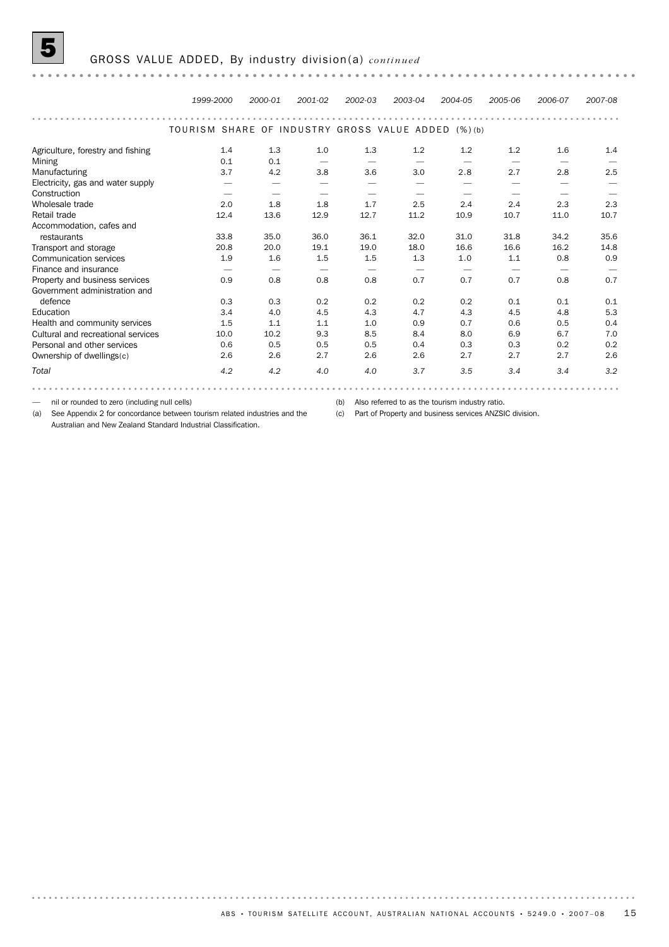*1999-2000 2000-01 2001-02 2002-03 2003-04 2004-05 2005-06 2006-07 2007-08* TOURISM SHARE OF INDUSTRY GROSS VALUE ADDED (%) (b) Agriculture, forestry and fishing 1.4 1.3 1.0 1.3 1.2 1.2 1.2 1.6 1.4 Mining 0.1 0.1 — — — — — — — Manufacturing 3.7 4.2 3.8 3.6 3.0 2.8 2.7 2.8 2.5 Electricity, gas and water supply – – – – – – – – – – –<br>
Construction – – – – – – – – – –<br>
Wholesale trade 2.0 1.8 1.8 1.7 2.5 2.4 2.4 2.3 2.3<br>
12.4 2.3 2.3<br>
12.4 2.4 2.3 2.3<br>
12.4 11.0 10.7<br>
11.0 10.7 Construction — — — — — — — — Wholesale trade 2.0 1.8 1.8 1.7 2.5 2.4 2.4 2.3 2.3 Retail trade 12.4 13.6 12.9 12.7 11.2 10.9 10.7 11.0 10.7

*Total 4.2 4.2 4.0 4.0 3.7 3.5 3.4 3.4 3.2*

Ownership of dwellings(c) 2.6 2.6 2.7 2.6 2.7 2.7 2.7 2.7 2.6 1.5 1.1 1.1 1.0 0.9 0.7 0.6 0.5 0.4<br>
Pealth and community services 1.5 1.1 1.1 1.1 0.0 0.9 0.7 0.6 0.5 0.4<br>
Personal and other services 0.6 0.5 0.5 0.5 0.5 0.7 7.0<br>
Personal and other services 0.6 0.5 0.5 0.5 0.5 0.4 0.3 0 Health and community services <br>Cultural and recreational services <br>Cultural and recreational services <br>10.0 10.2 9.3 8.5 8.4 8.0 6.9 6.7 7.0 Health and community services **1.5** 1.1 1.1 1.0 0.9 0.7 0.6 0.5 0.4 Education 3.4 4.0 4.5 4.3 4.7 4.3 4.5 4.8 5.3

Property and business services **0.9** 0.8 0.8 0.8 0.7 0.7 0.7 0.8 0.7

Transport and storage 1.9 1.9 1.6 1.5 1.5 1.3 1.0 1.1 1.1 0.8 0.9<br>Communication services 1.9 1.6 1.5 1.5 1.3 1.0 1.1 0.8 0.9 Transport and storage 20.8 20.8 20.0 19.1 19.0 18.0 16.6 16.6 16.2 14.8

Finance and insurance — — — — — — — — —

defence<br>Education

restaurants

— nil or rounded to zero (including null cells)

Government administration and

Accommodation, cafes and

(b) Also referred to as the tourism industry ratio.

0.3 0.3 0.2 0.2 0.2 0.2 0.1 0.1 0.1

33.8 35.0 36.0 36.1 32.0 31.0 31.8 34.2 35.6

(a) See Appendix 2 for concordance between tourism related industries and the (c) Part of Property and business services ANZSIC division. Australian and New Zealand Standard Industrial Classification.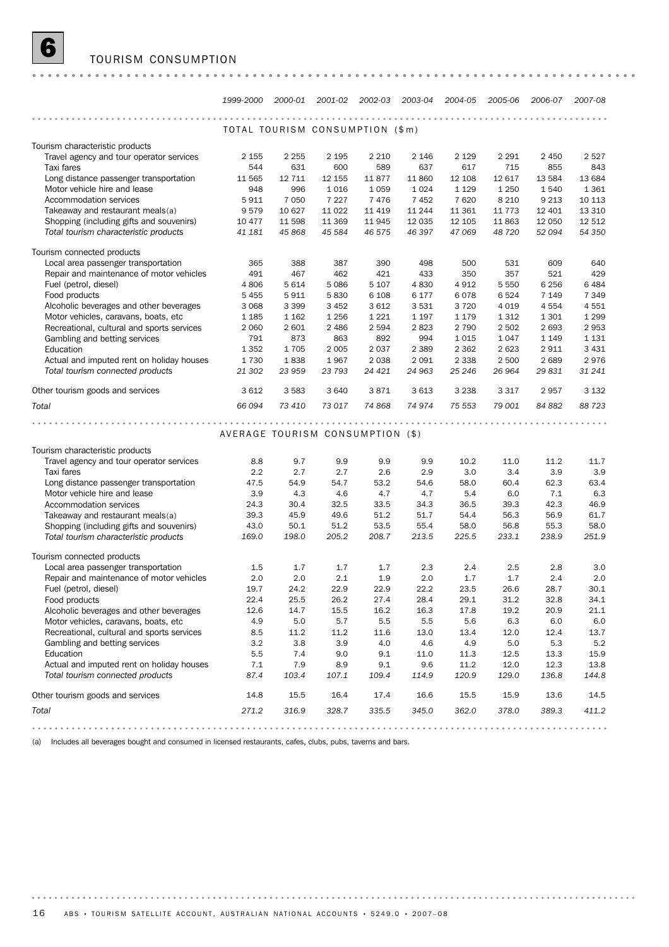

|                                                      | 1999-2000                        | 2000-01        |               | 2001-02 2002-03 | 2003-04 2004-05 |               | 2005-06       | 2006-07        | 2007-08       |  |  |  |
|------------------------------------------------------|----------------------------------|----------------|---------------|-----------------|-----------------|---------------|---------------|----------------|---------------|--|--|--|
|                                                      | .                                |                |               |                 |                 |               |               |                |               |  |  |  |
|                                                      | TOTAL TOURISM CONSUMPTION (\$m)  |                |               |                 |                 |               |               |                |               |  |  |  |
|                                                      |                                  |                |               |                 |                 |               |               |                |               |  |  |  |
| Tourism characteristic products                      |                                  |                |               |                 |                 |               |               |                |               |  |  |  |
| Travel agency and tour operator services             | 2 1 5 5                          | 2 2 5 5        | 2 1 9 5       | 2 2 1 0         | 2 1 4 6         | 2 1 2 9       | 2 2 9 1       | 2 4 5 0        | 2 5 2 7       |  |  |  |
| Taxi fares<br>Long distance passenger transportation | 544<br>11 565                    | 631<br>12 7 11 | 600<br>12 155 | 589<br>11877    | 637<br>11 860   | 617<br>12 108 | 715<br>12 617 | 855<br>13 5 84 | 843<br>13 684 |  |  |  |
| Motor vehicle hire and lease                         | 948                              | 996            | 1016          | 1059            | 1 0 2 4         | 1 1 2 9       | 1 2 5 0       | 1540           | 1 3 6 1       |  |  |  |
| Accommodation services                               | 5911                             | 7 0 5 0        | 7 2 2 7       | 7476            | 7452            | 7620          | 8 2 1 0       | 9 2 1 3        | 10 113        |  |  |  |
| Takeaway and restaurant meals(a)                     | 9579                             | 10 627         | 11 0 22       | 11 4 19         | 11 244          | 11 361        | 11 7 7 3      | 12 401         | 13 3 10       |  |  |  |
| Shopping (including gifts and souvenirs)             | 10 477                           | 11 598         | 11 369        | 11945           | 12 0 35         | 12 105        | 11863         | 12 050         | 12 512        |  |  |  |
| Total tourism characteristic products                | 41 181                           | 45 868         | 45 584        | 46 575          | 46 397          | 47 069        | 48 720        | 52 094         | 54 350        |  |  |  |
|                                                      |                                  |                |               |                 |                 |               |               |                |               |  |  |  |
| Tourism connected products                           |                                  |                |               |                 |                 |               |               |                |               |  |  |  |
| Local area passenger transportation                  | 365                              | 388            | 387           | 390             | 498             | 500           | 531           | 609            | 640           |  |  |  |
| Repair and maintenance of motor vehicles             | 491                              | 467            | 462           | 421             | 433             | 350           | 357           | 521            | 429           |  |  |  |
| Fuel (petrol, diesel)                                | 4806                             | 5 6 1 4        | 5086          | 5 1 0 7         | 4830            | 4912          | 5 5 5 0       | 6 2 5 6        | 6 4 8 4       |  |  |  |
| Food products                                        | 5 4 5 5                          | 5911           | 5830          | 6 1 0 8         | 6 177           | 6078          | 6524          | 7 1 4 9        | 7 3 4 9       |  |  |  |
| Alcoholic beverages and other beverages              | 3 0 6 8                          | 3 3 9 9        | 3 4 5 2       | 3612            | 3531            | 3720          | 4 0 1 9       | 4554           | 4 5 5 1       |  |  |  |
| Motor vehicles, caravans, boats, etc                 | 1 1 8 5                          | 1 1 6 2        | 1 2 5 6       | 1 2 2 1         | 1 1 9 7         | 1 1 7 9       | 1 3 1 2       | 1 3 0 1        | 1 2 9 9       |  |  |  |
| Recreational, cultural and sports services           | 2 0 6 0                          | 2 601          | 2 4 8 6       | 2 5 9 4         | 2823            | 2 7 9 0       | 2 5 0 2       | 2 6 9 3        | 2953          |  |  |  |
| Gambling and betting services                        | 791                              | 873            | 863           | 892             | 994             | 1015          | 1047          | 1 1 4 9        | 1 1 3 1       |  |  |  |
| Education                                            | 1 3 5 2                          | 1705           | 2 0 0 5       | 2 0 3 7         | 2 3 8 9         | 2 3 6 2       | 2623          | 2911           | 3 4 3 1       |  |  |  |
| Actual and imputed rent on holiday houses            | 1730                             | 1838           | 1967          | 2 0 3 8         | 2 0 9 1         | 2 3 3 8       | 2 500         | 2689           | 2976          |  |  |  |
| Total tourism connected products                     | 21 302                           | 23 959         | 23 793        | 24 4 21         | 24 963          | 25 246        | 26 964        | 29 831         | 31 241        |  |  |  |
|                                                      |                                  |                |               |                 |                 |               |               |                |               |  |  |  |
| Other tourism goods and services                     | 3 6 1 2                          | 3 5 8 3        | 3640          | 3871            | 3613            | 3 2 3 8       | 3 3 1 7       | 2957           | 3 1 3 2       |  |  |  |
| Total                                                | 66 094                           | 73 410         | 73 017        | 74 868          | 74974           | 75 553        | 79 001        | 84 882         | 88 723        |  |  |  |
|                                                      |                                  |                |               |                 |                 |               |               |                |               |  |  |  |
|                                                      | AVERAGE TOURISM CONSUMPTION (\$) |                |               |                 |                 |               |               |                |               |  |  |  |
|                                                      |                                  |                |               |                 |                 |               |               |                |               |  |  |  |
| Tourism characteristic products                      |                                  |                |               |                 |                 |               |               |                |               |  |  |  |
| Travel agency and tour operator services             | 8.8                              | 9.7            | 9.9           | 9.9             | 9.9             | 10.2          | 11.0          | 11.2           | 11.7          |  |  |  |
| Taxi fares                                           | 2.2                              | 2.7            | 2.7           | 2.6             | 2.9             | 3.0           | 3.4           | 3.9            | 3.9           |  |  |  |
| Long distance passenger transportation               | 47.5                             | 54.9           | 54.7          | 53.2            | 54.6            | 58.0          | 60.4          | 62.3           | 63.4          |  |  |  |
| Motor vehicle hire and lease                         | 3.9                              | 4.3            | 4.6           | 4.7             | 4.7             | 5.4           | 6.0           | 7.1            | 6.3           |  |  |  |
| Accommodation services                               | 24.3                             | 30.4           | 32.5          | 33.5            | 34.3            | 36.5          | 39.3          | 42.3           | 46.9          |  |  |  |
| Takeaway and restaurant meals(a)                     | 39.3                             | 45.9           | 49.6          | 51.2            | 51.7            | 54.4          | 56.3          | 56.9           | 61.7          |  |  |  |
| Shopping (including gifts and souvenirs)             | 43.0                             | 50.1           | 51.2          | 53.5            | 55.4            | 58.0          | 56.8          | 55.3           | 58.0          |  |  |  |
| Total tourism characteristic products                | 169.0                            | 198.0          | 205.2         | 208.7           | 213.5           | 225.5         | 233.1         | 238.9          | 251.9         |  |  |  |
| Tourism connected products                           |                                  |                |               |                 |                 |               |               |                |               |  |  |  |
| Local area passenger transportation                  | 1.5                              | 1.7            | 1.7           | 1.7             | 2.3             | 2.4           | 2.5           | 2.8            | 3.0           |  |  |  |
| Repair and maintenance of motor vehicles             | 2.0                              | 2.0            | 2.1           | 1.9             | 2.0             | 1.7           | 1.7           | 2.4            | 2.0           |  |  |  |
| Fuel (petrol, diesel)                                | 19.7                             | 24.2           | 22.9          | 22.9            | 22.2            | 23.5          | 26.6          | 28.7           | 30.1          |  |  |  |
| Food products                                        | 22.4                             | 25.5           | 26.2          | 27.4            | 28.4            | 29.1          | 31.2          | 32.8           | 34.1          |  |  |  |
| Alcoholic beverages and other beverages              | 12.6                             | 14.7           | 15.5          | 16.2            | 16.3            | 17.8          | 19.2          | 20.9           | 21.1          |  |  |  |
| Motor vehicles, caravans, boats, etc                 | 4.9                              | 5.0            | 5.7           | 5.5             | 5.5             | 5.6           | 6.3           | 6.0            | 6.0           |  |  |  |
| Recreational, cultural and sports services           | 8.5                              | 11.2           | 11.2          | 11.6            | 13.0            | 13.4          | 12.0          | 12.4           | 13.7          |  |  |  |
| Gambling and betting services                        | 3.2                              | 3.8            | 3.9           | 4.0             | 4.6             | 4.9           | 5.0           | 5.3            | 5.2           |  |  |  |
| Education                                            | 5.5                              | 7.4            | 9.0           | 9.1             | 11.0            | 11.3          | 12.5          | 13.3           | 15.9          |  |  |  |
| Actual and imputed rent on holiday houses            | 7.1                              | 7.9            | 8.9           | 9.1             | 9.6             | 11.2          | 12.0          | 12.3           | 13.8          |  |  |  |
| Total tourism connected products                     | 87.4                             | 103.4          | 107.1         | 109.4           | 114.9           | 120.9         | 129.0         | 136.8          | 144.8         |  |  |  |
|                                                      |                                  |                |               |                 |                 |               |               |                |               |  |  |  |
| Other tourism goods and services                     | 14.8                             | 15.5           | 16.4          | 17.4            | 16.6            | 15.5          | 15.9          | 13.6           | 14.5          |  |  |  |
| Total                                                | 271.2                            | 316.9          | 328.7         | 335.5           | 345.0           | 362.0         | 378.0         | 389.3          | 411.2         |  |  |  |
| .                                                    |                                  |                |               |                 |                 |               |               |                |               |  |  |  |

(a) Includes all beverages bought and consumed in licensed restaurants, cafes, clubs, pubs, taverns and bars.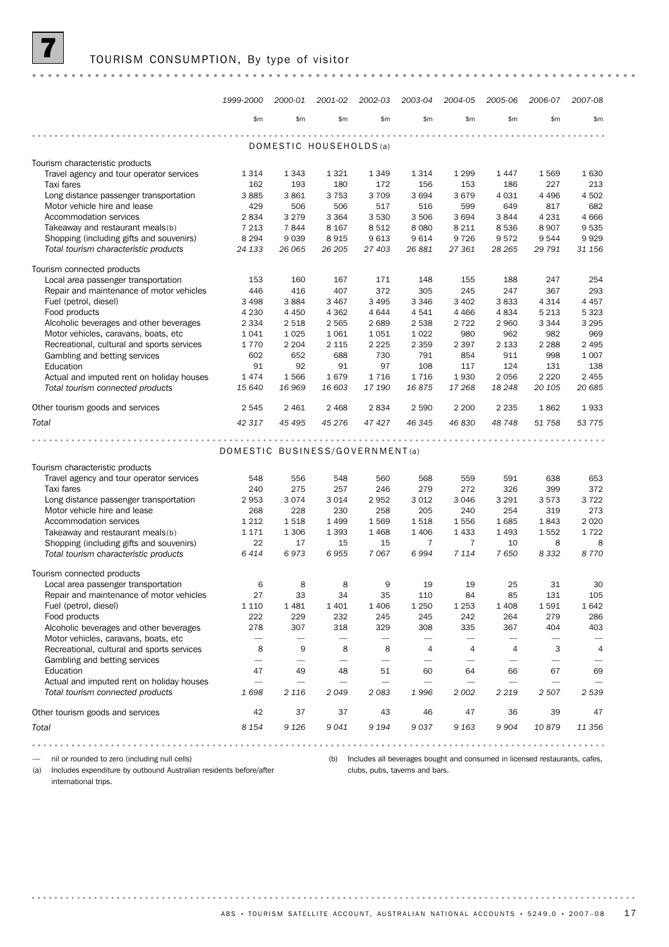|                                                                               | 1999-2000                       | 2000-01    | 2001-02                 | 2002-03    | 2003-04                        | 2004-05                        | 2005-06                        | 2006-07                        | 2007-08         |
|-------------------------------------------------------------------------------|---------------------------------|------------|-------------------------|------------|--------------------------------|--------------------------------|--------------------------------|--------------------------------|-----------------|
|                                                                               | \$m\$                           | \$m\$      | \$m\$                   | \$m\$      | \$m                            | \$m\$                          | \$m\$                          | \$m                            | \$m\$           |
|                                                                               |                                 |            | DOMESTIC HOUSEHOLDS (a) |            |                                |                                |                                |                                |                 |
| Tourism characteristic products                                               |                                 |            |                         |            |                                |                                |                                |                                |                 |
| Travel agency and tour operator services                                      | 1 3 1 4                         | 1 3 4 3    | 1 3 2 1                 | 1 3 4 9    | 1314                           | 1 2 9 9                        | 1447                           | 1569                           | 1630            |
| Taxi fares                                                                    | 162                             | 193        | 180                     | 172        | 156                            | 153                            | 186                            | 227                            | 213             |
| Long distance passenger transportation                                        | 3885                            | 3861       | 3 7 5 3                 | 3 7 0 9    | 3694                           | 3679                           | 4 0 3 1                        | 4 4 9 6                        | 4502            |
| Motor vehicle hire and lease                                                  | 429                             | 506        | 506                     | 517        | 516                            | 599                            | 649                            | 817                            | 682             |
| Accommodation services                                                        | 2834                            | 3 2 7 9    | 3 3 6 4                 | 3 5 3 0    | 3506                           | 3694                           | 3844                           | 4 2 3 1                        | 4 6 6 6         |
| Takeaway and restaurant meals(b)                                              | 7 2 1 3                         | 7844       | 8 1 6 7                 | 8512       | 8 0 8 0                        | 8 2 1 1                        | 8536                           | 8 9 0 7                        | 9535            |
| Shopping (including gifts and souvenirs)                                      | 8 2 9 4                         | 9039       | 8915                    | 9613       | 9614                           | 9726                           | 9572                           | 9544                           | 9929            |
| Total tourism characteristic products                                         | 24 133                          | 26 065     | 26 205                  | 27 403     | 26 881                         | 27 361                         | 28 265                         | 29 791                         | 31 156          |
| Tourism connected products                                                    |                                 |            |                         |            |                                |                                |                                |                                |                 |
| Local area passenger transportation                                           | 153                             | 160        | 167                     | 171        | 148                            | 155                            | 188                            | 247                            | 254             |
| Repair and maintenance of motor vehicles                                      | 446                             | 416        | 407                     | 372        | 305                            | 245                            | 247                            | 367                            | 293             |
| Fuel (petrol, diesel)                                                         | 3 4 9 8                         | 3884       | 3 4 6 7                 | 3 4 9 5    | 3 3 4 6                        | 3 4 0 2                        | 3833                           | 4 3 1 4                        | 4 4 5 7         |
| Food products                                                                 | 4 2 3 0                         | 4 4 5 0    | 4 3 6 2                 | 4644       | 4541                           | 4 4 6 6                        | 4834                           | 5 2 1 3                        | 5 3 2 3         |
| Alcoholic beverages and other beverages                                       | 2 3 3 4                         | 2 5 1 8    | 2 5 6 5                 | 2689       | 2538                           | 2 7 2 2                        | 2 9 6 0                        | 3 3 4 4                        | 3 2 9 5         |
| Motor vehicles, caravans, boats, etc                                          | 1 0 4 1                         | 1 0 25     | 1 0 6 1                 | 1051       | 1022                           | 980                            | 962                            | 982                            | 969             |
| Recreational, cultural and sports services                                    | 1770                            | 2 2 0 4    | 2 1 1 5                 | 2 2 2 5    | 2 3 5 9                        | 2 3 9 7                        | 2 1 3 3                        | 2 2 8 8                        | 2 4 9 5         |
| Gambling and betting services                                                 | 602                             | 652        | 688                     | 730        | 791                            | 854                            | 911                            | 998                            | 1 0 0 7         |
| Education                                                                     | 91<br>1474                      | 92<br>1566 | 91<br>1679              | 97<br>1716 | 108<br>1716                    | 117<br>1930                    | 124<br>2056                    | 131<br>2 2 2 0                 | 138<br>2 4 5 5  |
| Actual and imputed rent on holiday houses<br>Total tourism connected products | 15 640                          | 16 969     | 16 603                  | 17 190     | 16875                          | 17 268                         | 18 248                         | 20 105                         | 20 685          |
|                                                                               |                                 |            |                         |            |                                |                                |                                |                                |                 |
| Other tourism goods and services                                              | 2 5 4 5                         | 2 4 6 1    | 2 4 6 8                 | 2834       | 2 5 9 0                        | 2 2 0 0                        | 2 2 3 5                        | 1862                           | 1933            |
| Total                                                                         | 42 317                          | 45 4 95    | 45 276                  | 47 427     | 46 345                         | 46 830                         | 48 748                         | 51 758                         | 53 775          |
|                                                                               |                                 |            |                         |            |                                | $-0.0000$                      |                                |                                |                 |
|                                                                               | DOMESTIC BUSINESS/GOVERNMENT(a) |            |                         |            |                                |                                |                                |                                |                 |
| Tourism characteristic products                                               |                                 |            |                         |            |                                |                                |                                |                                |                 |
| Travel agency and tour operator services                                      | 548                             | 556        | 548                     | 560        | 568                            | 559                            | 591                            | 638                            | 653             |
| Taxi fares                                                                    | 240                             | 275        | 257                     | 246        | 279                            | 272                            | 326                            | 399                            | 372             |
| Long distance passenger transportation                                        | 2953                            | 3 0 7 4    | 3 0 1 4                 | 2952       | 3 0 1 2                        | 3046                           | 3 2 9 1                        | 3573                           | 3722            |
| Motor vehicle hire and lease                                                  | 268                             | 228        | 230                     | 258        | 205                            | 240                            | 254                            | 319                            | 273             |
| Accommodation services                                                        | 1 2 1 2                         | 1518       | 1 4 9 9                 | 1569       | 1518                           | 1556                           | 1685                           | 1843                           | 2 0 2 0         |
| Takeaway and restaurant meals(b)                                              | 1 1 7 1                         | 1 3 0 6    | 1 3 9 3                 | 1468       | 1 4 0 6                        | 1433                           | 1493                           | 1552                           | 1722            |
| Shopping (including gifts and souvenirs)                                      | 22                              | 17         | 15                      | 15         | 7                              | $\overline{7}$                 | 10                             | 8                              | 8               |
| Total tourism characteristic products                                         | 6414                            | 6973       | 6955                    | 7067       | 6994                           | 7 1 1 4                        | 7650                           | 8332                           | 8770            |
| Tourism connected products                                                    |                                 |            |                         |            |                                |                                |                                |                                |                 |
| Local area passenger transportation                                           | 6                               | 8          | 8                       | 9          | 19                             | 19                             | 25                             | 31                             | 30              |
| Repair and maintenance of motor vehicles                                      | 27                              | 33         | 34                      | 35         | 110                            | 84                             | 85                             | 131                            | 105             |
| Fuel (petrol, diesel)                                                         | 1 1 1 0                         | 1 4 8 1    | 1 4 0 1                 | 1 4 0 6    | 1 2 5 0                        | 1 2 5 3                        | 1 4 0 8                        | 1591                           | 1642            |
| Food products                                                                 | 222                             | 229        | 232                     | 245        | 245                            | 242                            | 264                            | 279                            | 286             |
| Alcoholic beverages and other beverages                                       | 278                             | 307        | 318                     | 329        | 308                            | 335                            | 367                            | 404                            | 403             |
| Motor vehicles, caravans, boats, etc                                          |                                 |            |                         |            |                                | $\overline{\phantom{0}}$       |                                |                                | $\qquad \qquad$ |
| Recreational, cultural and sports services                                    | 8                               | 9          | 8                       | 8          | $\overline{4}$                 | 4                              | 4                              | 3                              | $\overline{4}$  |
| Gambling and betting services<br>Education                                    | $\qquad \qquad$<br>47           | 49         | 48                      | 51         | $\overline{\phantom{0}}$<br>60 | $\overline{\phantom{0}}$<br>64 | $\overline{\phantom{0}}$<br>66 | $\overline{\phantom{0}}$<br>67 | 69              |
| Actual and imputed rent on holiday houses                                     |                                 |            |                         |            |                                |                                |                                |                                |                 |
| Total tourism connected products                                              | 1698                            | 2 1 1 6    | 2049                    | 2083       | 1996                           | 2 0 0 2                        | 2 2 1 9                        | 2507                           | 2 5 3 9         |
| Other tourism goods and services                                              | 42                              | 37         | 37                      | 43         | 46                             | 47                             | 36                             | 39                             | 47              |
|                                                                               | 8 1 5 4                         | 9 1 2 6    | 9041                    | 9 1 9 4    | 9037                           | 9 1 6 3                        | 9 9 0 4                        | 10879                          | 11 356          |
| Total                                                                         |                                 |            |                         |            |                                |                                |                                |                                |                 |
|                                                                               |                                 |            |                         |            |                                |                                |                                |                                |                 |

— nil or rounded to zero (including null cells)

(a) Includes expenditure by outbound Australian residents before/after international trips.

(b) Includes all beverages bought and consumed in licensed restaurants, cafes, clubs, pubs, taverns and bars.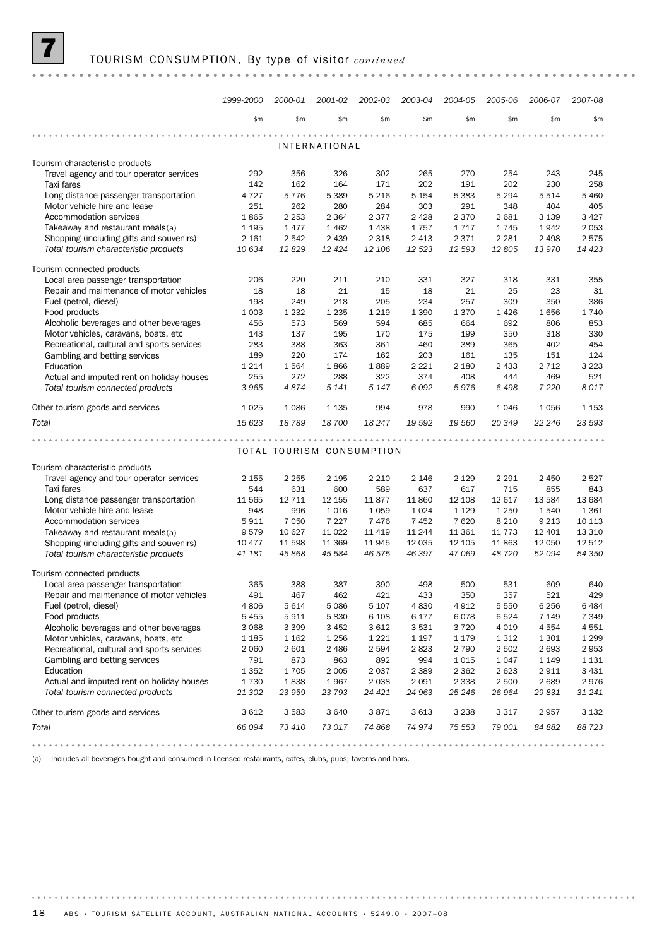|                                                                                 | 1999-2000      | 2000-01                   | 2001-02              | 2002-03            | 2003-04           | 2004-05          | 2005-06           | 2006-07          | 2007-08           |
|---------------------------------------------------------------------------------|----------------|---------------------------|----------------------|--------------------|-------------------|------------------|-------------------|------------------|-------------------|
|                                                                                 | \$m\$          | \$m\$                     | \$m                  | \$m                | \$m\$             | \$m\$            | \$m\$             | \$m              | \$m\$             |
|                                                                                 |                |                           | <b>INTERNATIONAL</b> |                    |                   |                  |                   |                  |                   |
|                                                                                 |                |                           |                      |                    |                   |                  |                   |                  |                   |
| Tourism characteristic products<br>Travel agency and tour operator services     | 292            | 356                       | 326                  | 302                | 265               | 270              | 254               | 243              | 245               |
| Taxi fares                                                                      | 142            | 162                       | 164                  | 171                | 202               | 191              | 202               | 230              | 258               |
| Long distance passenger transportation                                          | 4 7 2 7        | 5776                      | 5 3 8 9              | 5 2 1 6            | 5 1 5 4           | 5 3 8 3          | 5 2 9 4           | 5 5 1 4          | 5 4 6 0           |
| Motor vehicle hire and lease                                                    | 251            | 262                       | 280                  | 284                | 303               | 291              | 348               | 404              | 405               |
| Accommodation services                                                          | 1865           | 2 2 5 3                   | 2 3 6 4              | 2377               | 2 4 2 8           | 2 3 7 0          | 2681              | 3 1 3 9          | 3427              |
| Takeaway and restaurant meals(a)                                                | 1 1 9 5        | 1477                      | 1 4 6 2              | 1438               | 1757              | 1717             | 1745              | 1942             | 2053              |
| Shopping (including gifts and souvenirs)                                        | 2 1 6 1        | 2 5 4 2                   | 2 4 3 9              | 2 3 1 8            | 2 4 1 3           | 2 3 7 1          | 2 2 8 1           | 2 4 9 8          | 2575              |
| Total tourism characteristic products                                           | 10 634         | 12829                     | 12 4 24              | 12 106             | 12 5 23           | 12 593           | 12805             | 13 970           | 14 4 23           |
| Tourism connected products                                                      |                |                           |                      |                    |                   |                  |                   |                  |                   |
| Local area passenger transportation                                             | 206            | 220                       | 211                  | 210                | 331               | 327              | 318               | 331              | 355               |
| Repair and maintenance of motor vehicles                                        | 18             | 18                        | 21                   | 15                 | 18                | 21               | 25                | 23               | 31                |
| Fuel (petrol, diesel)                                                           | 198            | 249                       | 218                  | 205                | 234               | 257              | 309               | 350              | 386               |
| Food products                                                                   | 1 0 0 3        | 1 2 3 2                   | 1 2 3 5              | 1 2 1 9            | 1 3 9 0           | 1370             | 1426              | 1656             | 1740              |
| Alcoholic beverages and other beverages<br>Motor vehicles, caravans, boats, etc | 456<br>143     | 573<br>137                | 569<br>195           | 594<br>170         | 685<br>175        | 664<br>199       | 692<br>350        | 806<br>318       | 853<br>330        |
| Recreational, cultural and sports services                                      | 283            | 388                       | 363                  | 361                | 460               | 389              | 365               | 402              | 454               |
| Gambling and betting services                                                   | 189            | 220                       | 174                  | 162                | 203               | 161              | 135               | 151              | 124               |
| Education                                                                       | 1 2 1 4        | 1564                      | 1866                 | 1889               | 2 2 2 1           | 2 1 8 0          | 2 4 3 3           | 2 7 1 2          | 3 2 2 3           |
| Actual and imputed rent on holiday houses                                       | 255            | 272                       | 288                  | 322                | 374               | 408              | 444               | 469              | 521               |
| Total tourism connected products                                                | 3 9 6 5        | 4874                      | 5 1 4 1              | 5 1 4 7            | 6092              | 5976             | 6498              | 7 2 2 0          | 8017              |
| Other tourism goods and services                                                | 1 0 25         | 1 0 8 6                   | 1 1 3 5              | 994                | 978               | 990              | 1046              | 1056             | 1 1 5 3           |
| Total                                                                           | 15 623         | 18789                     | 18 700               | 18 247             | 19 592            | 19 560           | 20 349            | 22 246           | 23 593            |
|                                                                                 |                |                           |                      |                    |                   |                  |                   |                  |                   |
|                                                                                 |                | TOTAL TOURISM CONSUMPTION |                      |                    |                   |                  |                   |                  |                   |
| Tourism characteristic products                                                 |                |                           |                      |                    |                   |                  |                   |                  |                   |
| Travel agency and tour operator services                                        | 2 1 5 5        | 2 2 5 5                   | 2 1 9 5              | 2 2 1 0            | 2 1 4 6           | 2 1 2 9          | 2 2 9 1           | 2 4 5 0          | 2527              |
| Taxi fares                                                                      | 544            | 631                       | 600                  | 589                | 637               | 617              | 715               | 855              | 843               |
| Long distance passenger transportation                                          | 11 565         | 12 7 11                   | 12 155               | 11877              | 11 860            | 12 108           | 12 617            | 13 5 84          | 13 684            |
| Motor vehicle hire and lease                                                    | 948            | 996                       | 1016                 | 1 0 5 9            | 1024              | 1 1 2 9          | 1 2 5 0           | 1540             | 1 3 6 1           |
| Accommodation services                                                          | 5911           | 7 0 5 0                   | 7 2 2 7              | 7476               | 7452              | 7620             | 8 2 1 0           | 9 2 1 3          | 10 113            |
| Takeaway and restaurant meals(a)<br>Shopping (including gifts and souvenirs)    | 9579<br>10 477 | 10 627<br>11 598          | 11 0 22<br>11 369    | 11 4 19<br>11945   | 11 244<br>12 0 35 | 11 361<br>12 105 | 11 7 7 3<br>11863 | 12 401<br>12 050 | 13 3 10<br>12 512 |
| Total tourism characteristic products                                           | 41 181         | 45 868                    | 45 584               | 46 575             | 46 397            | 47 069           | 48 720            | 52 094           | 54 350            |
|                                                                                 |                |                           |                      |                    |                   |                  |                   |                  |                   |
| Tourism connected products                                                      |                |                           |                      |                    |                   |                  |                   |                  |                   |
| Local area passenger transportation                                             | 365            | 388                       | 387                  | 390                | 498               | 500              | 531               | 609              | 640               |
| Repair and maintenance of motor vehicles                                        | 491<br>4806    | 467<br>5 6 1 4            | 462<br>5 0 8 6       | 421                | 433<br>4830       | 350<br>4912      | 357<br>5 5 5 0    | 521<br>6 2 5 6   | 429<br>6484       |
| Fuel (petrol, diesel)<br>Food products                                          | 5 4 5 5        | 5911                      | 5830                 | 5 1 0 7<br>6 1 0 8 | 6 177             | 6078             | 6524              | 7 1 4 9          | 7 3 4 9           |
| Alcoholic beverages and other beverages                                         | 3 0 6 8        | 3 3 9 9                   | 3 4 5 2              | 3612               | 3531              | 3720             | 4 0 1 9           | 4554             | 4551              |
| Motor vehicles, caravans, boats, etc.                                           | 1 1 8 5        | 1 1 6 2                   | 1 2 5 6              | 1 2 2 1            | 1 1 9 7           | 1 1 7 9          | 1 3 1 2           | 1 3 0 1          | 1 2 9 9           |
| Recreational, cultural and sports services                                      | 2 0 6 0        | 2 601                     | 2 4 8 6              | 2 5 9 4            | 2823              | 2 7 9 0          | 2 5 0 2           | 2693             | 2953              |
| Gambling and betting services                                                   | 791            | 873                       | 863                  | 892                | 994               | 1015             | 1047              | 1 1 4 9          | 1 1 3 1           |
| Education                                                                       | 1 3 5 2        | 1705                      | 2 0 0 5              | 2037               | 2 3 8 9           | 2 3 6 2          | 2623              | 2911             | 3 4 3 1           |
| Actual and imputed rent on holiday houses                                       | 1730           | 1838                      | 1967                 | 2 0 3 8            | 2 0 9 1           | 2 3 3 8          | 2 500             | 2689             | 2976              |
| Total tourism connected products                                                | 21 302         | 23 959                    | 23 793               | 24 421             | 24 963            | 25 246           | 26 964            | 29 831           | 31 241            |
| Other tourism goods and services                                                | 3612           | 3 5 8 3                   | 3 640                | 3871               | 3613              | 3 2 3 8          | 3 3 1 7           | 2957             | 3 1 3 2           |
| Total                                                                           | 66 094         | 73 410                    | 73 017               | 74 868             | 74 974            | 75 553           | 79 001            | 84 882           | 88 723            |
|                                                                                 |                |                           |                      |                    |                   |                  |                   |                  |                   |

(a) Includes all beverages bought and consumed in licensed restaurants, cafes, clubs, pubs, taverns and bars.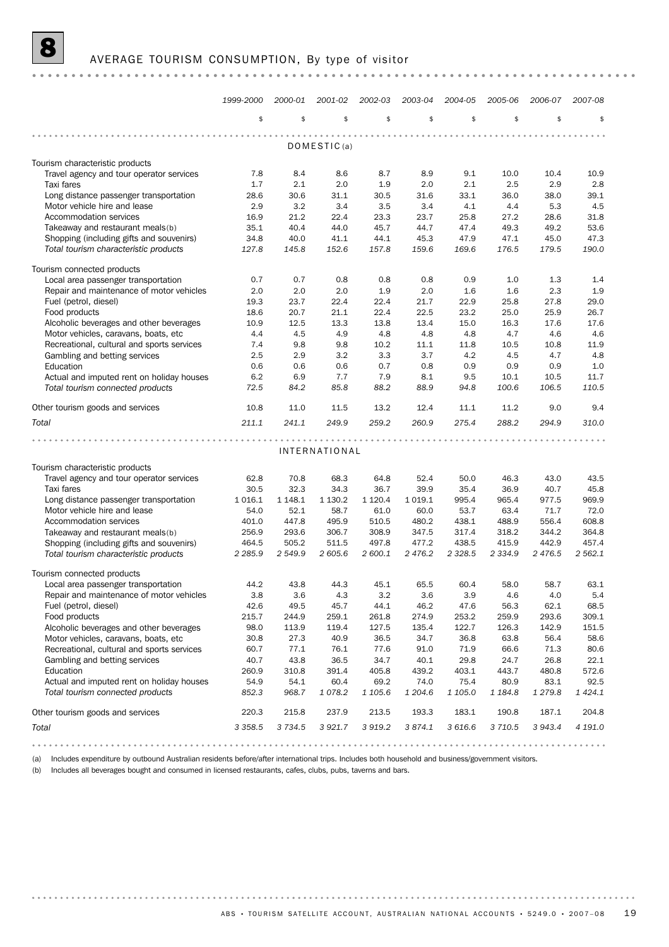|                                                                               | 1999-2000     | 2000-01       | 2001-02              | 2002-03         | 2003-04         | 2004-05         | 2005-06            | 2006-07         | 2007-08             |
|-------------------------------------------------------------------------------|---------------|---------------|----------------------|-----------------|-----------------|-----------------|--------------------|-----------------|---------------------|
|                                                                               | \$            | \$            | \$                   | \$              | \$              | \$              | \$                 | \$              | \$                  |
|                                                                               |               |               | DOMESTIC(a)          |                 |                 |                 |                    |                 |                     |
|                                                                               |               |               |                      |                 |                 |                 |                    |                 |                     |
| Tourism characteristic products<br>Travel agency and tour operator services   | 7.8           | 8.4           | 8.6                  | 8.7             | 8.9             | 9.1             | 10.0               | 10.4            | 10.9                |
| Taxi fares                                                                    | 1.7           | 2.1           | 2.0                  | 1.9             | 2.0             | 2.1             | 2.5                | 2.9             | 2.8                 |
| Long distance passenger transportation                                        | 28.6          | 30.6          | 31.1                 | 30.5            | 31.6            | 33.1            | 36.0               | 38.0            | 39.1                |
| Motor vehicle hire and lease                                                  | 2.9           | 3.2           | 3.4                  | 3.5             | 3.4             | 4.1             | 4.4                | 5.3             | 4.5                 |
| Accommodation services                                                        | 16.9          | 21.2          | 22.4                 | 23.3            | 23.7            | 25.8            | 27.2               | 28.6            | 31.8                |
| Takeaway and restaurant meals(b)                                              | 35.1          | 40.4          | 44.0                 | 45.7            | 44.7            | 47.4            | 49.3               | 49.2            | 53.6                |
| Shopping (including gifts and souvenirs)                                      | 34.8          | 40.0          | 41.1                 | 44.1            | 45.3            | 47.9            | 47.1               | 45.0            | 47.3                |
| Total tourism characteristic products                                         | 127.8         | 145.8         | 152.6                | 157.8           | 159.6           | 169.6           | 176.5              | 179.5           | 190.0               |
| Tourism connected products                                                    |               |               |                      |                 |                 |                 |                    |                 |                     |
| Local area passenger transportation                                           | 0.7           | 0.7           | 0.8                  | 0.8             | 0.8             | 0.9             | 1.0                | 1.3             | 1.4                 |
| Repair and maintenance of motor vehicles                                      | 2.0           | 2.0           | 2.0                  | 1.9             | 2.0             | 1.6             | 1.6                | 2.3             | 1.9                 |
| Fuel (petrol, diesel)                                                         | 19.3          | 23.7          | 22.4                 | 22.4            | 21.7            | 22.9            | 25.8               | 27.8            | 29.0                |
| Food products                                                                 | 18.6          | 20.7          | 21.1                 | 22.4            | 22.5            | 23.2            | 25.0               | 25.9            | 26.7                |
| Alcoholic beverages and other beverages                                       | 10.9          | 12.5          | 13.3                 | 13.8            | 13.4            | 15.0            | 16.3               | 17.6            | 17.6                |
| Motor vehicles, caravans, boats, etc.                                         | 4.4           | 4.5           | 4.9                  | 4.8             | 4.8             | 4.8             | 4.7                | 4.6             | 4.6                 |
| Recreational, cultural and sports services                                    | 7.4           | 9.8           | 9.8                  | 10.2            | 11.1            | 11.8            | 10.5               | 10.8            | 11.9                |
| Gambling and betting services                                                 | 2.5           | 2.9           | 3.2                  | 3.3             | 3.7             | 4.2             | 4.5                | 4.7             | 4.8                 |
| Education                                                                     | 0.6           | 0.6           | 0.6                  | 0.7             | 0.8             | 0.9             | 0.9                | 0.9             | 1.0                 |
| Actual and imputed rent on holiday houses                                     | 6.2           | 6.9           | 7.7                  | 7.9             | 8.1             | 9.5             | 10.1               | 10.5            | 11.7                |
| Total tourism connected products                                              | 72.5          | 84.2          | 85.8                 | 88.2            | 88.9            | 94.8            | 100.6              | 106.5           | 110.5               |
| Other tourism goods and services                                              | 10.8          | 11.0          | 11.5                 | 13.2            | 12.4            | 11.1            | 11.2               | 9.0             | 9.4                 |
| Total                                                                         | 211.1         | 241.1         | 249.9                | 259.2           | 260.9           | 275.4           | 288.2              | 294.9           | 310.0               |
| .                                                                             |               |               |                      |                 |                 |                 |                    |                 |                     |
|                                                                               |               |               | <b>INTERNATIONAL</b> |                 |                 |                 |                    |                 |                     |
| Tourism characteristic products                                               |               |               |                      |                 |                 |                 |                    |                 |                     |
| Travel agency and tour operator services                                      | 62.8          | 70.8          | 68.3                 | 64.8            | 52.4            | 50.0            | 46.3               | 43.0            | 43.5                |
| Taxi fares                                                                    | 30.5          | 32.3          | 34.3                 | 36.7            | 39.9            | 35.4            | 36.9               | 40.7            | 45.8                |
| Long distance passenger transportation                                        | 1016.1        | 1 1 48.1      | 1 1 3 0.2            | 1 1 2 0 . 4     | 1019.1          | 995.4           | 965.4              | 977.5           | 969.9               |
| Motor vehicle hire and lease                                                  | 54.0          | 52.1          | 58.7                 | 61.0            | 60.0            | 53.7            | 63.4               | 71.7            | 72.0                |
| Accommodation services                                                        | 401.0         | 447.8         | 495.9                | 510.5           | 480.2           | 438.1           | 488.9              | 556.4           | 608.8               |
| Takeaway and restaurant meals(b)                                              | 256.9         | 293.6         | 306.7                | 308.9           | 347.5           | 317.4           | 318.2              | 344.2           | 364.8               |
| Shopping (including gifts and souvenirs)                                      | 464.5         | 505.2         | 511.5                | 497.8           | 477.2           | 438.5           | 415.9<br>2 3 3 4 9 | 442.9           | 457.4<br>2 562.1    |
| Total tourism characteristic products                                         | 2 2 8 5 . 9   | 2 5 4 9.9     | 2605.6               | 2 600.1         | 2 476.2         | 2 3 28.5        |                    | 2 476.5         |                     |
| Tourism connected products                                                    |               |               |                      |                 |                 |                 |                    |                 |                     |
| Local area passenger transportation                                           | 44.2          | 43.8          | 44.3                 | 45.1            | 65.5            | 60.4            | 58.0               | 58.7            | 63.1                |
| Repair and maintenance of motor vehicles                                      | 3.8           | 3.6           | 4.3                  | 3.2             | 3.6             | 3.9             | 4.6                | 4.0             | 5.4                 |
| Fuel (petrol, diesel)                                                         | 42.6          | 49.5          | 45.7                 | 44.1            | 46.2            | 47.6            | 56.3               | 62.1            | 68.5                |
| Food products                                                                 | 215.7         | 244.9         | 259.1                | 261.8           | 274.9           | 253.2           | 259.9              | 293.6           | 309.1               |
| Alcoholic beverages and other beverages                                       | 98.0          | 113.9         | 119.4                | 127.5           | 135.4           | 122.7           | 126.3              | 142.9           | 151.5               |
| Motor vehicles, caravans, boats, etc.                                         | 30.8          | 27.3          | 40.9                 | 36.5            | 34.7            | 36.8            | 63.8               | 56.4            | 58.6                |
| Recreational, cultural and sports services                                    | 60.7          | 77.1          | 76.1                 | 77.6            | 91.0            | 71.9            | 66.6               | 71.3            | 80.6                |
| Gambling and betting services                                                 | 40.7          | 43.8          | 36.5                 | 34.7            | 40.1            | 29.8            | 24.7               | 26.8            | 22.1                |
| Education                                                                     | 260.9         | 310.8         | 391.4                | 405.8           | 439.2           | 403.1           | 443.7              | 480.8           | 572.6               |
| Actual and imputed rent on holiday houses<br>Total tourism connected products | 54.9<br>852.3 | 54.1<br>968.7 | 60.4<br>1078.2       | 69.2<br>1 105.6 | 74.0<br>1 204.6 | 75.4<br>1 105.0 | 80.9<br>1 184.8    | 83.1<br>1 279.8 | 92.5<br>1 4 2 4 . 1 |
|                                                                               |               |               |                      |                 |                 |                 |                    |                 |                     |
| Other tourism goods and services                                              | 220.3         | 215.8         | 237.9                | 213.5           | 193.3           | 183.1           | 190.8              | 187.1           | 204.8               |
| Total                                                                         | 3 3 5 8.5     | 3 7 3 4 . 5   | 3 9 2 1.7            | 3 9 1 9 . 2     | 3 874.1         | 3 616.6         | 3 7 1 0.5          | 3 943.4         | 4 191.0             |
|                                                                               |               |               |                      |                 |                 |                 |                    |                 |                     |

(a) Includes expenditure by outbound Australian residents before/after international trips. Includes both household and business/government visitors.

(b) Includes all beverages bought and consumed in licensed restaurants, cafes, clubs, pubs, taverns and bars.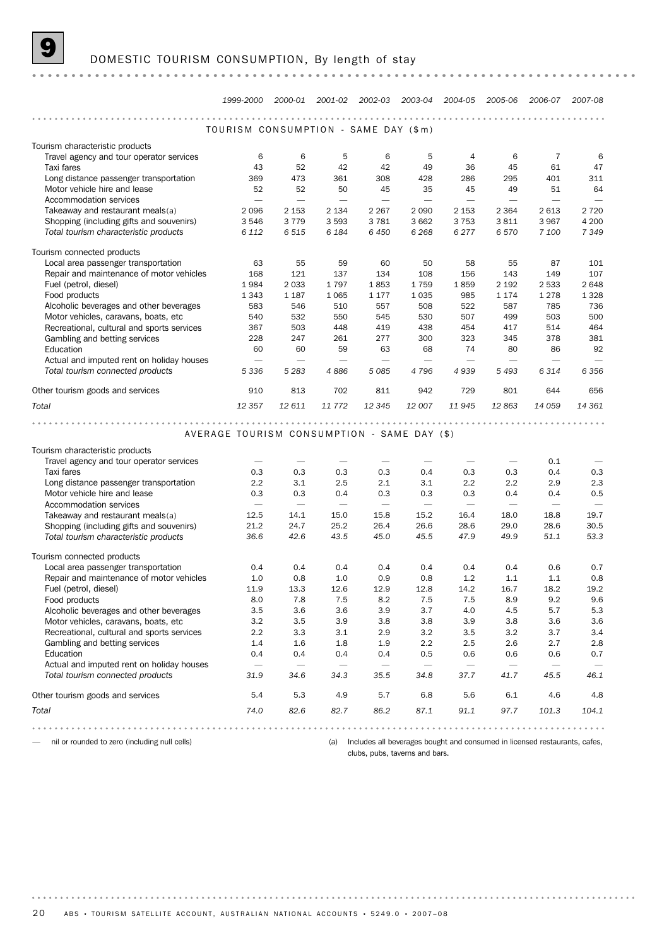|                                            | 1999-2000                                   |                                 |                                 | 2000-01 2001-02 2002-03 2003-04 2004-05 2005-06 |                                 |                                 |                                 | 2006-07                             | 2007-08                         |
|--------------------------------------------|---------------------------------------------|---------------------------------|---------------------------------|-------------------------------------------------|---------------------------------|---------------------------------|---------------------------------|-------------------------------------|---------------------------------|
|                                            |                                             |                                 |                                 |                                                 |                                 | .                               |                                 |                                     |                                 |
|                                            | TOURISM CONSUMPTION - SAME DAY (\$m)        |                                 |                                 |                                                 |                                 |                                 |                                 |                                     |                                 |
| Tourism characteristic products            |                                             |                                 |                                 |                                                 |                                 |                                 |                                 |                                     |                                 |
| Travel agency and tour operator services   | 6                                           | 6                               | 5                               | 6                                               | 5                               | 4                               | 6                               | 7                                   | 6                               |
| Taxi fares                                 | 43                                          | 52                              | 42                              | 42                                              | 49                              | 36                              | 45                              | 61                                  | 47                              |
| Long distance passenger transportation     | 369                                         | 473                             | 361                             | 308                                             | 428                             | 286                             | 295                             | 401                                 | 311                             |
| Motor vehicle hire and lease               | 52                                          | 52                              | 50                              | 45                                              | 35                              | 45                              | 49                              | 51                                  | 64                              |
| Accommodation services                     |                                             | $\overline{\phantom{0}}$        |                                 | $\overline{\phantom{m}}$                        | $\overline{\phantom{0}}$        | $\overline{\phantom{0}}$        | $\overline{\phantom{m}}$        | $\overline{\phantom{0}}$            | $\overline{\phantom{m}}$        |
| Takeaway and restaurant meals(a)           | 2 0 9 6                                     | 2 1 5 3                         | 2 1 3 4                         | 2 2 6 7                                         | 2 0 9 0                         | 2 1 5 3                         | 2 3 6 4                         | 2 6 1 3                             | 2 7 2 0                         |
| Shopping (including gifts and souvenirs)   | 3 5 4 6                                     | 3 7 7 9                         | 3 5 9 3                         | 3781                                            | 3 6 6 2                         | 3753                            | 3811                            | 3 9 6 7                             | 4 200                           |
| Total tourism characteristic products      | 6 1 1 2                                     | 6515                            | 6 1 8 4                         | 6450                                            | 6 2 6 8                         | 6 2 7 7                         | 6 5 7 0                         | 7 100                               | 7 3 4 9                         |
| Tourism connected products                 |                                             |                                 |                                 |                                                 |                                 |                                 |                                 |                                     |                                 |
| Local area passenger transportation        | 63                                          | 55                              | 59                              | 60                                              | 50                              | 58                              | 55                              | 87                                  | 101                             |
| Repair and maintenance of motor vehicles   | 168                                         | 121                             | 137                             | 134                                             | 108                             | 156                             | 143                             | 149                                 | 107                             |
| Fuel (petrol, diesel)                      | 1984                                        | 2 0 3 3                         | 1797                            | 1853                                            | 1759                            | 1859                            | 2 1 9 2                         | 2 5 3 3                             | 2648                            |
| Food products                              | 1 3 4 3                                     | 1 1 8 7                         | 1 0 6 5                         | 1 1 7 7                                         | 1035                            | 985                             | 1 1 7 4                         | 1 2 7 8                             | 1 3 2 8                         |
| Alcoholic beverages and other beverages    | 583                                         | 546                             | 510                             | 557                                             | 508                             | 522                             | 587                             | 785                                 | 736                             |
| Motor vehicles, caravans, boats, etc       | 540                                         | 532                             | 550                             | 545                                             | 530                             | 507                             | 499                             | 503                                 | 500                             |
| Recreational, cultural and sports services | 367                                         | 503                             | 448                             | 419                                             | 438                             | 454                             | 417                             | 514                                 | 464                             |
| Gambling and betting services              | 228                                         | 247                             | 261                             | 277                                             | 300                             | 323                             | 345                             | 378                                 | 381                             |
| Education                                  | 60                                          | 60                              | 59                              | 63                                              | 68                              | 74                              | 80                              | 86                                  | 92                              |
| Actual and imputed rent on holiday houses  | $\overline{\phantom{m}}$                    | $\overline{\phantom{0}}$        |                                 | $\overline{\phantom{m}}$                        |                                 | $\overline{\phantom{m}}$        | $\overline{\phantom{m}}$        | $\overline{\phantom{m}}$            |                                 |
| Total tourism connected products           | 5 3 3 6                                     | 5 2 8 3                         | 4886                            | 5085                                            | 4796                            | 4939                            | 5493                            | 6314                                | 6 3 5 6                         |
| Other tourism goods and services           | 910                                         | 813                             | 702                             | 811                                             | 942                             | 729                             | 801                             | 644                                 | 656                             |
| Total                                      | 12 3 5 7                                    | 12 611                          | 11772                           | 12 3 45                                         | 12 007                          | 11 945                          | 12863                           | 14 059                              | 14 361                          |
|                                            |                                             |                                 |                                 |                                                 |                                 |                                 |                                 |                                     |                                 |
|                                            |                                             |                                 |                                 |                                                 |                                 |                                 |                                 |                                     |                                 |
|                                            | AVERAGE TOURISM CONSUMPTION - SAME DAY (\$) |                                 |                                 |                                                 |                                 |                                 |                                 |                                     |                                 |
|                                            |                                             |                                 |                                 |                                                 |                                 |                                 |                                 |                                     |                                 |
| Tourism characteristic products            |                                             |                                 |                                 |                                                 |                                 |                                 |                                 |                                     |                                 |
| Travel agency and tour operator services   |                                             |                                 |                                 |                                                 |                                 |                                 | $\overline{\phantom{0}}$        | 0.1                                 |                                 |
| Taxi fares                                 | 0.3                                         | 0.3                             | 0.3                             | 0.3                                             | 0.4                             | 0.3                             | 0.3                             | 0.4                                 | 0.3                             |
| Long distance passenger transportation     | 2.2                                         | 3.1                             | 2.5                             | 2.1                                             | 3.1                             | 2.2                             | 2.2                             | 2.9                                 | 2.3                             |
| Motor vehicle hire and lease               | 0.3                                         | 0.3<br>$\overline{\phantom{m}}$ | 0.4<br>$\overline{\phantom{m}}$ | 0.3<br>$\overline{\phantom{m}}$                 | 0.3<br>$\overline{\phantom{m}}$ | 0.3<br>$\overline{\phantom{m}}$ | 0.4<br>$\overline{\phantom{m}}$ | 0.4<br>$\overbrace{\qquad \qquad }$ | 0.5<br>$\overline{\phantom{m}}$ |
| Accommodation services                     |                                             |                                 |                                 |                                                 |                                 |                                 |                                 |                                     |                                 |
| Takeaway and restaurant meals(a)           | 12.5                                        | 14.1                            | 15.0                            | 15.8                                            | 15.2                            | 16.4                            | 18.0                            | 18.8                                | 19.7                            |
| Shopping (including gifts and souvenirs)   | 21.2<br>36.6                                | 24.7<br>42.6                    | 25.2<br>43.5                    | 26.4<br>45.0                                    | 26.6<br>45.5                    | 28.6<br>47.9                    | 29.0<br>49.9                    | 28.6<br>51.1                        | 30.5<br>53.3                    |
| Total tourism characteristic products      |                                             |                                 |                                 |                                                 |                                 |                                 |                                 |                                     |                                 |
| Tourism connected products                 |                                             |                                 |                                 |                                                 |                                 |                                 |                                 |                                     |                                 |
| Local area passenger transportation        | 0.4                                         | 0.4                             | 0.4                             | 0.4                                             | 0.4                             | 0.4                             | 0.4                             | 0.6                                 | 0.7                             |
| Repair and maintenance of motor vehicles   | 1.0                                         | 0.8                             | 1.0                             | 0.9                                             | 0.8                             | 1.2                             | 1.1                             | 1.1                                 | 0.8                             |
| Fuel (petrol, diesel)                      | 11.9                                        | 13.3                            | 12.6                            | 12.9                                            | 12.8                            | 14.2                            | 16.7                            | 18.2                                | 19.2                            |
| Food products                              | 8.0                                         | 7.8                             | 7.5                             | 8.2                                             | 7.5                             | 7.5                             | 8.9                             | 9.2                                 | 9.6                             |
| Alcoholic beverages and other beverages    | 3.5                                         | 3.6                             | 3.6                             | 3.9                                             | 3.7                             | 4.0                             | 4.5                             | 5.7                                 | 5.3                             |
| Motor vehicles, caravans, boats, etc.      | 3.2                                         | 3.5                             | 3.9                             | 3.8                                             | 3.8                             | 3.9                             | 3.8                             | 3.6                                 | 3.6                             |
| Recreational, cultural and sports services | 2.2                                         | 3.3                             | 3.1                             | 2.9                                             | 3.2                             | 3.5                             | 3.2                             | 3.7                                 | 3.4                             |
| Gambling and betting services              | 1.4                                         | 1.6                             | 1.8                             | 1.9                                             | 2.2                             | 2.5                             | 2.6                             | 2.7                                 | 2.8                             |
| Education                                  | 0.4                                         | 0.4                             | 0.4                             | 0.4                                             | 0.5                             | 0.6                             | 0.6                             | 0.6                                 | 0.7                             |
| Actual and imputed rent on holiday houses  |                                             | $\overline{\phantom{0}}$        |                                 |                                                 |                                 | $\overline{\phantom{m}}$        |                                 | $\overline{\phantom{m}}$            | $\overline{\phantom{m}}$        |
| Total tourism connected products           | 31.9                                        | 34.6                            | 34.3                            | 35.5                                            | 34.8                            | 37.7                            | 41.7                            | 45.5                                | 46.1                            |
| Other tourism goods and services           | 5.4                                         | 5.3                             | 4.9                             | 5.7                                             | 6.8                             | 5.6                             | 6.1                             | 4.6                                 | 4.8                             |
| Total                                      | 74.0                                        | 82.6                            | 82.7                            | 86.2                                            | 87.1                            | 91.1                            | 97.7                            | 101.3                               | 104.1                           |

— nil or rounded to zero (including null cells)

(a) Includes all beverages bought and consumed in licensed restaurants, cafes,

clubs, pubs, taverns and bars.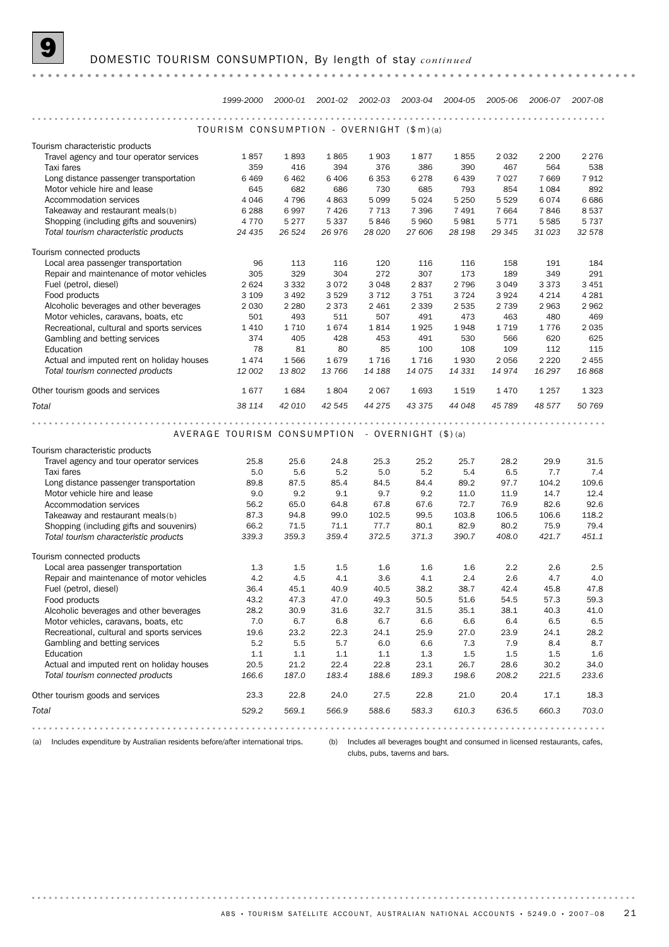|                                            | 1999-2000                                       |         | 2000-01 2001-02 2002-03 2003-04 |         |         | 2004-05 | 2005-06 | 2006-07 | 2007-08 |
|--------------------------------------------|-------------------------------------------------|---------|---------------------------------|---------|---------|---------|---------|---------|---------|
|                                            |                                                 |         |                                 | .       |         | .       |         |         |         |
|                                            | TOURISM CONSUMPTION - OVERNIGHT (\$m)(a)        |         |                                 |         |         |         |         |         |         |
| Tourism characteristic products            |                                                 |         |                                 |         |         |         |         |         |         |
| Travel agency and tour operator services   | 1857                                            | 1893    | 1865                            | 1903    | 1877    | 1855    | 2 0 3 2 | 2 2 0 0 | 2 2 7 6 |
| Taxi fares                                 | 359                                             | 416     | 394                             | 376     | 386     | 390     | 467     | 564     | 538     |
| Long distance passenger transportation     | 6 4 6 9                                         | 6 4 6 2 | 6406                            | 6353    | 6278    | 6439    | 7027    | 7 6 6 9 | 7912    |
| Motor vehicle hire and lease               | 645                                             | 682     | 686                             | 730     | 685     | 793     | 854     | 1 0 8 4 | 892     |
| Accommodation services                     | 4 0 4 6                                         | 4796    | 4863                            | 5 0 9 9 | 5 0 2 4 | 5 2 5 0 | 5529    | 6074    | 6686    |
| Takeaway and restaurant meals(b)           | 6 2 8 8                                         | 6997    | 7426                            | 7713    | 7 3 9 6 | 7491    | 7664    | 7846    | 8537    |
| Shopping (including gifts and souvenirs)   | 4 7 7 0                                         | 5 2 7 7 | 5 3 3 7                         | 5846    | 5960    | 5981    | 5771    | 5 5 8 5 | 5737    |
| Total tourism characteristic products      | 24 435                                          | 26 5 24 | 26 976                          | 28 0 20 | 27 606  | 28 198  | 29 345  | 31 0 23 | 32 578  |
| Tourism connected products                 |                                                 |         |                                 |         |         |         |         |         |         |
| Local area passenger transportation        | 96                                              | 113     | 116                             | 120     | 116     | 116     | 158     | 191     | 184     |
| Repair and maintenance of motor vehicles   | 305                                             | 329     | 304                             | 272     | 307     | 173     | 189     | 349     | 291     |
| Fuel (petrol, diesel)                      | 2 6 2 4                                         | 3 3 3 2 | 3072                            | 3 0 4 8 | 2837    | 2 7 9 6 | 3 0 4 9 | 3 3 7 3 | 3 4 5 1 |
| Food products                              | 3 1 0 9                                         | 3 4 9 2 | 3529                            | 3 7 1 2 | 3751    | 3724    | 3924    | 4 2 1 4 | 4 2 8 1 |
| Alcoholic beverages and other beverages    | 2 0 3 0                                         | 2 2 8 0 | 2 3 7 3                         | 2 4 6 1 | 2 3 3 9 | 2 5 3 5 | 2 7 3 9 | 2 9 6 3 | 2962    |
| Motor vehicles, caravans, boats, etc       | 501                                             | 493     | 511                             | 507     | 491     | 473     | 463     | 480     | 469     |
| Recreational, cultural and sports services | 1 4 1 0                                         | 1710    | 1674                            | 1814    | 1925    | 1948    | 1719    | 1776    | 2 0 3 5 |
| Gambling and betting services              | 374                                             | 405     | 428                             | 453     | 491     | 530     | 566     | 620     | 625     |
| Education                                  | 78                                              | 81      | 80                              | 85      | 100     | 108     | 109     | 112     | 115     |
| Actual and imputed rent on holiday houses  | 1474                                            | 1566    | 1679                            | 1716    | 1716    | 1930    | 2056    | 2 2 2 0 | 2 4 5 5 |
| Total tourism connected products           | 12 002                                          | 13 802  | 13 766                          | 14 188  | 14 075  | 14 331  | 14974   | 16 297  | 16 868  |
| Other tourism goods and services           | 1677                                            | 1684    | 1804                            | 2067    | 1693    | 1519    | 1 4 7 0 | 1 2 5 7 | 1 3 2 3 |
| Total                                      | 38 114                                          | 42 010  | 42 545                          | 44 275  | 43 375  | 44 048  | 45 789  | 48 577  | 50 769  |
| .                                          |                                                 |         |                                 |         | 0.000   |         |         |         |         |
|                                            | AVERAGE TOURISM CONSUMPTION - OVERNIGHT (\$)(a) |         |                                 |         |         |         |         |         |         |
| Tourism characteristic products            |                                                 |         |                                 |         |         |         |         |         |         |
| Travel agency and tour operator services   | 25.8                                            | 25.6    | 24.8                            | 25.3    | 25.2    | 25.7    | 28.2    | 29.9    | 31.5    |
| Taxi fares                                 | 5.0                                             | 5.6     | 5.2                             | 5.0     | 5.2     | 5.4     | 6.5     | 7.7     | 7.4     |
| Long distance passenger transportation     | 89.8                                            | 87.5    | 85.4                            | 84.5    | 84.4    | 89.2    | 97.7    | 104.2   | 109.6   |
| Motor vehicle hire and lease               | 9.0                                             | 9.2     | 9.1                             | 9.7     | 9.2     | 11.0    | 11.9    | 14.7    | 12.4    |
| Accommodation services                     | 56.2                                            | 65.0    | 64.8                            | 67.8    | 67.6    | 72.7    | 76.9    | 82.6    | 92.6    |
| Takeaway and restaurant meals(b)           | 87.3                                            | 94.8    | 99.0                            | 102.5   | 99.5    | 103.8   | 106.5   | 106.6   | 118.2   |
| Shopping (including gifts and souvenirs)   | 66.2                                            | 71.5    | 71.1                            | 77.7    | 80.1    | 82.9    | 80.2    | 75.9    | 79.4    |
| Total tourism characteristic products      | 339.3                                           | 359.3   | 359.4                           | 372.5   | 371.3   | 390.7   | 408.0   | 421.7   | 451.1   |
| Tourism connected products                 |                                                 |         |                                 |         |         |         |         |         |         |
| Local area passenger transportation        | 1.3                                             | 1.5     | 1.5                             | 1.6     | 1.6     | 1.6     | 2.2     | 2.6     | 2.5     |
| Repair and maintenance of motor vehicles   | 4.2                                             | 4.5     | 4.1                             | 3.6     | 4.1     | 2.4     | 2.6     | 4.7     | 4.0     |
| Fuel (petrol, diesel)                      | 36.4                                            | 45.1    | 40.9                            | 40.5    | 38.2    | 38.7    | 42.4    | 45.8    | 47.8    |
| Food products                              | 43.2                                            | 47.3    | 47.0                            | 49.3    | 50.5    | 51.6    | 54.5    | 57.3    | 59.3    |
| Alcoholic beverages and other beverages    | 28.2                                            | 30.9    | 31.6                            | 32.7    | 31.5    | 35.1    | 38.1    | 40.3    | 41.0    |
| Motor vehicles, caravans, boats, etc.      | 7.0                                             | 6.7     | 6.8                             | 6.7     | 6.6     | 6.6     | 6.4     | 6.5     | 6.5     |
| Recreational, cultural and sports services | 19.6                                            | 23.2    | 22.3                            | 24.1    | 25.9    | 27.0    | 23.9    | 24.1    | 28.2    |
| Gambling and betting services              | 5.2                                             | 5.5     | 5.7                             | 6.0     | 6.6     | 7.3     | 7.9     | 8.4     | 8.7     |
| Education                                  | 1.1                                             | 1.1     | 1.1                             | 1.1     | 1.3     | 1.5     | 1.5     | 1.5     | 1.6     |
| Actual and imputed rent on holiday houses  | 20.5                                            | 21.2    | 22.4                            | 22.8    | 23.1    | 26.7    | 28.6    | 30.2    | 34.0    |
| Total tourism connected products           | 166.6                                           | 187.0   | 183.4                           | 188.6   | 189.3   | 198.6   | 208.2   | 221.5   | 233.6   |
| Other tourism goods and services           | 23.3                                            | 22.8    | 24.0                            | 27.5    | 22.8    | 21.0    | 20.4    | 17.1    | 18.3    |
| Total                                      | 529.2                                           | 569.1   | 566.9                           | 588.6   | 583.3   | 610.3   | 636.5   | 660.3   | 703.0   |
|                                            |                                                 |         |                                 |         |         |         |         |         |         |

(a) Includes expenditure by Australian residents before/after international trips. (b) Includes all beverages bought and consumed in licensed restaurants, cafes, clubs, pubs, taverns and bars.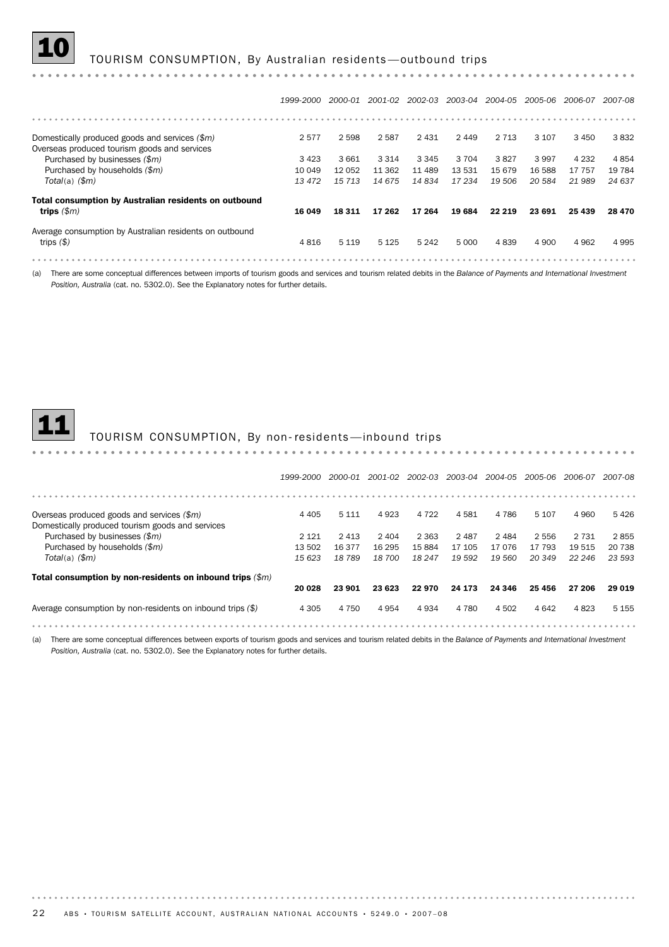| 1999-2000 2000-01 2001-02 2002-03 2003-04 2004-05 2005-06 2006-07 2007-08 |  |  |  |  |  |  |  |  |
|---------------------------------------------------------------------------|--|--|--|--|--|--|--|--|
|---------------------------------------------------------------------------|--|--|--|--|--|--|--|--|

4 816 5 119 5 125 5 242 5 000 4 839 4 900 4 962 4 995

| Domestically produced goods and services (\$m)          | 2577   | 2598    | 2587    | 2 4 3 1 | 2449   | 2 7 1 3 | 3 1 0 7 | 3 4 5 0 | 3832    |
|---------------------------------------------------------|--------|---------|---------|---------|--------|---------|---------|---------|---------|
| Overseas produced tourism goods and services            |        |         |         |         |        |         |         |         |         |
| Purchased by businesses (\$m)                           | 3423   | 3661    | 3 3 1 4 | 3 3 4 5 | 3 704  | 3827    | 3 9 9 7 | 4 2 3 2 | 4854    |
| Purchased by households (\$m)                           | 10 049 | 12 052  | 11 362  | 11 489  | 13 531 | 15679   | 16 588  | 17 757  | 19 7 84 |
| $Total(a)$ $(\$m)$                                      | 13 472 | 15 7 13 | 14 675  | 14834   | 17 234 | 19 506  | 20 584  | 21 989  | 24 637  |
| Total consumption by Australian residents on outbound   |        |         |         |         |        |         |         |         |         |
| trips $(\$m)$                                           | 16 049 | 18 3 11 | 17 262  | 17 264  | 19684  | 22 219  | 23 691  | 25 439  | 28 470  |
| Average consumption by Australian residents on outbound |        |         |         |         |        |         |         |         |         |

(a) There are some conceptual differences between imports of tourism goods and services and tourism related debits in the *Balance of Payments and International Investment Position, Australia* (cat. no. 5302.0). See the Explanatory notes for further details.

trips *(\$)*

#### 11 TOURISM CONSUMPTION, By non- residents —inbound trips

|                                                              | 1999-2000 | 2000-01 | 2001-02 | 2002-03 | 2003-04 | 2004-05 | 2005-06 | 2006-07 | 2007-08 |
|--------------------------------------------------------------|-----------|---------|---------|---------|---------|---------|---------|---------|---------|
|                                                              |           |         |         |         |         |         |         |         |         |
| Overseas produced goods and services (\$m)                   | 4 4 0 5   | 5 1 1 1 | 4 9 2 3 | 4 7 2 2 | 4581    | 4 7 8 6 | 5 1 0 7 | 4 9 6 0 | 5426    |
| Domestically produced tourism goods and services             |           |         |         |         |         |         |         |         |         |
| Purchased by businesses (\$m)                                | 2 1 2 1   | 2 4 1 3 | 2 4 0 4 | 2 3 6 3 | 2487    | 2484    | 2 5 5 6 | 2 7 3 1 | 2855    |
| Purchased by households (\$m)                                | 13 502    | 16 377  | 16 295  | 15884   | 17 105  | 17076   | 17 793  | 19515   | 20 738  |
| Total(a) $(\$m)$                                             | 15 623    | 18789   | 18 700  | 18 247  | 19 592  | 19 560  | 20 349  | 22 246  | 23 593  |
| Total consumption by non-residents on inbound trips $(\$m)$  |           |         |         |         |         |         |         |         |         |
|                                                              | 20 028    | 23 901  | 23 623  | 22 970  | 24 173  | 24 34 6 | 25 456  | 27 206  | 29 019  |
| Average consumption by non-residents on inbound trips $(\$)$ | 4 3 0 5   | 4 7 5 0 | 4954    | 4934    | 4 7 8 0 | 4 5 0 2 | 4 6 4 2 | 4823    | 5 1 5 5 |
|                                                              |           |         |         |         |         |         |         |         |         |

(a) There are some conceptual differences between exports of tourism goods and services and tourism related debits in the *Balance of Payments and International Investment Position, Australia* (cat. no. 5302.0). See the Explanatory notes for further details.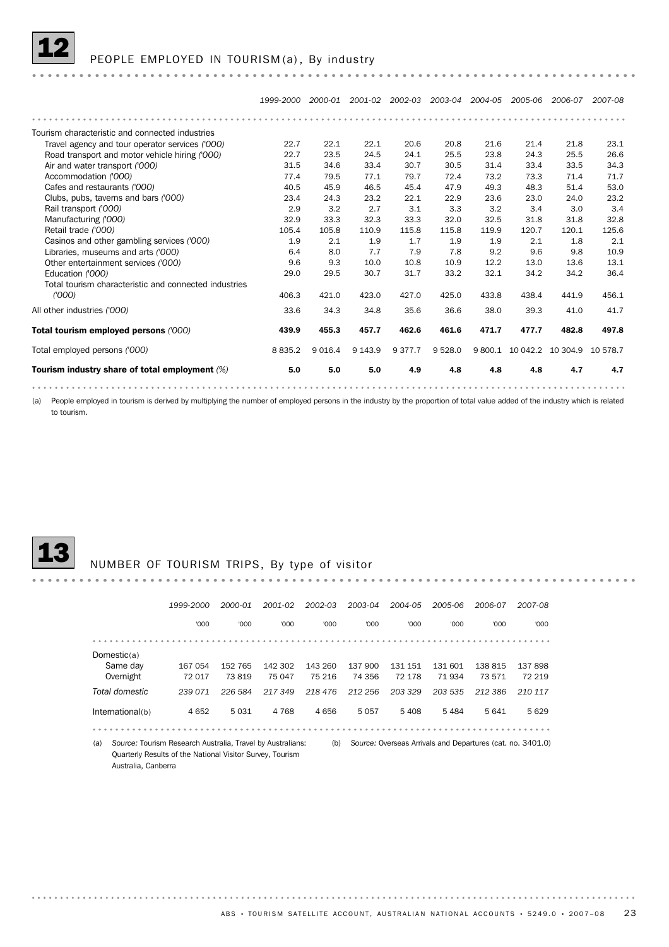

PEOPLE EMPLOYED IN TOURISM (a), By industry

*1999-2000 2000-01 2001-02 2002-03 2003-04 2004-05 2005-06 2006-07 2007-08* Tourism characteristic and connected industries Travel agency and tour operator services *('000)* 22.7 22.1 22.1 20.6 20.8 21.6 21.4 21.8 23.1 Road transport and motor vehicle hiring *('000)* 22.7 23.5 24.5 24.1 25.5 23.8 24.3 25.5 26.6 Air and water transport *('000)* 31.5 34.6 33.4 30.7 30.5 31.4 33.4 33.5 34.3 Accommodation *('000)* 77.4 79.5 77.1 79.7 72.4 73.2 73.3 71.4 71.7 Clubs, pubs, taverns and bars *('000)* 23.4 24.3 23.2 22.1 22.9 23.6 23.0 24.0 23.2 Cafes and restaurants *('000)* 40.5 45.9 46.5 45.4 47.9 49.3 48.3 51.4 53.0 Clubs, pubs, taverns and pais (boot)<br>
Rail transport ('000)<br>
Manufacturing ('000)<br>
32.9 32.9 32.3 32.3 32.3 32.0 32.5 31.8 31.8 32.8 Rail transport *('000)* 2.9 3.2 2.7 3.1 3.3 3.2 3.4 3.0 3.4 Retail trade ('000)<br>Retail trade ('000)<br>Retail trade ('000)<br>105.4 105.8 110.9 115.8 115.8 119.9 120.7 120.1 125.6 Casinos and other gambling services ('000)<br>Libraries, museums and arts ('000) 6.4 8.0 7.7 7.9 7.8 9.2 9.6 9.8 10.9 Casinos and other gambling services *('000)* 1.9 2.1 1.9 1.7 1.9 1.9 2.1 1.8 2.1 Other entertainment services *('000)* 9.6 9.3 10.0 10.8 10.9 12.2 13.0 13.6 13.1 Education *('000)* 29.0 29.5 30.7 31.7 33.2 32.1 34.2 34.2 36.4 Total tourism characteristic and connected industries 406.3 421.0 423.0 427.0 425.0 433.8 438.4 441.9 456.1 *('000)* All other industries *('000)* 33.6 34.3 34.8 35.6 36.6 38.0 39.3 41.0 41.7 Total tourism employed persons *('000)* 439.9 455.3 457.7 462.6 461.6 471.7 477.7 482.8 497.8 Total employed persons *('000)* 8 835.2 9 016.4 9 143.9 9 377.7 9 528.0 9 800.1 10 042.2 10 304.9 10 578.7 Tourism industry share of total employment *(%)* 5.0 5.0 5.0 4.9 4.8 4.8 4.8 4.7 4.7

(a) People employed in tourism is derived by multiplying the number of employed persons in the industry by the proportion of total value added of the industry which is related to tourism.



#### NUMBER OF TOURISM TRIPS, By type of visitor

|                                                                   | 1999-2000 | 2000-01 | 2001-02 | 2002-03 | 2003-04 | 2004-05                                                    | 2005-06 | 2006-07 | 2007-08 |
|-------------------------------------------------------------------|-----------|---------|---------|---------|---------|------------------------------------------------------------|---------|---------|---------|
|                                                                   | '000      | '000    | '000    | '000    | '000    | '000                                                       | '000    | '000    | '000    |
|                                                                   |           |         |         |         |         |                                                            |         |         |         |
| Domestic $(a)$                                                    |           |         |         |         |         |                                                            |         |         |         |
| Same day                                                          | 167 054   | 152 765 | 142 302 | 143 260 | 137 900 | 131 151                                                    | 131 601 | 138 815 | 137898  |
| Overnight                                                         | 72 017    | 73819   | 75 047  | 75 216  | 74 356  | 72 178                                                     | 71 934  | 73571   | 72 219  |
| Total domestic                                                    | 239 071   | 226 584 | 217349  | 218 476 | 212 256 | 203 329                                                    | 203 535 | 212 386 | 210 117 |
| International(b)                                                  | 4 6 5 2   | 5031    | 4 7 6 8 | 4656    | 5057    | 5408                                                       | 5484    | 5 6 4 1 | 5629    |
|                                                                   |           |         |         |         |         |                                                            |         |         |         |
| (a)<br>Source: Tourism Research Australia, Travel by Australians: |           |         |         | (b)     |         | Source: Overseas Arrivals and Departures (cat. no. 3401.0) |         |         |         |

Quarterly Results of the National Visitor Survey, Tourism Australia, Canberra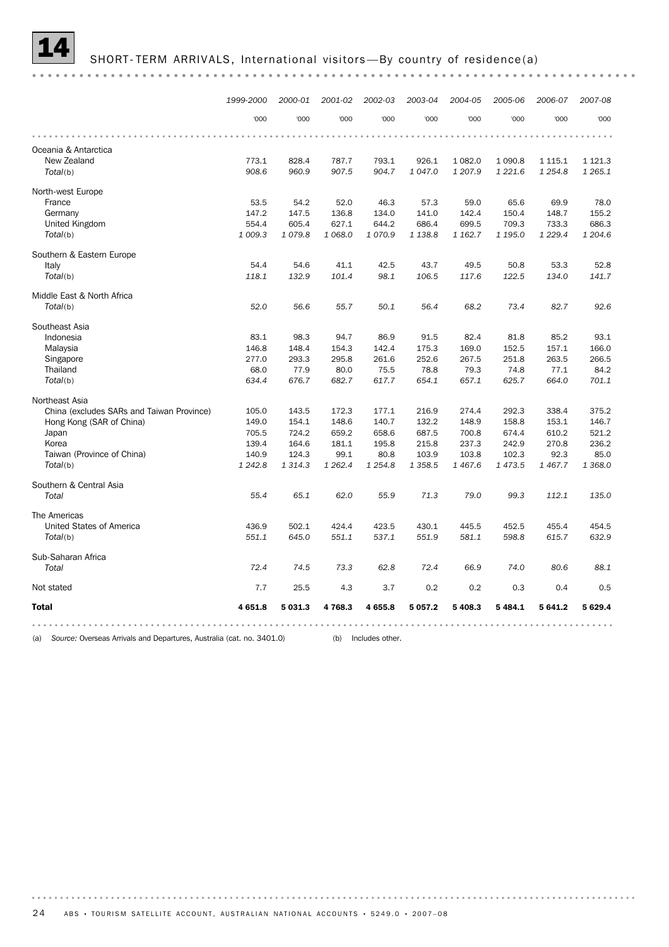

|--|--|--|--|

|                                           | 1999-2000 | 2000-01     | 2001-02 | 2002-03   | 2003-04     | 2004-05   | 2005-06   | 2006-07     | 2007-08     |
|-------------------------------------------|-----------|-------------|---------|-----------|-------------|-----------|-----------|-------------|-------------|
|                                           | '000      | '000        | '000    | '000      | '000        | '000      | '000      | '000        | '000        |
|                                           |           |             |         |           |             |           |           |             |             |
| Oceania & Antarctica                      |           |             |         |           |             |           |           |             |             |
| New Zealand                               | 773.1     | 828.4       | 787.7   | 793.1     | 926.1       | 1 082.0   | 1 0 9 0.8 | 1 1 1 5 . 1 | 1 1 2 1 . 3 |
| Total(b)                                  | 908.6     | 960.9       | 907.5   | 904.7     | 1 0 4 7 .0  | 1 207.9   | 1 2 2 1.6 | 1 2 5 4.8   | 1 2 6 5 . 1 |
| North-west Europe                         |           |             |         |           |             |           |           |             |             |
| France                                    | 53.5      | 54.2        | 52.0    | 46.3      | 57.3        | 59.0      | 65.6      | 69.9        | 78.0        |
| Germany                                   | 147.2     | 147.5       | 136.8   | 134.0     | 141.0       | 142.4     | 150.4     | 148.7       | 155.2       |
| United Kingdom                            | 554.4     | 605.4       | 627.1   | 644.2     | 686.4       | 699.5     | 709.3     | 733.3       | 686.3       |
| Total(b)                                  | 1 009.3   | 1079.8      | 1 068.0 | 1070.9    | 1 1 38.8    | 1 1 6 2.7 | 1 195.0   | 1 2 2 9 . 4 | 1 204.6     |
| Southern & Eastern Europe                 |           |             |         |           |             |           |           |             |             |
| Italy                                     | 54.4      | 54.6        | 41.1    | 42.5      | 43.7        | 49.5      | 50.8      | 53.3        | 52.8        |
| Total(b)                                  | 118.1     | 132.9       | 101.4   | 98.1      | 106.5       | 117.6     | 122.5     | 134.0       | 141.7       |
| Middle East & North Africa                |           |             |         |           |             |           |           |             |             |
| Total(b)                                  | 52.0      | 56.6        | 55.7    | 50.1      | 56.4        | 68.2      | 73.4      | 82.7        | 92.6        |
| Southeast Asia                            |           |             |         |           |             |           |           |             |             |
| Indonesia                                 | 83.1      | 98.3        | 94.7    | 86.9      | 91.5        | 82.4      | 81.8      | 85.2        | 93.1        |
| Malaysia                                  | 146.8     | 148.4       | 154.3   | 142.4     | 175.3       | 169.0     | 152.5     | 157.1       | 166.0       |
| Singapore                                 | 277.0     | 293.3       | 295.8   | 261.6     | 252.6       | 267.5     | 251.8     | 263.5       | 266.5       |
| Thailand                                  | 68.0      | 77.9        | 80.0    | 75.5      | 78.8        | 79.3      | 74.8      | 77.1        | 84.2        |
| Total(b)                                  | 634.4     | 676.7       | 682.7   | 617.7     | 654.1       | 657.1     | 625.7     | 664.0       | 701.1       |
| Northeast Asia                            |           |             |         |           |             |           |           |             |             |
| China (excludes SARs and Taiwan Province) | 105.0     | 143.5       | 172.3   | 177.1     | 216.9       | 274.4     | 292.3     | 338.4       | 375.2       |
| Hong Kong (SAR of China)                  | 149.0     | 154.1       | 148.6   | 140.7     | 132.2       | 148.9     | 158.8     | 153.1       | 146.7       |
| Japan                                     | 705.5     | 724.2       | 659.2   | 658.6     | 687.5       | 700.8     | 674.4     | 610.2       | 521.2       |
| Korea                                     | 139.4     | 164.6       | 181.1   | 195.8     | 215.8       | 237.3     | 242.9     | 270.8       | 236.2       |
| Taiwan (Province of China)                | 140.9     | 124.3       | 99.1    | 80.8      | 103.9       | 103.8     | 102.3     | 92.3        | 85.0        |
| Total(b)                                  | 1 2 4 2.8 | 1 3 1 4 . 3 | 1 262.4 | 1 2 5 4.8 | 1 3 5 8.5   | 1 4 6 7.6 | 1 473.5   | 1 467.7     | 1 368.0     |
| Southern & Central Asia                   |           |             |         |           |             |           |           |             |             |
| Total                                     | 55.4      | 65.1        | 62.0    | 55.9      | 71.3        | 79.0      | 99.3      | 112.1       | 135.0       |
|                                           |           |             |         |           |             |           |           |             |             |
| The Americas                              |           |             |         |           |             |           |           |             |             |
| United States of America                  | 436.9     | 502.1       | 424.4   | 423.5     | 430.1       | 445.5     | 452.5     | 455.4       | 454.5       |
| Total(b)                                  | 551.1     | 645.0       | 551.1   | 537.1     | 551.9       | 581.1     | 598.8     | 615.7       | 632.9       |
| Sub-Saharan Africa                        |           |             |         |           |             |           |           |             |             |
| Total                                     | 72.4      | 74.5        | 73.3    | 62.8      | 72.4        | 66.9      | 74.0      | 80.6        | 88.1        |
| Not stated                                | 7.7       | 25.5        | 4.3     | 3.7       | 0.2         | 0.2       | 0.3       | 0.4         | 0.5         |
| <b>Total</b>                              | 4 651.8   | 5 031.3     | 4768.3  | 4 655.8   | 5 0 5 7 . 2 | 5 408.3   | 5 4 8 4.1 | 5 641.2     | 5629.4      |
|                                           |           |             |         |           |             |           |           |             |             |

(a) *Source:* Overseas Arrivals and Departures, Australia (cat. no. 3401.0) (b) Includes other.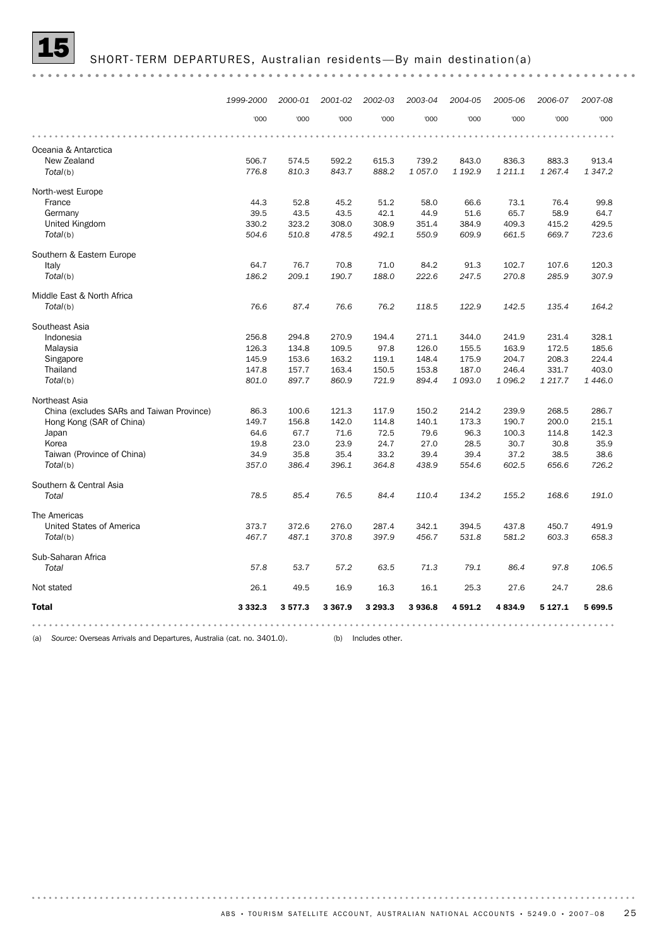

|--|--|

 $\dot{\alpha}$  ,  $\dot{\alpha}$ 

|                                           | 1999-2000   | 2000-01 | 2001-02     | 2002-03 | 2003-04 | 2004-05 | 2005-06   | 2006-07     | 2007-08     |
|-------------------------------------------|-------------|---------|-------------|---------|---------|---------|-----------|-------------|-------------|
|                                           | '000        | '000    | '000        | '000    | '000    | '000    | '000      | '000        | '000        |
|                                           |             |         |             |         |         |         |           |             |             |
| Oceania & Antarctica                      |             |         |             |         |         |         |           |             |             |
| New Zealand                               | 506.7       | 574.5   | 592.2       | 615.3   | 739.2   | 843.0   | 836.3     | 883.3       | 913.4       |
| Total(b)                                  | 776.8       | 810.3   | 843.7       | 888.2   | 1 057.0 | 1 192.9 | 1 211.1   | 1 2 6 7 . 4 | 1 3 4 7 . 2 |
| North-west Europe                         |             |         |             |         |         |         |           |             |             |
| France                                    | 44.3        | 52.8    | 45.2        | 51.2    | 58.0    | 66.6    | 73.1      | 76.4        | 99.8        |
| Germany                                   | 39.5        | 43.5    | 43.5        | 42.1    | 44.9    | 51.6    | 65.7      | 58.9        | 64.7        |
| United Kingdom                            | 330.2       | 323.2   | 308.0       | 308.9   | 351.4   | 384.9   | 409.3     | 415.2       | 429.5       |
| Total(b)                                  | 504.6       | 510.8   | 478.5       | 492.1   | 550.9   | 609.9   | 661.5     | 669.7       | 723.6       |
| Southern & Eastern Europe                 |             |         |             |         |         |         |           |             |             |
| Italy                                     | 64.7        | 76.7    | 70.8        | 71.0    | 84.2    | 91.3    | 102.7     | 107.6       | 120.3       |
| Total(b)                                  | 186.2       | 209.1   | 190.7       | 188.0   | 222.6   | 247.5   | 270.8     | 285.9       | 307.9       |
| Middle East & North Africa                |             |         |             |         |         |         |           |             |             |
| Total(b)                                  | 76.6        | 87.4    | 76.6        | 76.2    | 118.5   | 122.9   | 142.5     | 135.4       | 164.2       |
| Southeast Asia                            |             |         |             |         |         |         |           |             |             |
| Indonesia                                 | 256.8       | 294.8   | 270.9       | 194.4   | 271.1   | 344.0   | 241.9     | 231.4       | 328.1       |
| Malaysia                                  | 126.3       | 134.8   | 109.5       | 97.8    | 126.0   | 155.5   | 163.9     | 172.5       | 185.6       |
| Singapore                                 | 145.9       | 153.6   | 163.2       | 119.1   | 148.4   | 175.9   | 204.7     | 208.3       | 224.4       |
| Thailand                                  | 147.8       | 157.7   | 163.4       | 150.5   | 153.8   | 187.0   | 246.4     | 331.7       | 403.0       |
| Total(b)                                  | 801.0       | 897.7   | 860.9       | 721.9   | 894.4   | 1 093.0 | 1 0 9 6.2 | 1 217.7     | 1 4 4 6.0   |
| Northeast Asia                            |             |         |             |         |         |         |           |             |             |
| China (excludes SARs and Taiwan Province) | 86.3        | 100.6   | 121.3       | 117.9   | 150.2   | 214.2   | 239.9     | 268.5       | 286.7       |
| Hong Kong (SAR of China)                  | 149.7       | 156.8   | 142.0       | 114.8   | 140.1   | 173.3   | 190.7     | 200.0       | 215.1       |
| Japan                                     | 64.6        | 67.7    | 71.6        | 72.5    | 79.6    | 96.3    | 100.3     | 114.8       | 142.3       |
| Korea                                     | 19.8        | 23.0    | 23.9        | 24.7    | 27.0    | 28.5    | 30.7      | 30.8        | 35.9        |
| Taiwan (Province of China)                | 34.9        | 35.8    | 35.4        | 33.2    | 39.4    | 39.4    | 37.2      | 38.5        | 38.6        |
| Total(b)                                  | 357.0       | 386.4   | 396.1       | 364.8   | 438.9   | 554.6   | 602.5     | 656.6       | 726.2       |
| Southern & Central Asia                   |             |         |             |         |         |         |           |             |             |
| Total                                     | 78.5        | 85.4    | 76.5        | 84.4    | 110.4   | 134.2   | 155.2     | 168.6       | 191.0       |
| The Americas                              |             |         |             |         |         |         |           |             |             |
| United States of America                  | 373.7       | 372.6   | 276.0       | 287.4   | 342.1   | 394.5   | 437.8     | 450.7       | 491.9       |
| Total(b)                                  | 467.7       | 487.1   | 370.8       | 397.9   | 456.7   | 531.8   | 581.2     | 603.3       | 658.3       |
| Sub-Saharan Africa                        |             |         |             |         |         |         |           |             |             |
| Total                                     | 57.8        | 53.7    | 57.2        | 63.5    | 71.3    | 79.1    | 86.4      | 97.8        | 106.5       |
| Not stated                                | 26.1        | 49.5    | 16.9        | 16.3    | 16.1    | 25.3    | 27.6      | 24.7        | 28.6        |
| <b>Total</b>                              | 3 3 3 2 . 3 | 3577.3  | 3 3 6 7 . 9 | 3 293.3 | 3936.8  | 4 591.2 | 4834.9    | 5 1 2 7 . 1 | 5699.5      |
|                                           |             |         |             |         |         |         |           |             |             |

(a) *Source:* Overseas Arrivals and Departures, Australia (cat. no. 3401.0). (b) Includes other.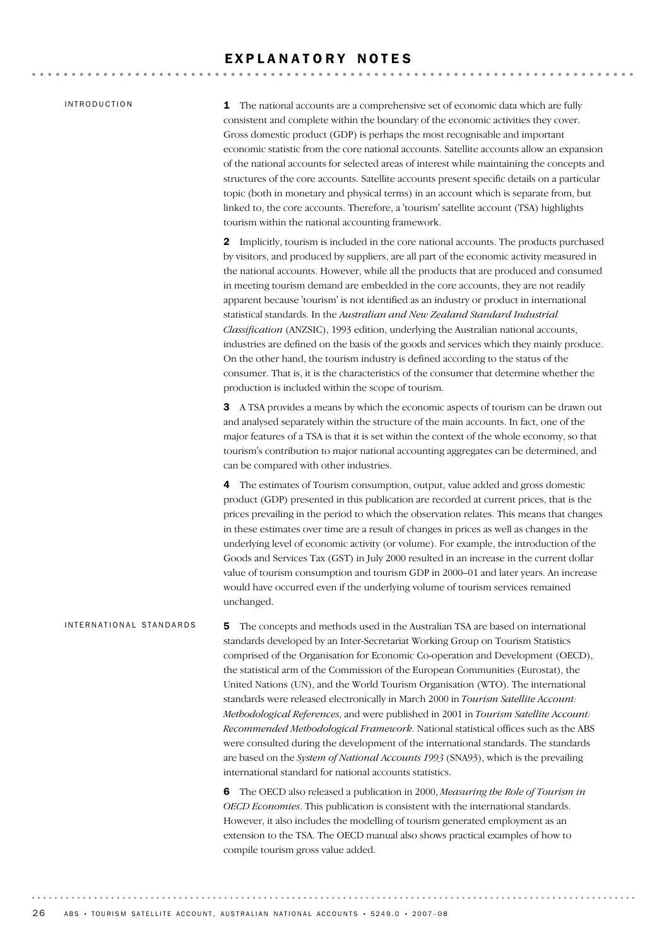#### EXPLANATORY NOTES

#### INTRODUCTION

**1** The national accounts are a comprehensive set of economic data which are fully consistent and complete within the boundary of the economic activities they cover. Gross domestic product (GDP) is perhaps the most recognisable and important economic statistic from the core national accounts. Satellite accounts allow an expansion of the national accounts for selected areas of interest while maintaining the concepts and structures of the core accounts. Satellite accounts present specific details on a particular topic (both in monetary and physical terms) in an account which is separate from, but linked to, the core accounts. Therefore, a 'tourism' satellite account (TSA) highlights tourism within the national accounting framework.

2 Implicitly, tourism is included in the core national accounts. The products purchased by visitors, and produced by suppliers, are all part of the economic activity measured in the national accounts. However, while all the products that are produced and consumed in meeting tourism demand are embedded in the core accounts, they are not readily apparent because 'tourism' is not identified as an industry or product in international statistical standards. In the *Australian and New Zealand Standard Industrial Classification* (ANZSIC), 1993 edition, underlying the Australian national accounts, industries are defined on the basis of the goods and services which they mainly produce. On the other hand, the tourism industry is defined according to the status of the consumer. That is, it is the characteristics of the consumer that determine whether the production is included within the scope of tourism.

**3** A TSA provides a means by which the economic aspects of tourism can be drawn out and analysed separately within the structure of the main accounts. In fact, one of the major features of a TSA is that it is set within the context of the whole economy, so that tourism's contribution to major national accounting aggregates can be determined, and can be compared with other industries.

4 The estimates of Tourism consumption, output, value added and gross domestic product (GDP) presented in this publication are recorded at current prices, that is the prices prevailing in the period to which the observation relates. This means that changes in these estimates over time are a result of changes in prices as well as changes in the underlying level of economic activity (or volume). For example, the introduction of the Goods and Services Tax (GST) in July 2000 resulted in an increase in the current dollar value of tourism consumption and tourism GDP in 2000–01 and later years. An increase would have occurred even if the underlying volume of tourism services remained unchanged.

5 The concepts and methods used in the Australian TSA are based on international standards developed by an Inter-Secretariat Working Group on Tourism Statistics comprised of the Organisation for Economic Co-operation and Development (OECD), the statistical arm of the Commission of the European Communities (Eurostat), the United Nations (UN), and the World Tourism Organisation (WTO). The international standards were released electronically in March 2000 in *Tourism Satellite Account: Methodological References*, and were published in 2001 in *Tourism Satellite Account: Recommended Methodological Framework*. National statistical offices such as the ABS were consulted during the development of the international standards. The standards are based on the *System of National Accounts 1993* (SNA93), which is the prevailing international standard for national accounts statistics. IN T E R N A T I O N A L S T A N D A R D S

> 6 The OECD also released a publication in 2000, *Measuring the Role of Tourism in OECD Economies*. This publication is consistent with the international standards. However, it also includes the modelling of tourism generated employment as an extension to the TSA. The OECD manual also shows practical examples of how to compile tourism gross value added.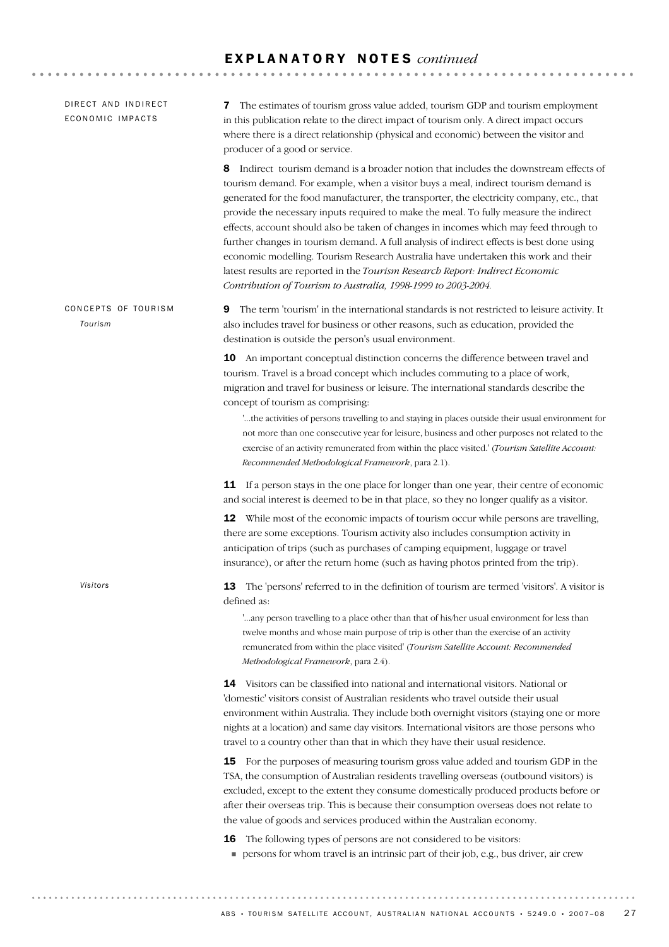$\ddot{\phantom{a}}$ 

| DIRECT AND INDIRECT<br>ECONOMIC IMPACTS | The estimates of tourism gross value added, tourism GDP and tourism employment<br>7<br>in this publication relate to the direct impact of tourism only. A direct impact occurs<br>where there is a direct relationship (physical and economic) between the visitor and<br>producer of a good or service.                                                                                                                                                                                                                                                                                                                                                                                                                                                                                            |
|-----------------------------------------|-----------------------------------------------------------------------------------------------------------------------------------------------------------------------------------------------------------------------------------------------------------------------------------------------------------------------------------------------------------------------------------------------------------------------------------------------------------------------------------------------------------------------------------------------------------------------------------------------------------------------------------------------------------------------------------------------------------------------------------------------------------------------------------------------------|
|                                         | Indirect tourism demand is a broader notion that includes the downstream effects of<br>8<br>tourism demand. For example, when a visitor buys a meal, indirect tourism demand is<br>generated for the food manufacturer, the transporter, the electricity company, etc., that<br>provide the necessary inputs required to make the meal. To fully measure the indirect<br>effects, account should also be taken of changes in incomes which may feed through to<br>further changes in tourism demand. A full analysis of indirect effects is best done using<br>economic modelling. Tourism Research Australia have undertaken this work and their<br>latest results are reported in the Tourism Research Report: Indirect Economic<br>Contribution of Tourism to Australia, 1998-1999 to 2003-2004. |
| CONCEPTS OF TOURISM<br>Tourism          | The term 'tourism' in the international standards is not restricted to leisure activity. It<br>9<br>also includes travel for business or other reasons, such as education, provided the<br>destination is outside the person's usual environment.                                                                                                                                                                                                                                                                                                                                                                                                                                                                                                                                                   |
|                                         | <b>10</b> An important conceptual distinction concerns the difference between travel and<br>tourism. Travel is a broad concept which includes commuting to a place of work,<br>migration and travel for business or leisure. The international standards describe the<br>concept of tourism as comprising:<br>"the activities of persons travelling to and staying in places outside their usual environment for<br>not more than one consecutive year for leisure, business and other purposes not related to the<br>exercise of an activity remunerated from within the place visited.' (Tourism Satellite Account:<br>Recommended Methodological Framework, para 2.1).                                                                                                                           |
|                                         | If a person stays in the one place for longer than one year, their centre of economic<br>11<br>and social interest is deemed to be in that place, so they no longer qualify as a visitor.                                                                                                                                                                                                                                                                                                                                                                                                                                                                                                                                                                                                           |
|                                         | While most of the economic impacts of tourism occur while persons are travelling,<br>12<br>there are some exceptions. Tourism activity also includes consumption activity in<br>anticipation of trips (such as purchases of camping equipment, luggage or travel<br>insurance), or after the return home (such as having photos printed from the trip).                                                                                                                                                                                                                                                                                                                                                                                                                                             |
| Visitors                                | The 'persons' referred to in the definition of tourism are termed 'visitors'. A visitor is<br>13<br>defined as:                                                                                                                                                                                                                                                                                                                                                                                                                                                                                                                                                                                                                                                                                     |
|                                         | " any person travelling to a place other than that of his/her usual environment for less than<br>twelve months and whose main purpose of trip is other than the exercise of an activity<br>remunerated from within the place visited' (Tourism Satellite Account: Recommended<br>Methodological Framework, para 2.4).                                                                                                                                                                                                                                                                                                                                                                                                                                                                               |
|                                         | 14 Visitors can be classified into national and international visitors. National or<br>'domestic' visitors consist of Australian residents who travel outside their usual<br>environment within Australia. They include both overnight visitors (staying one or more<br>nights at a location) and same day visitors. International visitors are those persons who<br>travel to a country other than that in which they have their usual residence.                                                                                                                                                                                                                                                                                                                                                  |
|                                         | 15 For the purposes of measuring tourism gross value added and tourism GDP in the<br>TSA, the consumption of Australian residents travelling overseas (outbound visitors) is<br>excluded, except to the extent they consume domestically produced products before or<br>after their overseas trip. This is because their consumption overseas does not relate to<br>the value of goods and services produced within the Australian economy.                                                                                                                                                                                                                                                                                                                                                         |
|                                         | The following types of persons are not considered to be visitors:<br>16                                                                                                                                                                                                                                                                                                                                                                                                                                                                                                                                                                                                                                                                                                                             |

! persons for whom travel is an intrinsic part of their job, e.g., bus driver, air crew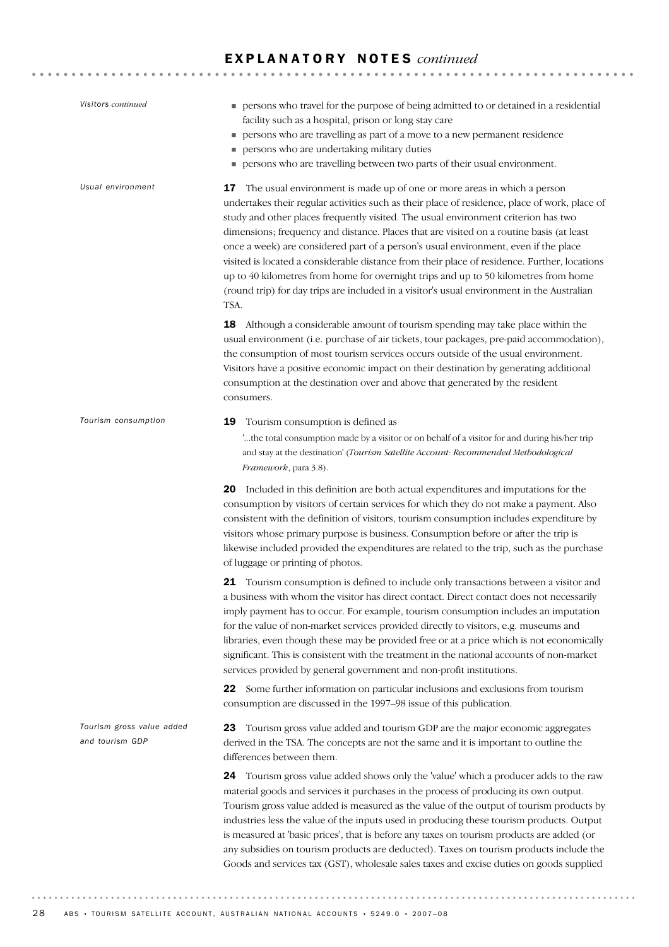| Visitors continued                           | persons who travel for the purpose of being admitted to or detained in a residential<br>facility such as a hospital, prison or long stay care<br>persons who are travelling as part of a move to a new permanent residence<br>persons who are undertaking military duties<br>persons who are travelling between two parts of their usual environment.                                                                                                                                                                                                                                                                                                                                                                                                |
|----------------------------------------------|------------------------------------------------------------------------------------------------------------------------------------------------------------------------------------------------------------------------------------------------------------------------------------------------------------------------------------------------------------------------------------------------------------------------------------------------------------------------------------------------------------------------------------------------------------------------------------------------------------------------------------------------------------------------------------------------------------------------------------------------------|
| Usual environment                            | The usual environment is made up of one or more areas in which a person<br>17<br>undertakes their regular activities such as their place of residence, place of work, place of<br>study and other places frequently visited. The usual environment criterion has two<br>dimensions; frequency and distance. Places that are visited on a routine basis (at least<br>once a week) are considered part of a person's usual environment, even if the place<br>visited is located a considerable distance from their place of residence. Further, locations<br>up to 40 kilometres from home for overnight trips and up to 50 kilometres from home<br>(round trip) for day trips are included in a visitor's usual environment in the Australian<br>TSA. |
|                                              | 18<br>Although a considerable amount of tourism spending may take place within the<br>usual environment (i.e. purchase of air tickets, tour packages, pre-paid accommodation),<br>the consumption of most tourism services occurs outside of the usual environment.<br>Visitors have a positive economic impact on their destination by generating additional<br>consumption at the destination over and above that generated by the resident<br>consumers.                                                                                                                                                                                                                                                                                          |
| Tourism consumption                          | 19<br>Tourism consumption is defined as<br>the total consumption made by a visitor or on behalf of a visitor for and during his/her trip<br>and stay at the destination' (Tourism Satellite Account: Recommended Methodological<br>Framework, para 3.8).                                                                                                                                                                                                                                                                                                                                                                                                                                                                                             |
|                                              | 20 Included in this definition are both actual expenditures and imputations for the<br>consumption by visitors of certain services for which they do not make a payment. Also<br>consistent with the definition of visitors, tourism consumption includes expenditure by<br>visitors whose primary purpose is business. Consumption before or after the trip is<br>likewise included provided the expenditures are related to the trip, such as the purchase<br>of luggage or printing of photos.                                                                                                                                                                                                                                                    |
|                                              | Tourism consumption is defined to include only transactions between a visitor and<br>21<br>a business with whom the visitor has direct contact. Direct contact does not necessarily<br>imply payment has to occur. For example, tourism consumption includes an imputation<br>for the value of non-market services provided directly to visitors, e.g. museums and<br>libraries, even though these may be provided free or at a price which is not economically<br>significant. This is consistent with the treatment in the national accounts of non-market<br>services provided by general government and non-profit institutions.                                                                                                                 |
|                                              | 22<br>Some further information on particular inclusions and exclusions from tourism<br>consumption are discussed in the 1997-98 issue of this publication.                                                                                                                                                                                                                                                                                                                                                                                                                                                                                                                                                                                           |
| Tourism gross value added<br>and tourism GDP | Tourism gross value added and tourism GDP are the major economic aggregates<br>23<br>derived in the TSA. The concepts are not the same and it is important to outline the<br>differences between them.                                                                                                                                                                                                                                                                                                                                                                                                                                                                                                                                               |
|                                              | Tourism gross value added shows only the 'value' which a producer adds to the raw<br>24<br>material goods and services it purchases in the process of producing its own output.<br>Tourism gross value added is measured as the value of the output of tourism products by<br>industries less the value of the inputs used in producing these tourism products. Output<br>is measured at 'basic prices', that is before any taxes on tourism products are added (or<br>any subsidies on tourism products are deducted). Taxes on tourism products include the<br>Goods and services tax (GST), wholesale sales taxes and excise duties on goods supplied                                                                                             |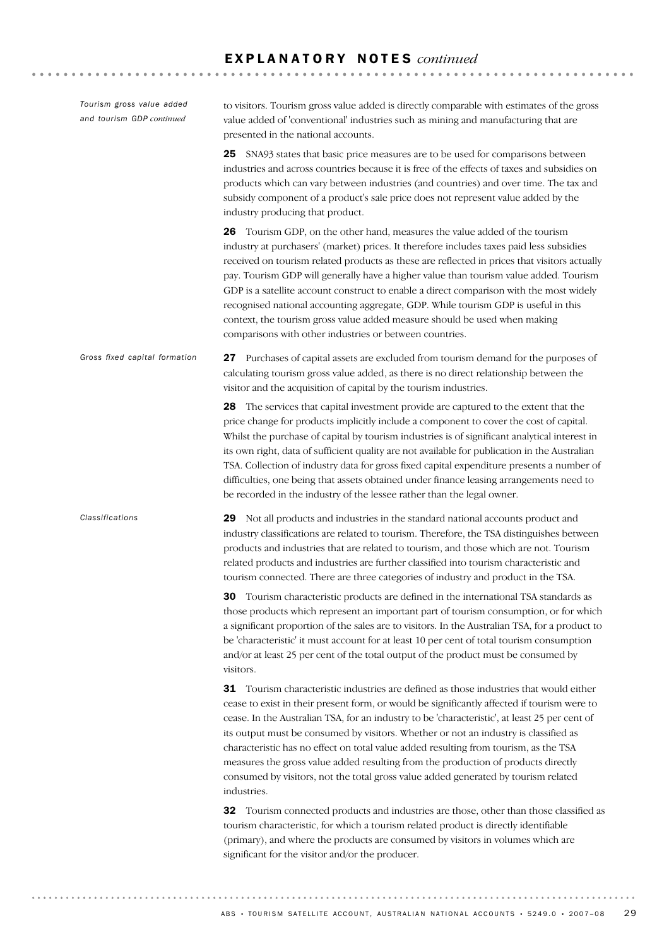29 Not all products and industries in the standard national accounts product and industry classifications are related to tourism. Therefore, the TSA distinguishes between products and industries that are related to tourism, and those which are not. Tourism related products and industries are further classified into tourism characteristic and tourism connected. There are three categories of industry and product in the TSA. 30 Tourism characteristic products are defined in the international TSA standards as those products which represent an important part of tourism consumption, or for which a significant proportion of the sales are to visitors. In the Australian TSA, for a product to be 'characteristic' it must account for at least 10 per cent of total tourism consumption and/or at least 25 per cent of the total output of the product must be consumed by visitors. 31 Tourism characteristic industries are defined as those industries that would either cease to exist in their present form, or would be significantly affected if tourism were to cease. In the Australian TSA, for an industry to be 'characteristic', at least 25 per cent of its output must be consumed by visitors. Whether or not an industry is classified as characteristic has no effect on total value added resulting from tourism, as the TSA measures the gross value added resulting from the production of products directly consumed by visitors, not the total gross value added generated by tourism related industries. 32 Tourism connected products and industries are those, other than those classified as tourism characteristic, for which a tourism related product is directly identifiable (primary), and where the products are consumed by visitors in volumes which are significant for the visitor and/or the producer. *Classifications* 27 Purchases of capital assets are excluded from tourism demand for the purposes of calculating tourism gross value added, as there is no direct relationship between the visitor and the acquisition of capital by the tourism industries. 28 The services that capital investment provide are captured to the extent that the price change for products implicitly include a component to cover the cost of capital. Whilst the purchase of capital by tourism industries is of significant analytical interest in its own right, data of sufficient quality are not available for publication in the Australian TSA. Collection of industry data for gross fixed capital expenditure presents a number of difficulties, one being that assets obtained under finance leasing arrangements need to be recorded in the industry of the lessee rather than the legal owner. *Gross fixed capital formation* to visitors. Tourism gross value added is directly comparable with estimates of the gross value added of 'conventional' industries such as mining and manufacturing that are presented in the national accounts. 25 SNA93 states that basic price measures are to be used for comparisons between industries and across countries because it is free of the effects of taxes and subsidies on products which can vary between industries (and countries) and over time. The tax and subsidy component of a product's sale price does not represent value added by the industry producing that product. 26 Tourism GDP, on the other hand, measures the value added of the tourism industry at purchasers' (market) prices. It therefore includes taxes paid less subsidies received on tourism related products as these are reflected in prices that visitors actually pay. Tourism GDP will generally have a higher value than tourism value added. Tourism GDP is a satellite account construct to enable a direct comparison with the most widely recognised national accounting aggregate, GDP. While tourism GDP is useful in this context, the tourism gross value added measure should be used when making comparisons with other industries or between countries. *Tourism gross value added and tourism GDP continued*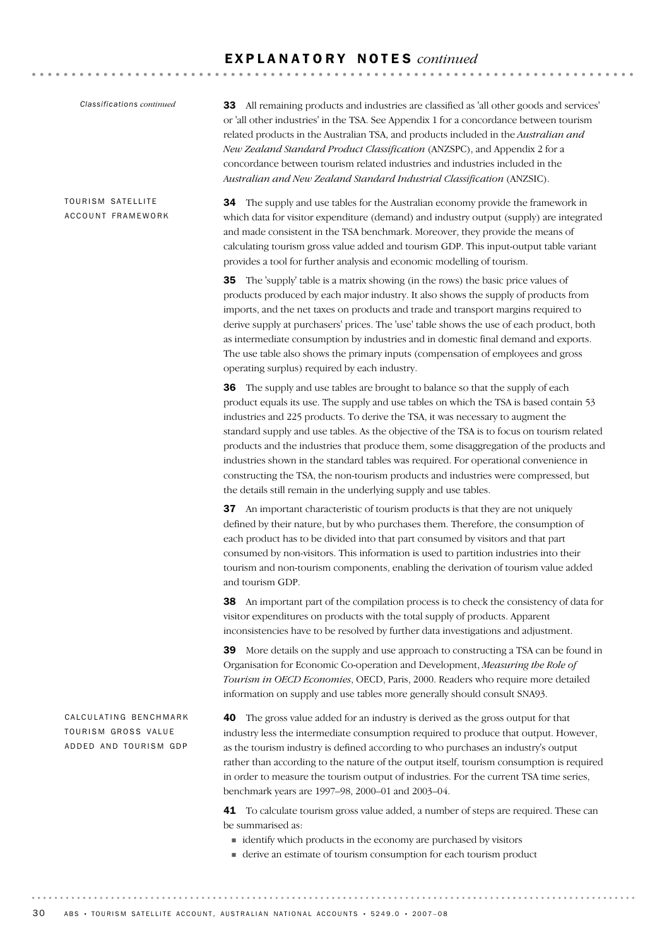*Classifications continued*

TOURISM SATELLITE ACCOUNT FRAMEWORK 33 All remaining products and industries are classified as 'all other goods and services' or 'all other industries' in the TSA. See Appendix 1 for a concordance between tourism related products in the Australian TSA, and products included in the *Australian and New Zealand Standard Product Classification* (ANZSPC), and Appendix 2 for a concordance between tourism related industries and industries included in the *Australian and New Zealand Standard Industrial Classification* (ANZSIC).

34 The supply and use tables for the Australian economy provide the framework in which data for visitor expenditure (demand) and industry output (supply) are integrated and made consistent in the TSA benchmark. Moreover, they provide the means of calculating tourism gross value added and tourism GDP. This input-output table variant provides a tool for further analysis and economic modelling of tourism.

35 The 'supply' table is a matrix showing (in the rows) the basic price values of products produced by each major industry. It also shows the supply of products from imports, and the net taxes on products and trade and transport margins required to derive supply at purchasers' prices. The 'use' table shows the use of each product, both as intermediate consumption by industries and in domestic final demand and exports. The use table also shows the primary inputs (compensation of employees and gross operating surplus) required by each industry.

**36** The supply and use tables are brought to balance so that the supply of each product equals its use. The supply and use tables on which the TSA is based contain 53 industries and 225 products. To derive the TSA, it was necessary to augment the standard supply and use tables. As the objective of the TSA is to focus on tourism related products and the industries that produce them, some disaggregation of the products and industries shown in the standard tables was required. For operational convenience in constructing the TSA, the non-tourism products and industries were compressed, but the details still remain in the underlying supply and use tables.

37 An important characteristic of tourism products is that they are not uniquely defined by their nature, but by who purchases them. Therefore, the consumption of each product has to be divided into that part consumed by visitors and that part consumed by non-visitors. This information is used to partition industries into their tourism and non-tourism components, enabling the derivation of tourism value added and tourism GDP.

38 An important part of the compilation process is to check the consistency of data for visitor expenditures on products with the total supply of products. Apparent inconsistencies have to be resolved by further data investigations and adjustment.

39 More details on the supply and use approach to constructing a TSA can be found in Organisation for Economic Co-operation and Development, *Measuring the Role of Tourism in OECD Economies*, OECD, Paris, 2000. Readers who require more detailed information on supply and use tables more generally should consult SNA93.

CALCULATING BENCHMARK TOURISM GROSS VALUE ADDED AND TOURISM GDP

40 The gross value added for an industry is derived as the gross output for that industry less the intermediate consumption required to produce that output. However, as the tourism industry is defined according to who purchases an industry's output rather than according to the nature of the output itself, tourism consumption is required in order to measure the tourism output of industries. For the current TSA time series, benchmark years are 1997–98, 2000–01 and 2003–04.

41 To calculate tourism gross value added, a number of steps are required. These can be summarised as:

- ! identify which products in the economy are purchased by visitors
- ! derive an estimate of tourism consumption for each tourism product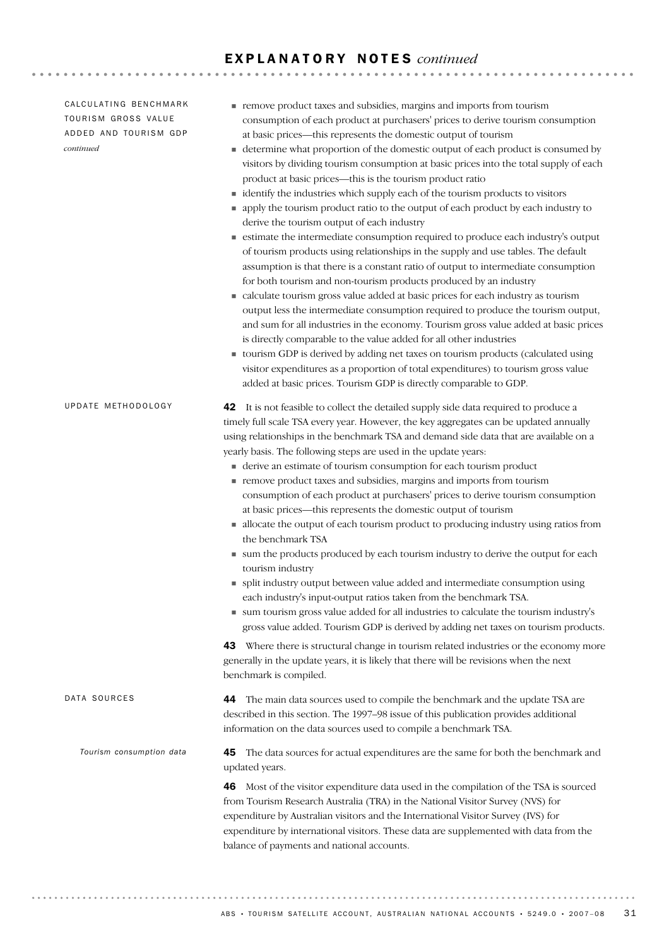| CALCULATING BENCHMARK |  |  |
|-----------------------|--|--|
| TOURISM GROSS VALUE   |  |  |
| ADDED AND TOURISM GDP |  |  |
| continued             |  |  |

UPDATE METHODOLOGY

*Tourism consumption data*

- ! remove product taxes and subsidies, margins and imports from tourism consumption of each product at purchasers' prices to derive tourism consumption at basic prices—this represents the domestic output of tourism
- ! determine what proportion of the domestic output of each product is consumed by visitors by dividing tourism consumption at basic prices into the total supply of each product at basic prices—this is the tourism product ratio
- $\blacksquare$  identify the industries which supply each of the tourism products to visitors
- ! apply the tourism product ratio to the output of each product by each industry to derive the tourism output of each industry
- ! estimate the intermediate consumption required to produce each industry's output of tourism products using relationships in the supply and use tables. The default assumption is that there is a constant ratio of output to intermediate consumption for both tourism and non-tourism products produced by an industry
- ! calculate tourism gross value added at basic prices for each industry as tourism output less the intermediate consumption required to produce the tourism output, and sum for all industries in the economy. Tourism gross value added at basic prices is directly comparable to the value added for all other industries
- ! tourism GDP is derived by adding net taxes on tourism products (calculated using visitor expenditures as a proportion of total expenditures) to tourism gross value added at basic prices. Tourism GDP is directly comparable to GDP.

| <b>42</b> It is not feasible to collect the detailed supply side data required to produce a |
|---------------------------------------------------------------------------------------------|
| timely full scale TSA every year. However, the key aggregates can be updated annually       |
| using relationships in the benchmark TSA and demand side data that are available on a       |
| yearly basis. The following steps are used in the update years:                             |

- ! derive an estimate of tourism consumption for each tourism product
- ! remove product taxes and subsidies, margins and imports from tourism consumption of each product at purchasers' prices to derive tourism consumption at basic prices—this represents the domestic output of tourism
- ! allocate the output of each tourism product to producing industry using ratios from the benchmark TSA
- ! sum the products produced by each tourism industry to derive the output for each tourism industry
- ! split industry output between value added and intermediate consumption using each industry's input-output ratios taken from the benchmark TSA.
- ! sum tourism gross value added for all industries to calculate the tourism industry's gross value added. Tourism GDP is derived by adding net taxes on tourism products.

43 Where there is structural change in tourism related industries or the economy more generally in the update years, it is likely that there will be revisions when the next benchmark is compiled.

44 The main data sources used to compile the benchmark and the update TSA are described in this section. The 1997–98 issue of this publication provides additional information on the data sources used to compile a benchmark TSA. DATA SOURCES

> 45 The data sources for actual expenditures are the same for both the benchmark and updated years.

46 Most of the visitor expenditure data used in the compilation of the TSA is sourced from Tourism Research Australia (TRA) in the National Visitor Survey (NVS) for expenditure by Australian visitors and the International Visitor Survey (IVS) for expenditure by international visitors. These data are supplemented with data from the balance of payments and national accounts.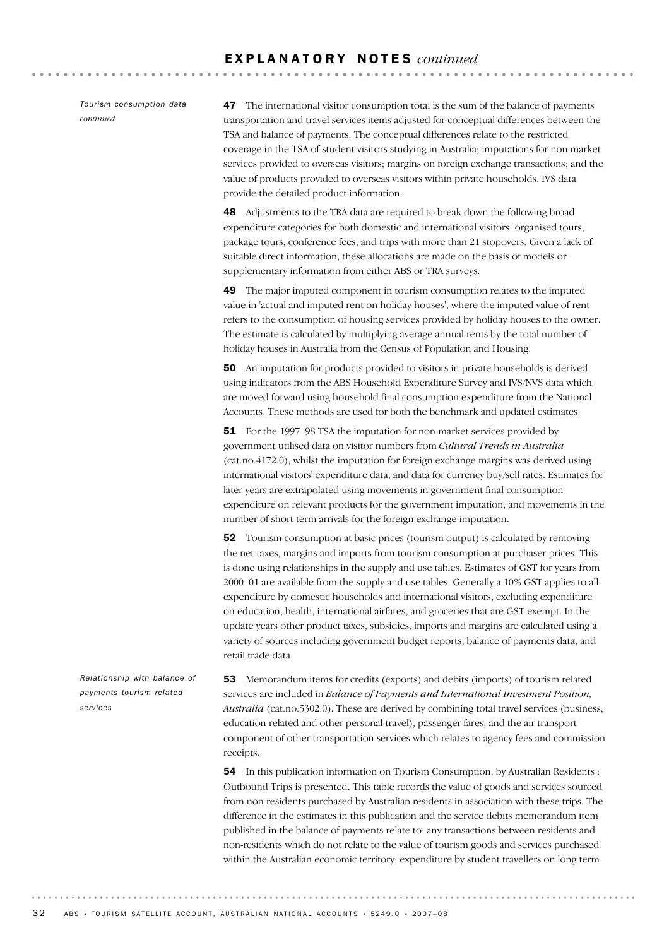*Tourism consumption data continued*

47 The international visitor consumption total is the sum of the balance of payments transportation and travel services items adjusted for conceptual differences between the TSA and balance of payments. The conceptual differences relate to the restricted coverage in the TSA of student visitors studying in Australia; imputations for non-market services provided to overseas visitors; margins on foreign exchange transactions; and the value of products provided to overseas visitors within private households. IVS data provide the detailed product information.

**AAAAAAAAAAA** 

48 Adjustments to the TRA data are required to break down the following broad expenditure categories for both domestic and international visitors: organised tours, package tours, conference fees, and trips with more than 21 stopovers. Given a lack of suitable direct information, these allocations are made on the basis of models or supplementary information from either ABS or TRA surveys.

49 The major imputed component in tourism consumption relates to the imputed value in 'actual and imputed rent on holiday houses', where the imputed value of rent refers to the consumption of housing services provided by holiday houses to the owner. The estimate is calculated by multiplying average annual rents by the total number of holiday houses in Australia from the Census of Population and Housing.

50 An imputation for products provided to visitors in private households is derived using indicators from the ABS Household Expenditure Survey and IVS/NVS data which are moved forward using household final consumption expenditure from the National Accounts. These methods are used for both the benchmark and updated estimates.

51 For the 1997–98 TSA the imputation for non-market services provided by government utilised data on visitor numbers from *Cultural Trends in Australia* (cat.no.4172.0), whilst the imputation for foreign exchange margins was derived using international visitors' expenditure data, and data for currency buy/sell rates. Estimates for later years are extrapolated using movements in government final consumption expenditure on relevant products for the government imputation, and movements in the number of short term arrivals for the foreign exchange imputation.

52 Tourism consumption at basic prices (tourism output) is calculated by removing the net taxes, margins and imports from tourism consumption at purchaser prices. This is done using relationships in the supply and use tables. Estimates of GST for years from 2000–01 are available from the supply and use tables. Generally a 10% GST applies to all expenditure by domestic households and international visitors, excluding expenditure on education, health, international airfares, and groceries that are GST exempt. In the update years other product taxes, subsidies, imports and margins are calculated using a variety of sources including government budget reports, balance of payments data, and retail trade data.

53 Memorandum items for credits (exports) and debits (imports) of tourism related services are included in *Balance of Payments and International Investment Position, Australia* (cat.no.5302.0). These are derived by combining total travel services (business, education-related and other personal travel), passenger fares, and the air transport component of other transportation services which relates to agency fees and commission receipts.

54 In this publication information on Tourism Consumption, by Australian Residents : Outbound Trips is presented. This table records the value of goods and services sourced from non-residents purchased by Australian residents in association with these trips. The difference in the estimates in this publication and the service debits memorandum item published in the balance of payments relate to: any transactions between residents and non-residents which do not relate to the value of tourism goods and services purchased within the Australian economic territory; expenditure by student travellers on long term

*Relationship with balance of payments tourism related services*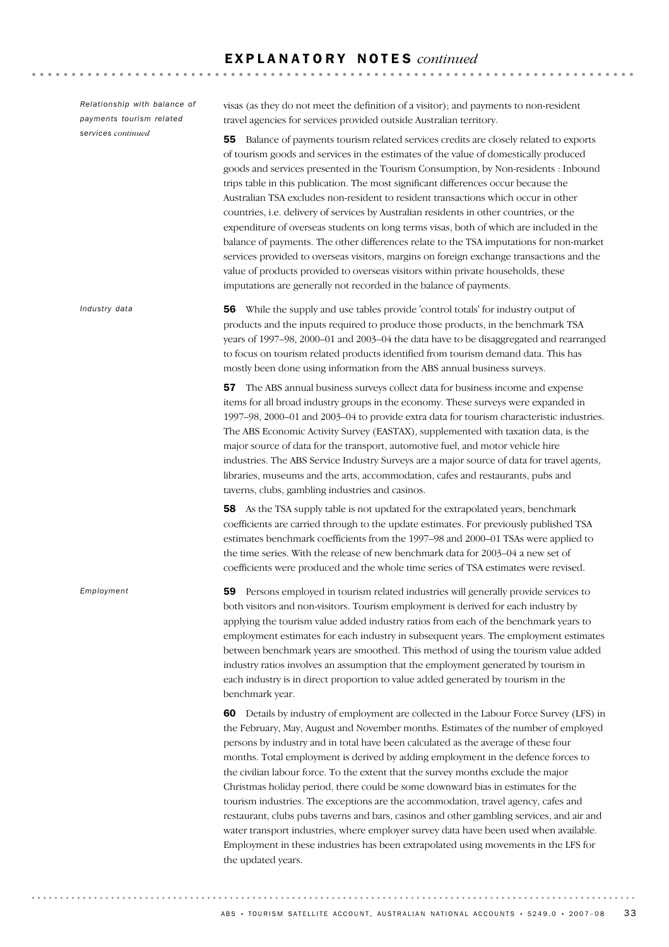*Relationship with balance of payments tourism related services continued*

*Industry data*

*Employment*

visas (as they do not meet the definition of a visitor); and payments to non-resident travel agencies for services provided outside Australian territory.

55 Balance of payments tourism related services credits are closely related to exports of tourism goods and services in the estimates of the value of domestically produced goods and services presented in the Tourism Consumption, by Non-residents : Inbound trips table in this publication. The most significant differences occur because the Australian TSA excludes non-resident to resident transactions which occur in other countries, i.e. delivery of services by Australian residents in other countries, or the expenditure of overseas students on long terms visas, both of which are included in the balance of payments. The other differences relate to the TSA imputations for non-market services provided to overseas visitors, margins on foreign exchange transactions and the value of products provided to overseas visitors within private households, these imputations are generally not recorded in the balance of payments.

56 While the supply and use tables provide 'control totals' for industry output of products and the inputs required to produce those products, in the benchmark TSA years of 1997–98, 2000–01 and 2003–04 the data have to be disaggregated and rearranged to focus on tourism related products identified from tourism demand data. This has mostly been done using information from the ABS annual business surveys.

57 The ABS annual business surveys collect data for business income and expense items for all broad industry groups in the economy. These surveys were expanded in 1997–98, 2000–01 and 2003–04 to provide extra data for tourism characteristic industries. The ABS Economic Activity Survey (EASTAX), supplemented with taxation data, is the major source of data for the transport, automotive fuel, and motor vehicle hire industries. The ABS Service Industry Surveys are a major source of data for travel agents, libraries, museums and the arts, accommodation, cafes and restaurants, pubs and taverns, clubs, gambling industries and casinos.

58 As the TSA supply table is not updated for the extrapolated years, benchmark coefficients are carried through to the update estimates. For previously published TSA estimates benchmark coefficients from the 1997–98 and 2000–01 TSAs were applied to the time series. With the release of new benchmark data for 2003–04 a new set of coefficients were produced and the whole time series of TSA estimates were revised.

59 Persons employed in tourism related industries will generally provide services to both visitors and non-visitors. Tourism employment is derived for each industry by applying the tourism value added industry ratios from each of the benchmark years to employment estimates for each industry in subsequent years. The employment estimates between benchmark years are smoothed. This method of using the tourism value added industry ratios involves an assumption that the employment generated by tourism in each industry is in direct proportion to value added generated by tourism in the benchmark year.

60 Details by industry of employment are collected in the Labour Force Survey (LFS) in the February, May, August and November months. Estimates of the number of employed persons by industry and in total have been calculated as the average of these four months. Total employment is derived by adding employment in the defence forces to the civilian labour force. To the extent that the survey months exclude the major Christmas holiday period, there could be some downward bias in estimates for the tourism industries. The exceptions are the accommodation, travel agency, cafes and restaurant, clubs pubs taverns and bars, casinos and other gambling services, and air and water transport industries, where employer survey data have been used when available. Employment in these industries has been extrapolated using movements in the LFS for the updated years.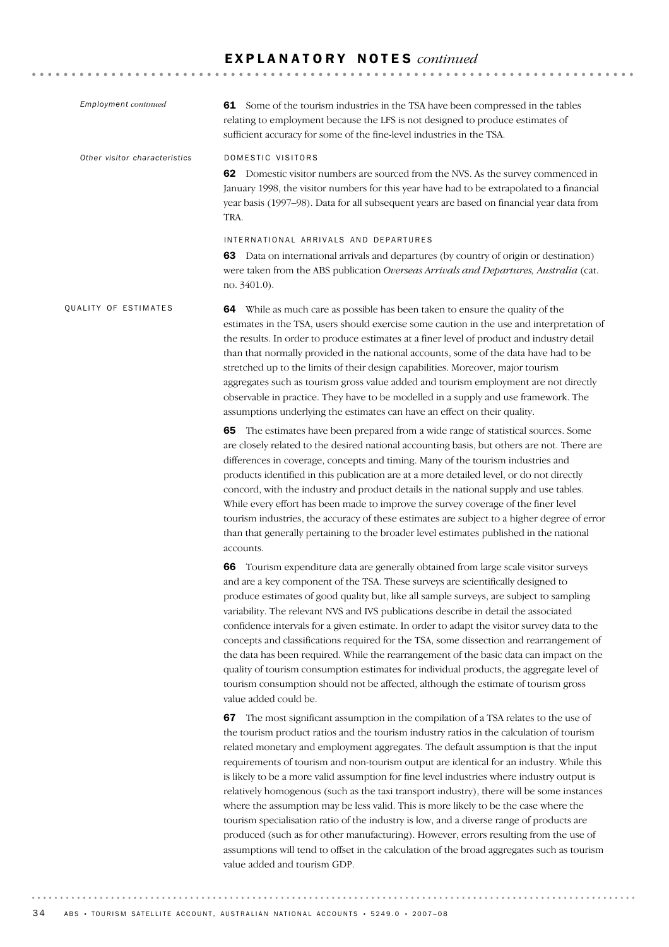| <b>Employment</b> continued   | 61 Some of the tourism industries in the TSA have been compressed in the tables<br>relating to employment because the LFS is not designed to produce estimates of<br>sufficient accuracy for some of the fine-level industries in the TSA.                                                                                                                                                                                                                                                                                                                                                                                                                                                                                                                                                                                                                                                                                                                                 |
|-------------------------------|----------------------------------------------------------------------------------------------------------------------------------------------------------------------------------------------------------------------------------------------------------------------------------------------------------------------------------------------------------------------------------------------------------------------------------------------------------------------------------------------------------------------------------------------------------------------------------------------------------------------------------------------------------------------------------------------------------------------------------------------------------------------------------------------------------------------------------------------------------------------------------------------------------------------------------------------------------------------------|
| Other visitor characteristics | DOMESTIC VISITORS<br>62 Domestic visitor numbers are sourced from the NVS. As the survey commenced in<br>January 1998, the visitor numbers for this year have had to be extrapolated to a financial<br>year basis (1997-98). Data for all subsequent years are based on financial year data from<br>TRA.                                                                                                                                                                                                                                                                                                                                                                                                                                                                                                                                                                                                                                                                   |
|                               | INTERNATIONAL ARRIVALS AND DEPARTURES<br>63 Data on international arrivals and departures (by country of origin or destination)<br>were taken from the ABS publication Overseas Arrivals and Departures, Australia (cat.<br>no. $3401.0$ ).                                                                                                                                                                                                                                                                                                                                                                                                                                                                                                                                                                                                                                                                                                                                |
| QUALITY OF ESTIMATES          | 64 While as much care as possible has been taken to ensure the quality of the<br>estimates in the TSA, users should exercise some caution in the use and interpretation of<br>the results. In order to produce estimates at a finer level of product and industry detail<br>than that normally provided in the national accounts, some of the data have had to be<br>stretched up to the limits of their design capabilities. Moreover, major tourism<br>aggregates such as tourism gross value added and tourism employment are not directly<br>observable in practice. They have to be modelled in a supply and use framework. The<br>assumptions underlying the estimates can have an effect on their quality.                                                                                                                                                                                                                                                          |
|                               | 65 The estimates have been prepared from a wide range of statistical sources. Some<br>are closely related to the desired national accounting basis, but others are not. There are<br>differences in coverage, concepts and timing. Many of the tourism industries and<br>products identified in this publication are at a more detailed level, or do not directly<br>concord, with the industry and product details in the national supply and use tables.<br>While every effort has been made to improve the survey coverage of the finer level<br>tourism industries, the accuracy of these estimates are subject to a higher degree of error<br>than that generally pertaining to the broader level estimates published in the national<br>accounts.                                                                                                                                                                                                                    |
|                               | 66 Tourism expenditure data are generally obtained from large scale visitor surveys<br>and are a key component of the TSA. These surveys are scientifically designed to<br>produce estimates of good quality but, like all sample surveys, are subject to sampling<br>variability. The relevant NVS and IVS publications describe in detail the associated<br>confidence intervals for a given estimate. In order to adapt the visitor survey data to the<br>concepts and classifications required for the TSA, some dissection and rearrangement of<br>the data has been required. While the rearrangement of the basic data can impact on the<br>quality of tourism consumption estimates for individual products, the aggregate level of<br>tourism consumption should not be affected, although the estimate of tourism gross<br>value added could be.                                                                                                                 |
|                               | 67 The most significant assumption in the compilation of a TSA relates to the use of<br>the tourism product ratios and the tourism industry ratios in the calculation of tourism<br>related monetary and employment aggregates. The default assumption is that the input<br>requirements of tourism and non-tourism output are identical for an industry. While this<br>is likely to be a more valid assumption for fine level industries where industry output is<br>relatively homogenous (such as the taxi transport industry), there will be some instances<br>where the assumption may be less valid. This is more likely to be the case where the<br>tourism specialisation ratio of the industry is low, and a diverse range of products are<br>produced (such as for other manufacturing). However, errors resulting from the use of<br>assumptions will tend to offset in the calculation of the broad aggregates such as tourism<br>value added and tourism GDP. |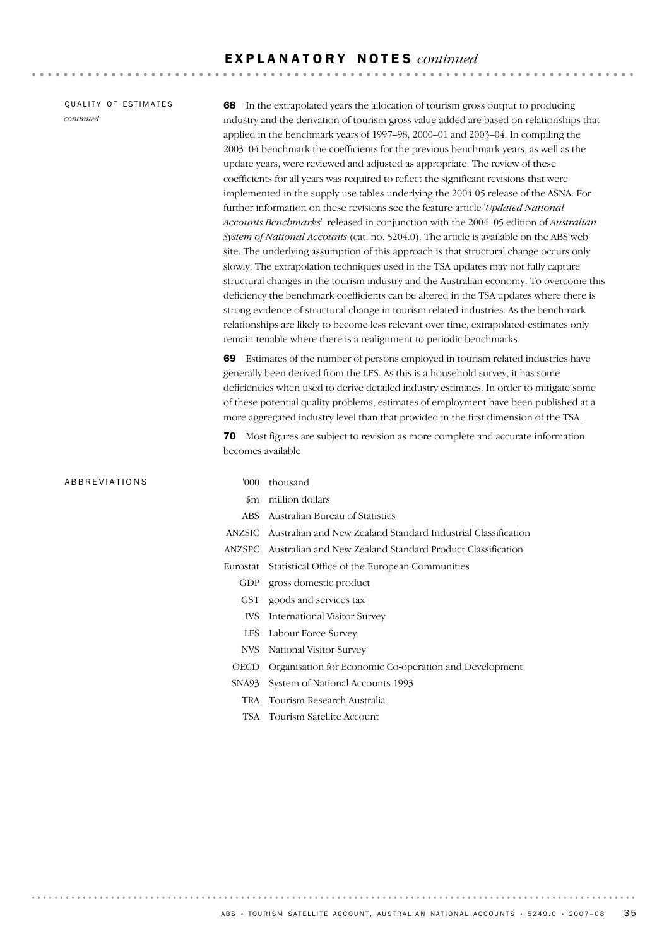QUALITY OF ESTIMATES *continued*

68 In the extrapolated years the allocation of tourism gross output to producing industry and the derivation of tourism gross value added are based on relationships that applied in the benchmark years of 1997–98, 2000–01 and 2003–04. In compiling the 2003–04 benchmark the coefficients for the previous benchmark years, as well as the update years, were reviewed and adjusted as appropriate. The review of these coefficients for all years was required to reflect the significant revisions that were implemented in the supply use tables underlying the 2004-05 release of the ASNA. For further information on these revisions see the feature article '*Updated National Accounts Benchmarks*' released in conjunction with the 2004–05 edition of *Australian System of National Accounts* (cat. no. 5204.0). The article is available on the ABS web site. The underlying assumption of this approach is that structural change occurs only slowly. The extrapolation techniques used in the TSA updates may not fully capture structural changes in the tourism industry and the Australian economy. To overcome this deficiency the benchmark coefficients can be altered in the TSA updates where there is strong evidence of structural change in tourism related industries. As the benchmark relationships are likely to become less relevant over time, extrapolated estimates only remain tenable where there is a realignment to periodic benchmarks.

69 Estimates of the number of persons employed in tourism related industries have generally been derived from the LFS. As this is a household survey, it has some deficiencies when used to derive detailed industry estimates. In order to mitigate some of these potential quality problems, estimates of employment have been published at a more aggregated industry level than that provided in the first dimension of the TSA.

70 Most figures are subject to revision as more complete and accurate information becomes available.

#### ABBREVIATIONS '000 thousand

- 
- \$m million dollars
- ABS Australian Bureau of Statistics
- ANZSIC Australian and New Zealand Standard Industrial Classification
- ANZSPC Australian and New Zealand Standard Product Classification
- Eurostat Statistical Office of the European Communities
	- GDP gross domestic product
	- GST goods and services tax
	- IVS International Visitor Survey
	- LFS Labour Force Survey
	- NVS National Visitor Survey
	- OECD Organisation for Economic Co-operation and Development
	- SNA93 System of National Accounts 1993
		- TRA Tourism Research Australia
		- TSA Tourism Satellite Account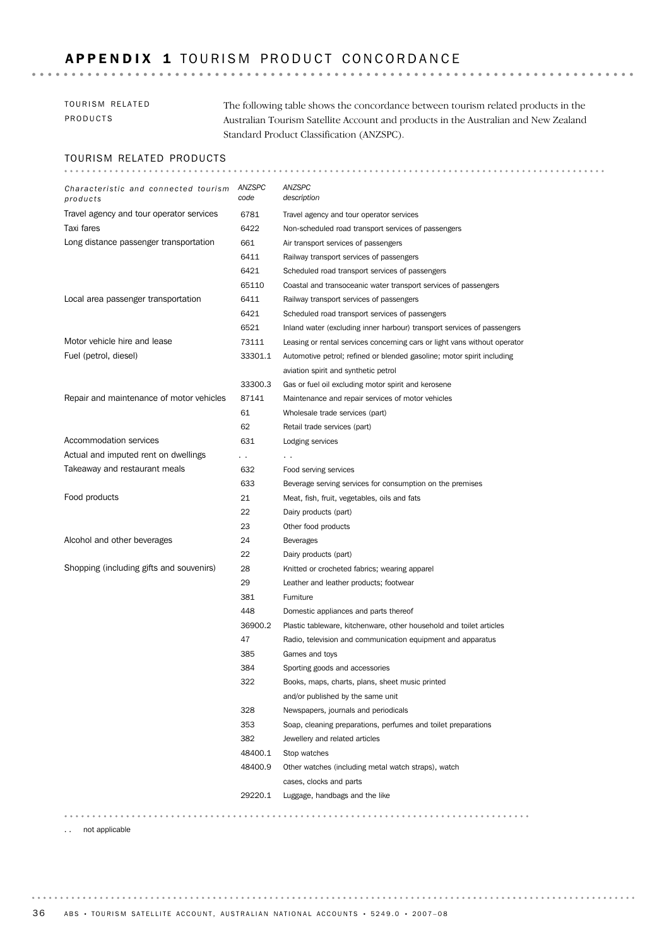## APPENDIX 1 TOURISM PRODUCT CONCORDANCE

| TOURISM RELATED | The following table shows the concordance between tourism related products in the   |
|-----------------|-------------------------------------------------------------------------------------|
| PRODUCTS        | Australian Tourism Satellite Account and products in the Australian and New Zealand |
|                 | Standard Product Classification (ANZSPC).                                           |

#### TOURISM RELATED PRODUCTS

| Characteristic and connected tourism<br>products | ANZSPC<br>code | ANZSPC<br>description                                                     |
|--------------------------------------------------|----------------|---------------------------------------------------------------------------|
| Travel agency and tour operator services         | 6781           | Travel agency and tour operator services                                  |
| Taxi fares                                       | 6422           | Non-scheduled road transport services of passengers                       |
| Long distance passenger transportation           | 661            | Air transport services of passengers                                      |
|                                                  | 6411           | Railway transport services of passengers                                  |
|                                                  | 6421           | Scheduled road transport services of passengers                           |
|                                                  | 65110          | Coastal and transoceanic water transport services of passengers           |
| Local area passenger transportation              | 6411           | Railway transport services of passengers                                  |
|                                                  | 6421           | Scheduled road transport services of passengers                           |
|                                                  | 6521           | Inland water (excluding inner harbour) transport services of passengers   |
| Motor vehicle hire and lease                     | 73111          | Leasing or rental services concerning cars or light vans without operator |
| Fuel (petrol, diesel)                            | 33301.1        | Automotive petrol; refined or blended gasoline; motor spirit including    |
|                                                  |                | aviation spirit and synthetic petrol                                      |
|                                                  | 33300.3        | Gas or fuel oil excluding motor spirit and kerosene                       |
| Repair and maintenance of motor vehicles         | 87141          | Maintenance and repair services of motor vehicles                         |
|                                                  | 61             | Wholesale trade services (part)                                           |
|                                                  | 62             | Retail trade services (part)                                              |
| Accommodation services                           | 631            | Lodging services                                                          |
| Actual and imputed rent on dwellings             | $\cdot$        | . .                                                                       |
| Takeaway and restaurant meals                    | 632            | Food serving services                                                     |
|                                                  | 633            | Beverage serving services for consumption on the premises                 |
| Food products                                    | 21             | Meat, fish, fruit, vegetables, oils and fats                              |
|                                                  | 22             | Dairy products (part)                                                     |
|                                                  | 23             | Other food products                                                       |
| Alcohol and other beverages                      | 24             | <b>Beverages</b>                                                          |
|                                                  | 22             | Dairy products (part)                                                     |
| Shopping (including gifts and souvenirs)         | 28             | Knitted or crocheted fabrics; wearing apparel                             |
|                                                  | 29             | Leather and leather products; footwear                                    |
|                                                  | 381            | Furniture                                                                 |
|                                                  | 448            | Domestic appliances and parts thereof                                     |
|                                                  | 36900.2        | Plastic tableware, kitchenware, other household and toilet articles       |
|                                                  | 47             | Radio, television and communication equipment and apparatus               |
|                                                  | 385            | Games and toys                                                            |
|                                                  | 384            | Sporting goods and accessories                                            |
|                                                  | 322            | Books, maps, charts, plans, sheet music printed                           |
|                                                  |                | and/or published by the same unit                                         |
|                                                  | 328            | Newspapers, journals and periodicals                                      |
|                                                  | 353            | Soap, cleaning preparations, perfumes and toilet preparations             |
|                                                  | 382            | Jewellery and related articles                                            |
|                                                  | 48400.1        | Stop watches                                                              |
|                                                  | 48400.9        | Other watches (including metal watch straps), watch                       |
|                                                  |                | cases, clocks and parts                                                   |
|                                                  | 29220.1        | Luggage, handbags and the like                                            |
|                                                  |                |                                                                           |
| not applicable                                   |                |                                                                           |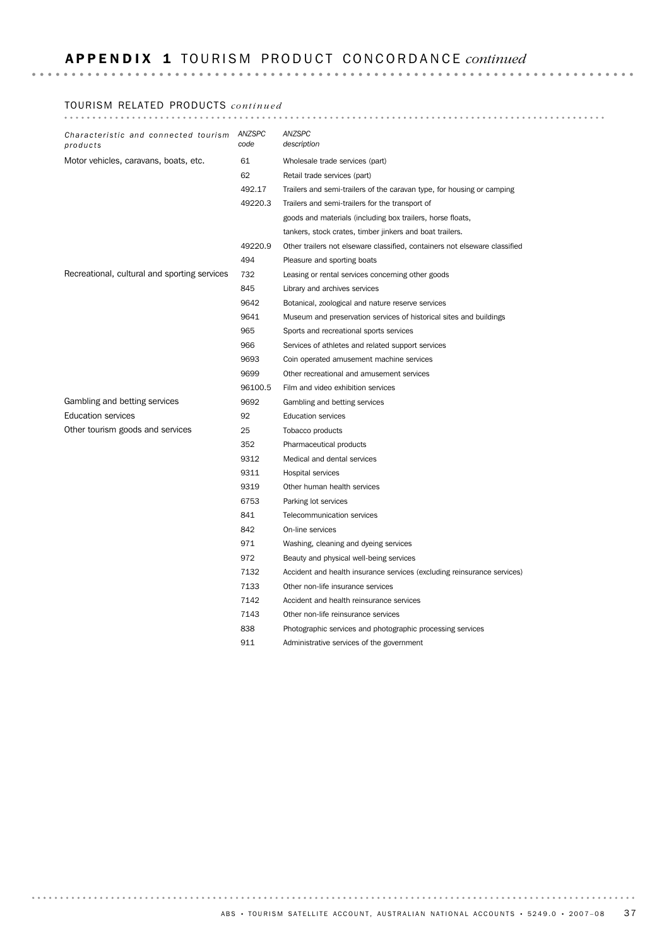## A P P E N D I X 1 TO U R I S M PR O D U C T CO N C O R D A N C E *continued*

#### TOURISM RELATED PRODUCTS *continued*

| Characteristic and connected tourism<br>products | ANZSPC<br>code | ANZSPC<br>description                                                      |
|--------------------------------------------------|----------------|----------------------------------------------------------------------------|
| Motor vehicles, caravans, boats, etc.            | 61             | Wholesale trade services (part)                                            |
|                                                  | 62             | Retail trade services (part)                                               |
|                                                  | 492.17         | Trailers and semi-trailers of the caravan type, for housing or camping     |
|                                                  | 49220.3        | Trailers and semi-trailers for the transport of                            |
|                                                  |                | goods and materials (including box trailers, horse floats,                 |
|                                                  |                | tankers, stock crates, timber jinkers and boat trailers.                   |
|                                                  | 49220.9        | Other trailers not elseware classified, containers not elseware classified |
|                                                  | 494            | Pleasure and sporting boats                                                |
| Recreational, cultural and sporting services     | 732            | Leasing or rental services concerning other goods                          |
|                                                  | 845            | Library and archives services                                              |
|                                                  | 9642           | Botanical, zoological and nature reserve services                          |
|                                                  | 9641           | Museum and preservation services of historical sites and buildings         |
|                                                  | 965            | Sports and recreational sports services                                    |
|                                                  | 966            | Services of athletes and related support services                          |
|                                                  | 9693           | Coin operated amusement machine services                                   |
|                                                  | 9699           | Other recreational and amusement services                                  |
|                                                  | 96100.5        | Film and video exhibition services                                         |
| Gambling and betting services                    | 9692           | Gambling and betting services                                              |
| <b>Education services</b>                        | 92             | <b>Education services</b>                                                  |
| Other tourism goods and services                 | 25             | Tobacco products                                                           |
|                                                  | 352            | Pharmaceutical products                                                    |
|                                                  | 9312           | Medical and dental services                                                |
|                                                  | 9311           | Hospital services                                                          |
|                                                  | 9319           | Other human health services                                                |
|                                                  | 6753           | Parking lot services                                                       |
|                                                  | 841            | Telecommunication services                                                 |
|                                                  | 842            | On-line services                                                           |
|                                                  | 971            | Washing, cleaning and dyeing services                                      |
|                                                  | 972            | Beauty and physical well-being services                                    |
|                                                  | 7132           | Accident and health insurance services (excluding reinsurance services)    |
|                                                  | 7133           | Other non-life insurance services                                          |
|                                                  | 7142           | Accident and health reinsurance services                                   |
|                                                  | 7143           | Other non-life reinsurance services                                        |
|                                                  | 838            | Photographic services and photographic processing services                 |
|                                                  | 911            | Administrative services of the government                                  |

ABS • TOURISM SATELLITE ACCOUNT, AUSTRALIAN NATIONAL ACCOUNTS • 5249.0 • 2007-08 37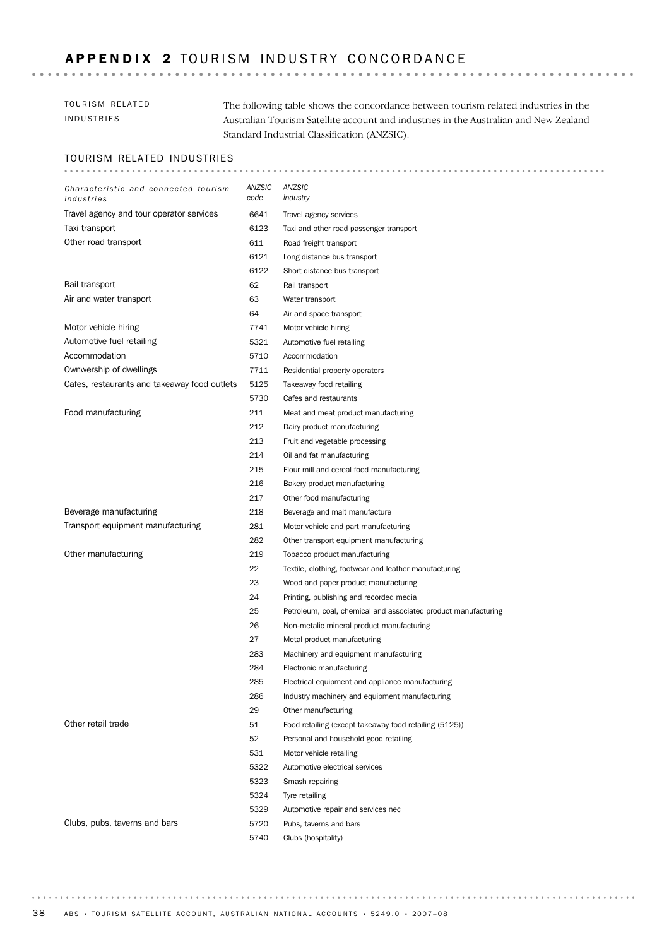## APPENDIX 2 TOURISM INDUSTRY CONCORDANCE

## TOURISM RELATED INDUSTRIES

The following table shows the concordance between tourism related industries in the Australian Tourism Satellite account and industries in the Australian and New Zealand Standard Industrial Classification (ANZSIC).

## TOURISM RELATED INDUSTRIES

| Characteristic and connected tourism<br>industries | ANZSIC<br>code | ANZSIC<br>industry                                             |
|----------------------------------------------------|----------------|----------------------------------------------------------------|
| Travel agency and tour operator services           | 6641           | Travel agency services                                         |
| Taxi transport                                     | 6123           | Taxi and other road passenger transport                        |
| Other road transport                               | 611            | Road freight transport                                         |
|                                                    | 6121           | Long distance bus transport                                    |
|                                                    | 6122           | Short distance bus transport                                   |
| Rail transport                                     | 62             | Rail transport                                                 |
| Air and water transport                            | 63             | Water transport                                                |
|                                                    | 64             | Air and space transport                                        |
| Motor vehicle hiring                               | 7741           | Motor vehicle hiring                                           |
| Automotive fuel retailing                          | 5321           | Automotive fuel retailing                                      |
| Accommodation                                      | 5710           | Accommodation                                                  |
| Ownwership of dwellings                            | 7711           | Residential property operators                                 |
| Cafes, restaurants and takeaway food outlets       | 5125           | Takeaway food retailing                                        |
|                                                    | 5730           | Cafes and restaurants                                          |
| Food manufacturing                                 | 211            | Meat and meat product manufacturing                            |
|                                                    | 212            | Dairy product manufacturing                                    |
|                                                    | 213            | Fruit and vegetable processing                                 |
|                                                    | 214            | Oil and fat manufacturing                                      |
|                                                    | 215            | Flour mill and cereal food manufacturing                       |
|                                                    | 216            | Bakery product manufacturing                                   |
|                                                    | 217            | Other food manufacturing                                       |
| Beverage manufacturing                             | 218            | Beverage and malt manufacture                                  |
| Transport equipment manufacturing                  | 281            | Motor vehicle and part manufacturing                           |
|                                                    | 282            | Other transport equipment manufacturing                        |
| Other manufacturing                                | 219            | Tobacco product manufacturing                                  |
|                                                    | 22             | Textile, clothing, footwear and leather manufacturing          |
|                                                    | 23             | Wood and paper product manufacturing                           |
|                                                    | 24             | Printing, publishing and recorded media                        |
|                                                    | 25             | Petroleum, coal, chemical and associated product manufacturing |
|                                                    | 26             | Non-metalic mineral product manufacturing                      |
|                                                    | 27             | Metal product manufacturing                                    |
|                                                    | 283            | Machinery and equipment manufacturing                          |
|                                                    | 284            | Electronic manufacturing                                       |
|                                                    | 285            | Electrical equipment and appliance manufacturing               |
|                                                    | 286            | Industry machinery and equipment manufacturing                 |
|                                                    | 29             | Other manufacturing                                            |
| Other retail trade                                 | 51             | Food retailing (except takeaway food retailing (5125))         |
|                                                    | 52             | Personal and household good retailing                          |
|                                                    | 531            | Motor vehicle retailing                                        |
|                                                    | 5322           | Automotive electrical services                                 |
|                                                    | 5323           | Smash repairing                                                |
|                                                    | 5324           | Tyre retailing                                                 |
|                                                    | 5329           | Automotive repair and services nec                             |
| Clubs, pubs, taverns and bars                      | 5720           | Pubs, taverns and bars                                         |
|                                                    | 5740           | Clubs (hospitality)                                            |

. . . . . . . .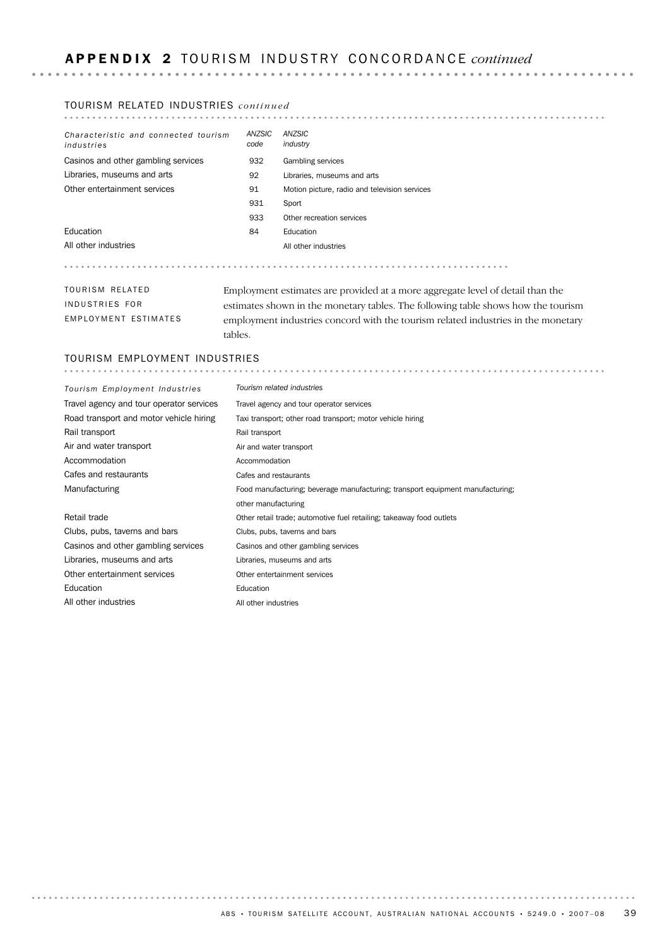### TOURISM RELATED INDUSTRIES *continued*

| Characteristic and connected tourism<br>industries | ANZSIC<br>code | ANZSIC<br>industry                                                                |
|----------------------------------------------------|----------------|-----------------------------------------------------------------------------------|
| Casinos and other gambling services                | 932            | Gambling services                                                                 |
| Libraries, museums and arts                        | 92             | Libraries, museums and arts                                                       |
| Other entertainment services                       | 91             | Motion picture, radio and television services                                     |
|                                                    | 931            | Sport                                                                             |
|                                                    | 933            | Other recreation services                                                         |
| Education                                          | 84             | Education                                                                         |
| All other industries                               |                | All other industries                                                              |
|                                                    |                |                                                                                   |
| TOURISM RELATED                                    |                | Employment estimates are provided at a more aggregate level of detail than the    |
| INDUSTRIES FOR                                     |                | estimates shown in the monetary tables. The following table shows how the tourism |
| EMPLOYMENT ESTIMATES                               |                | employment industries concord with the tourism related industries in the monetary |

employment industries concord with the tourism related industries in the monetary tables.

#### TOURISM EMPLOYMENT INDUSTRIES

| Tourism Employment Industries            | Tourism related industries                                                     |
|------------------------------------------|--------------------------------------------------------------------------------|
| Travel agency and tour operator services | Travel agency and tour operator services                                       |
| Road transport and motor vehicle hiring  | Taxi transport; other road transport; motor vehicle hiring                     |
| Rail transport                           | Rail transport                                                                 |
| Air and water transport                  | Air and water transport                                                        |
| Accommodation                            | Accommodation                                                                  |
| Cafes and restaurants                    | Cafes and restaurants                                                          |
| Manufacturing                            | Food manufacturing; beverage manufacturing; transport equipment manufacturing; |
|                                          | other manufacturing                                                            |
| Retail trade                             | Other retail trade; automotive fuel retailing; takeaway food outlets           |
| Clubs, pubs, taverns and bars            | Clubs, pubs, taverns and bars                                                  |
| Casinos and other gambling services      | Casinos and other gambling services                                            |
| Libraries, museums and arts              | Libraries, museums and arts                                                    |
| Other entertainment services             | Other entertainment services                                                   |
| Education                                | Education                                                                      |
| All other industries                     | All other industries                                                           |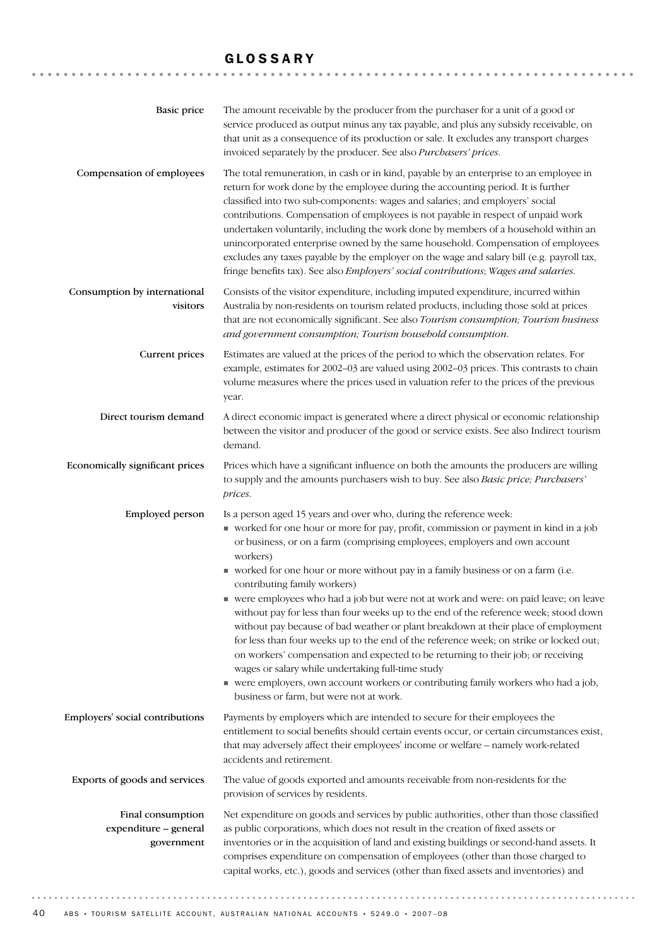## GLOSSARY

| <b>Basic price</b>                                       | The amount receivable by the producer from the purchaser for a unit of a good or<br>service produced as output minus any tax payable, and plus any subsidy receivable, on<br>that unit as a consequence of its production or sale. It excludes any transport charges<br>invoiced separately by the producer. See also Purchasers' prices.                                                                                                                                                                                                                                                                                                                                                                                                                                                                                                                                                                                                                                                                          |
|----------------------------------------------------------|--------------------------------------------------------------------------------------------------------------------------------------------------------------------------------------------------------------------------------------------------------------------------------------------------------------------------------------------------------------------------------------------------------------------------------------------------------------------------------------------------------------------------------------------------------------------------------------------------------------------------------------------------------------------------------------------------------------------------------------------------------------------------------------------------------------------------------------------------------------------------------------------------------------------------------------------------------------------------------------------------------------------|
| Compensation of employees                                | The total remuneration, in cash or in kind, payable by an enterprise to an employee in<br>return for work done by the employee during the accounting period. It is further<br>classified into two sub-components: wages and salaries; and employers' social<br>contributions. Compensation of employees is not payable in respect of unpaid work<br>undertaken voluntarily, including the work done by members of a household within an<br>unincorporated enterprise owned by the same household. Compensation of employees<br>excludes any taxes payable by the employer on the wage and salary bill (e.g. payroll tax,<br>fringe benefits tax). See also Employers' social contributions; Wages and salaries.                                                                                                                                                                                                                                                                                                    |
| Consumption by international<br>visitors                 | Consists of the visitor expenditure, including imputed expenditure, incurred within<br>Australia by non-residents on tourism related products, including those sold at prices<br>that are not economically significant. See also Tourism consumption; Tourism business<br>and government consumption; Tourism bousebold consumption.                                                                                                                                                                                                                                                                                                                                                                                                                                                                                                                                                                                                                                                                               |
| Current prices                                           | Estimates are valued at the prices of the period to which the observation relates. For<br>example, estimates for 2002-03 are valued using 2002-03 prices. This contrasts to chain<br>volume measures where the prices used in valuation refer to the prices of the previous<br>year.                                                                                                                                                                                                                                                                                                                                                                                                                                                                                                                                                                                                                                                                                                                               |
| Direct tourism demand                                    | A direct economic impact is generated where a direct physical or economic relationship<br>between the visitor and producer of the good or service exists. See also Indirect tourism<br>demand.                                                                                                                                                                                                                                                                                                                                                                                                                                                                                                                                                                                                                                                                                                                                                                                                                     |
| Economically significant prices                          | Prices which have a significant influence on both the amounts the producers are willing<br>to supply and the amounts purchasers wish to buy. See also Basic price; Purchasers'<br>prices.                                                                                                                                                                                                                                                                                                                                                                                                                                                                                                                                                                                                                                                                                                                                                                                                                          |
| Employed person                                          | Is a person aged 15 years and over who, during the reference week:<br>worked for one hour or more for pay, profit, commission or payment in kind in a job<br>or business, or on a farm (comprising employees, employers and own account<br>workers)<br>worked for one hour or more without pay in a family business or on a farm (i.e.<br>contributing family workers)<br>• were employees who had a job but were not at work and were: on paid leave; on leave<br>without pay for less than four weeks up to the end of the reference week; stood down<br>without pay because of bad weather or plant breakdown at their place of employment<br>for less than four weeks up to the end of the reference week; on strike or locked out;<br>on workers' compensation and expected to be returning to their job; or receiving<br>wages or salary while undertaking full-time study<br>• were employers, own account workers or contributing family workers who had a job,<br>business or farm, but were not at work. |
| Employers' social contributions                          | Payments by employers which are intended to secure for their employees the<br>entitlement to social benefits should certain events occur, or certain circumstances exist,<br>that may adversely affect their employees' income or welfare - namely work-related<br>accidents and retirement.                                                                                                                                                                                                                                                                                                                                                                                                                                                                                                                                                                                                                                                                                                                       |
| Exports of goods and services                            | The value of goods exported and amounts receivable from non-residents for the<br>provision of services by residents.                                                                                                                                                                                                                                                                                                                                                                                                                                                                                                                                                                                                                                                                                                                                                                                                                                                                                               |
| Final consumption<br>expenditure - general<br>government | Net expenditure on goods and services by public authorities, other than those classified<br>as public corporations, which does not result in the creation of fixed assets or<br>inventories or in the acquisition of land and existing buildings or second-hand assets. It<br>comprises expenditure on compensation of employees (other than those charged to<br>capital works, etc.), goods and services (other than fixed assets and inventories) and                                                                                                                                                                                                                                                                                                                                                                                                                                                                                                                                                            |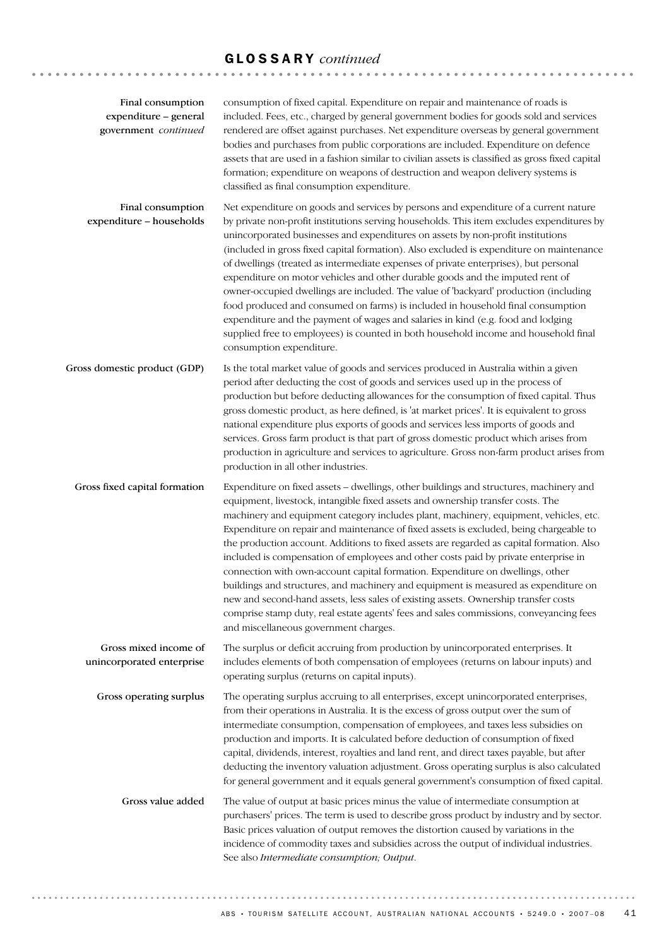| Final consumption<br>expenditure - general<br>government continued | consumption of fixed capital. Expenditure on repair and maintenance of roads is<br>included. Fees, etc., charged by general government bodies for goods sold and services<br>rendered are offset against purchases. Net expenditure overseas by general government<br>bodies and purchases from public corporations are included. Expenditure on defence<br>assets that are used in a fashion similar to civilian assets is classified as gross fixed capital<br>formation; expenditure on weapons of destruction and weapon delivery systems is<br>classified as final consumption expenditure.                                                                                                                                                                                                                                                                                                                                                    |
|--------------------------------------------------------------------|-----------------------------------------------------------------------------------------------------------------------------------------------------------------------------------------------------------------------------------------------------------------------------------------------------------------------------------------------------------------------------------------------------------------------------------------------------------------------------------------------------------------------------------------------------------------------------------------------------------------------------------------------------------------------------------------------------------------------------------------------------------------------------------------------------------------------------------------------------------------------------------------------------------------------------------------------------|
| Final consumption<br>expenditure - households                      | Net expenditure on goods and services by persons and expenditure of a current nature<br>by private non-profit institutions serving households. This item excludes expenditures by<br>unincorporated businesses and expenditures on assets by non-profit institutions<br>(included in gross fixed capital formation). Also excluded is expenditure on maintenance<br>of dwellings (treated as intermediate expenses of private enterprises), but personal<br>expenditure on motor vehicles and other durable goods and the imputed rent of<br>owner-occupied dwellings are included. The value of 'backyard' production (including<br>food produced and consumed on farms) is included in household final consumption<br>expenditure and the payment of wages and salaries in kind (e.g. food and lodging<br>supplied free to employees) is counted in both household income and household final<br>consumption expenditure.                         |
| Gross domestic product (GDP)                                       | Is the total market value of goods and services produced in Australia within a given<br>period after deducting the cost of goods and services used up in the process of<br>production but before deducting allowances for the consumption of fixed capital. Thus<br>gross domestic product, as here defined, is 'at market prices'. It is equivalent to gross<br>national expenditure plus exports of goods and services less imports of goods and<br>services. Gross farm product is that part of gross domestic product which arises from<br>production in agriculture and services to agriculture. Gross non-farm product arises from<br>production in all other industries.                                                                                                                                                                                                                                                                     |
| Gross fixed capital formation                                      | Expenditure on fixed assets - dwellings, other buildings and structures, machinery and<br>equipment, livestock, intangible fixed assets and ownership transfer costs. The<br>machinery and equipment category includes plant, machinery, equipment, vehicles, etc.<br>Expenditure on repair and maintenance of fixed assets is excluded, being chargeable to<br>the production account. Additions to fixed assets are regarded as capital formation. Also<br>included is compensation of employees and other costs paid by private enterprise in<br>connection with own-account capital formation. Expenditure on dwellings, other<br>buildings and structures, and machinery and equipment is measured as expenditure on<br>new and second-hand assets, less sales of existing assets. Ownership transfer costs<br>comprise stamp duty, real estate agents' fees and sales commissions, conveyancing fees<br>and miscellaneous government charges. |
| Gross mixed income of<br>unincorporated enterprise                 | The surplus or deficit accruing from production by unincorporated enterprises. It<br>includes elements of both compensation of employees (returns on labour inputs) and<br>operating surplus (returns on capital inputs).                                                                                                                                                                                                                                                                                                                                                                                                                                                                                                                                                                                                                                                                                                                           |
| Gross operating surplus                                            | The operating surplus accruing to all enterprises, except unincorporated enterprises,<br>from their operations in Australia. It is the excess of gross output over the sum of<br>intermediate consumption, compensation of employees, and taxes less subsidies on<br>production and imports. It is calculated before deduction of consumption of fixed<br>capital, dividends, interest, royalties and land rent, and direct taxes payable, but after<br>deducting the inventory valuation adjustment. Gross operating surplus is also calculated<br>for general government and it equals general government's consumption of fixed capital.                                                                                                                                                                                                                                                                                                         |
| Gross value added                                                  | The value of output at basic prices minus the value of intermediate consumption at<br>purchasers' prices. The term is used to describe gross product by industry and by sector.<br>Basic prices valuation of output removes the distortion caused by variations in the<br>incidence of commodity taxes and subsidies across the output of individual industries.<br>See also Intermediate consumption; Output.                                                                                                                                                                                                                                                                                                                                                                                                                                                                                                                                      |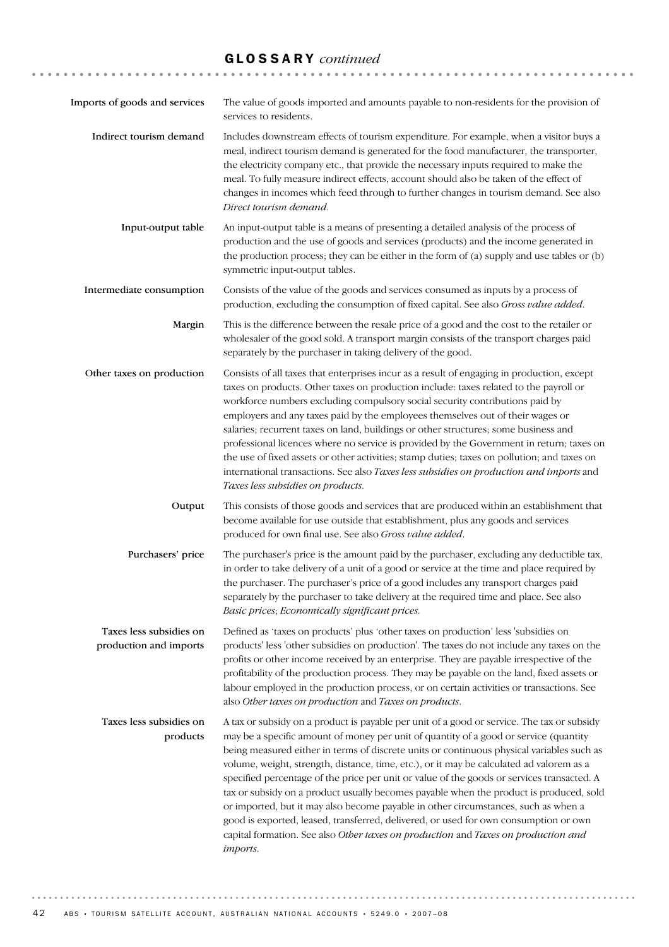| Imports of goods and services                     | The value of goods imported and amounts payable to non-residents for the provision of<br>services to residents.                                                                                                                                                                                                                                                                                                                                                                                                                                                                                                                                                                                                                                                                                                                                     |
|---------------------------------------------------|-----------------------------------------------------------------------------------------------------------------------------------------------------------------------------------------------------------------------------------------------------------------------------------------------------------------------------------------------------------------------------------------------------------------------------------------------------------------------------------------------------------------------------------------------------------------------------------------------------------------------------------------------------------------------------------------------------------------------------------------------------------------------------------------------------------------------------------------------------|
| Indirect tourism demand                           | Includes downstream effects of tourism expenditure. For example, when a visitor buys a<br>meal, indirect tourism demand is generated for the food manufacturer, the transporter,<br>the electricity company etc., that provide the necessary inputs required to make the<br>meal. To fully measure indirect effects, account should also be taken of the effect of<br>changes in incomes which feed through to further changes in tourism demand. See also<br>Direct tourism demand.                                                                                                                                                                                                                                                                                                                                                                |
| Input-output table                                | An input-output table is a means of presenting a detailed analysis of the process of<br>production and the use of goods and services (products) and the income generated in<br>the production process; they can be either in the form of (a) supply and use tables or (b)<br>symmetric input-output tables.                                                                                                                                                                                                                                                                                                                                                                                                                                                                                                                                         |
| Intermediate consumption                          | Consists of the value of the goods and services consumed as inputs by a process of<br>production, excluding the consumption of fixed capital. See also Gross value added.                                                                                                                                                                                                                                                                                                                                                                                                                                                                                                                                                                                                                                                                           |
| Margin                                            | This is the difference between the resale price of a good and the cost to the retailer or<br>wholesaler of the good sold. A transport margin consists of the transport charges paid<br>separately by the purchaser in taking delivery of the good.                                                                                                                                                                                                                                                                                                                                                                                                                                                                                                                                                                                                  |
| Other taxes on production                         | Consists of all taxes that enterprises incur as a result of engaging in production, except<br>taxes on products. Other taxes on production include: taxes related to the payroll or<br>workforce numbers excluding compulsory social security contributions paid by<br>employers and any taxes paid by the employees themselves out of their wages or<br>salaries; recurrent taxes on land, buildings or other structures; some business and<br>professional licences where no service is provided by the Government in return; taxes on<br>the use of fixed assets or other activities; stamp duties; taxes on pollution; and taxes on<br>international transactions. See also Taxes less subsidies on production and imports and<br>Taxes less subsidies on products.                                                                             |
| Output                                            | This consists of those goods and services that are produced within an establishment that<br>become available for use outside that establishment, plus any goods and services<br>produced for own final use. See also Gross value added.                                                                                                                                                                                                                                                                                                                                                                                                                                                                                                                                                                                                             |
| Purchasers' price                                 | The purchaser's price is the amount paid by the purchaser, excluding any deductible tax,<br>in order to take delivery of a unit of a good or service at the time and place required by<br>the purchaser. The purchaser's price of a good includes any transport charges paid<br>separately by the purchaser to take delivery at the required time and place. See also<br>Basic prices; Economically significant prices.                                                                                                                                                                                                                                                                                                                                                                                                                             |
| Taxes less subsidies on<br>production and imports | Defined as 'taxes on products' plus 'other taxes on production' less 'subsidies on<br>products' less 'other subsidies on production'. The taxes do not include any taxes on the<br>profits or other income received by an enterprise. They are payable irrespective of the<br>profitability of the production process. They may be payable on the land, fixed assets or<br>labour employed in the production process, or on certain activities or transactions. See<br>also Other taxes on production and Taxes on products.                                                                                                                                                                                                                                                                                                                        |
| Taxes less subsidies on<br>products               | A tax or subsidy on a product is payable per unit of a good or service. The tax or subsidy<br>may be a specific amount of money per unit of quantity of a good or service (quantity<br>being measured either in terms of discrete units or continuous physical variables such as<br>volume, weight, strength, distance, time, etc.), or it may be calculated ad valorem as a<br>specified percentage of the price per unit or value of the goods or services transacted. A<br>tax or subsidy on a product usually becomes payable when the product is produced, sold<br>or imported, but it may also become payable in other circumstances, such as when a<br>good is exported, leased, transferred, delivered, or used for own consumption or own<br>capital formation. See also Other taxes on production and Taxes on production and<br>imports. |

42 ABS • TOURISM SATELLITE ACCOUNT, AUSTRALIAN NATIONAL ACCOUNTS • 5249.0 • 2007-08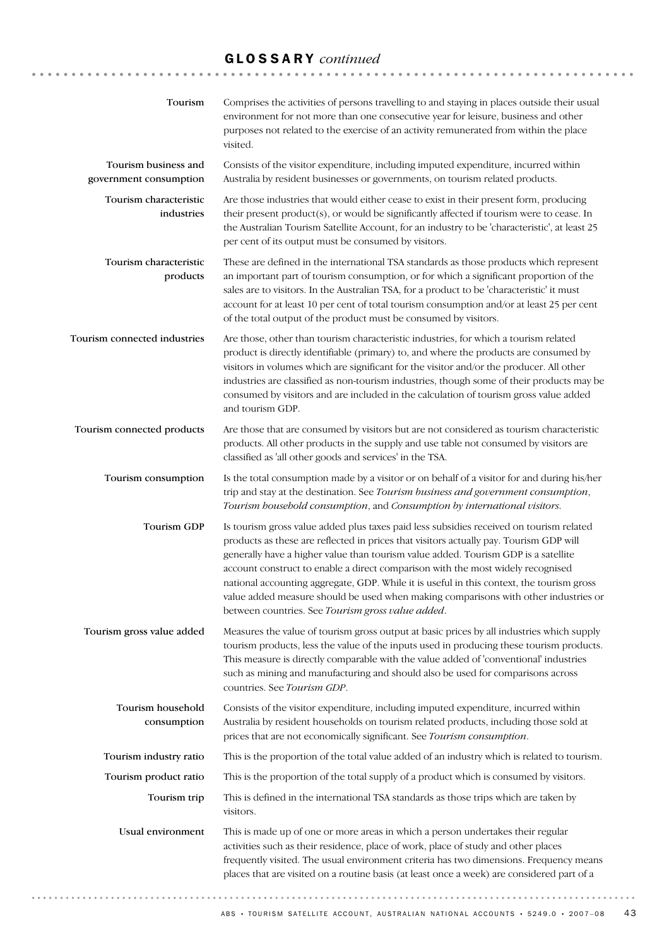| Tourism                                        | Comprises the activities of persons travelling to and staying in places outside their usual<br>environment for not more than one consecutive year for leisure, business and other<br>purposes not related to the exercise of an activity remunerated from within the place<br>visited.                                                                                                                                                                                                                                                                                                              |
|------------------------------------------------|-----------------------------------------------------------------------------------------------------------------------------------------------------------------------------------------------------------------------------------------------------------------------------------------------------------------------------------------------------------------------------------------------------------------------------------------------------------------------------------------------------------------------------------------------------------------------------------------------------|
| Tourism business and<br>government consumption | Consists of the visitor expenditure, including imputed expenditure, incurred within<br>Australia by resident businesses or governments, on tourism related products.                                                                                                                                                                                                                                                                                                                                                                                                                                |
| Tourism characteristic<br>industries           | Are those industries that would either cease to exist in their present form, producing<br>their present product(s), or would be significantly affected if tourism were to cease. In<br>the Australian Tourism Satellite Account, for an industry to be 'characteristic', at least 25<br>per cent of its output must be consumed by visitors.                                                                                                                                                                                                                                                        |
| Tourism characteristic<br>products             | These are defined in the international TSA standards as those products which represent<br>an important part of tourism consumption, or for which a significant proportion of the<br>sales are to visitors. In the Australian TSA, for a product to be 'characteristic' it must<br>account for at least 10 per cent of total tourism consumption and/or at least 25 per cent<br>of the total output of the product must be consumed by visitors.                                                                                                                                                     |
| Tourism connected industries                   | Are those, other than tourism characteristic industries, for which a tourism related<br>product is directly identifiable (primary) to, and where the products are consumed by<br>visitors in volumes which are significant for the visitor and/or the producer. All other<br>industries are classified as non-tourism industries, though some of their products may be<br>consumed by visitors and are included in the calculation of tourism gross value added<br>and tourism GDP.                                                                                                                 |
| Tourism connected products                     | Are those that are consumed by visitors but are not considered as tourism characteristic<br>products. All other products in the supply and use table not consumed by visitors are<br>classified as 'all other goods and services' in the TSA.                                                                                                                                                                                                                                                                                                                                                       |
| Tourism consumption                            | Is the total consumption made by a visitor or on behalf of a visitor for and during his/her<br>trip and stay at the destination. See Tourism business and government consumption,<br>Tourism bousebold consumption, and Consumption by international visitors.                                                                                                                                                                                                                                                                                                                                      |
| <b>Tourism GDP</b>                             | Is tourism gross value added plus taxes paid less subsidies received on tourism related<br>products as these are reflected in prices that visitors actually pay. Tourism GDP will<br>generally have a higher value than tourism value added. Tourism GDP is a satellite<br>account construct to enable a direct comparison with the most widely recognised<br>national accounting aggregate, GDP. While it is useful in this context, the tourism gross<br>value added measure should be used when making comparisons with other industries or<br>between countries. See Tourism gross value added. |
| Tourism gross value added                      | Measures the value of tourism gross output at basic prices by all industries which supply<br>tourism products, less the value of the inputs used in producing these tourism products.<br>This measure is directly comparable with the value added of 'conventional' industries<br>such as mining and manufacturing and should also be used for comparisons across<br>countries. See Tourism GDP.                                                                                                                                                                                                    |
| Tourism household<br>consumption               | Consists of the visitor expenditure, including imputed expenditure, incurred within<br>Australia by resident households on tourism related products, including those sold at<br>prices that are not economically significant. See Tourism consumption.                                                                                                                                                                                                                                                                                                                                              |
| Tourism industry ratio                         | This is the proportion of the total value added of an industry which is related to tourism.                                                                                                                                                                                                                                                                                                                                                                                                                                                                                                         |
| Tourism product ratio                          | This is the proportion of the total supply of a product which is consumed by visitors.                                                                                                                                                                                                                                                                                                                                                                                                                                                                                                              |
| Tourism trip                                   | This is defined in the international TSA standards as those trips which are taken by<br>visitors.                                                                                                                                                                                                                                                                                                                                                                                                                                                                                                   |
| Usual environment                              | This is made up of one or more areas in which a person undertakes their regular<br>activities such as their residence, place of work, place of study and other places<br>frequently visited. The usual environment criteria has two dimensions. Frequency means<br>places that are visited on a routine basis (at least once a week) are considered part of a                                                                                                                                                                                                                                       |
|                                                |                                                                                                                                                                                                                                                                                                                                                                                                                                                                                                                                                                                                     |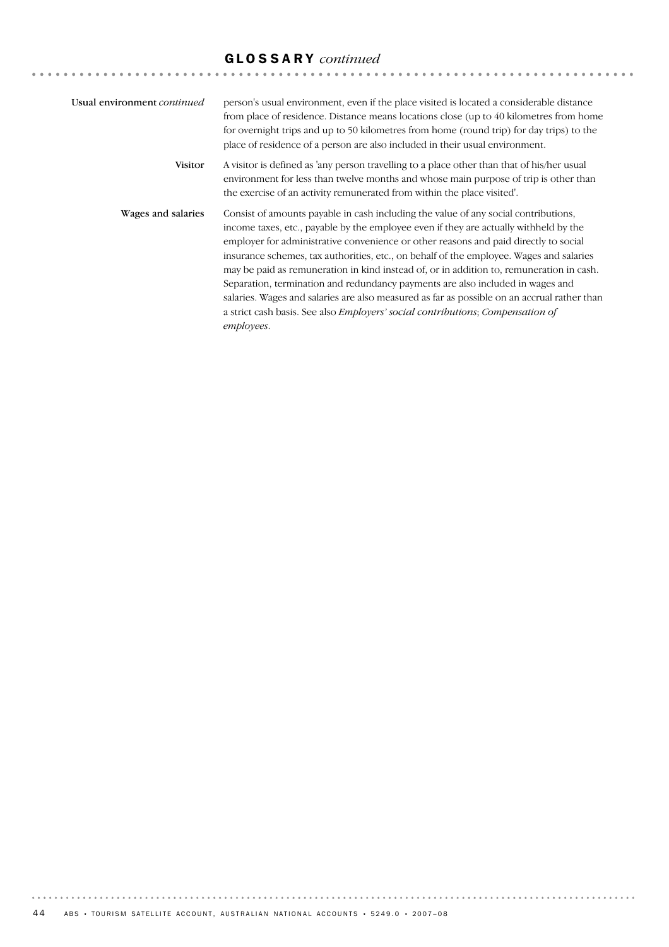| Usual environment continued | person's usual environment, even if the place visited is located a considerable distance<br>from place of residence. Distance means locations close (up to 40 kilometres from home<br>for overnight trips and up to 50 kilometres from home (round trip) for day trips) to the<br>place of residence of a person are also included in their usual environment.                                                                                                                                                                                                                                                                                                                                                                                                     |
|-----------------------------|--------------------------------------------------------------------------------------------------------------------------------------------------------------------------------------------------------------------------------------------------------------------------------------------------------------------------------------------------------------------------------------------------------------------------------------------------------------------------------------------------------------------------------------------------------------------------------------------------------------------------------------------------------------------------------------------------------------------------------------------------------------------|
| <b>Visitor</b>              | A visitor is defined as 'any person travelling to a place other than that of his/her usual<br>environment for less than twelve months and whose main purpose of trip is other than<br>the exercise of an activity remunerated from within the place visited'.                                                                                                                                                                                                                                                                                                                                                                                                                                                                                                      |
| Wages and salaries          | Consist of amounts payable in cash including the value of any social contributions,<br>income taxes, etc., payable by the employee even if they are actually withheld by the<br>employer for administrative convenience or other reasons and paid directly to social<br>insurance schemes, tax authorities, etc., on behalf of the employee. Wages and salaries<br>may be paid as remuneration in kind instead of, or in addition to, remuneration in cash.<br>Separation, termination and redundancy payments are also included in wages and<br>salaries. Wages and salaries are also measured as far as possible on an accrual rather than<br>a strict cash basis. See also <i>Employers' social contributions</i> ; <i>Compensation of</i><br><i>employees.</i> |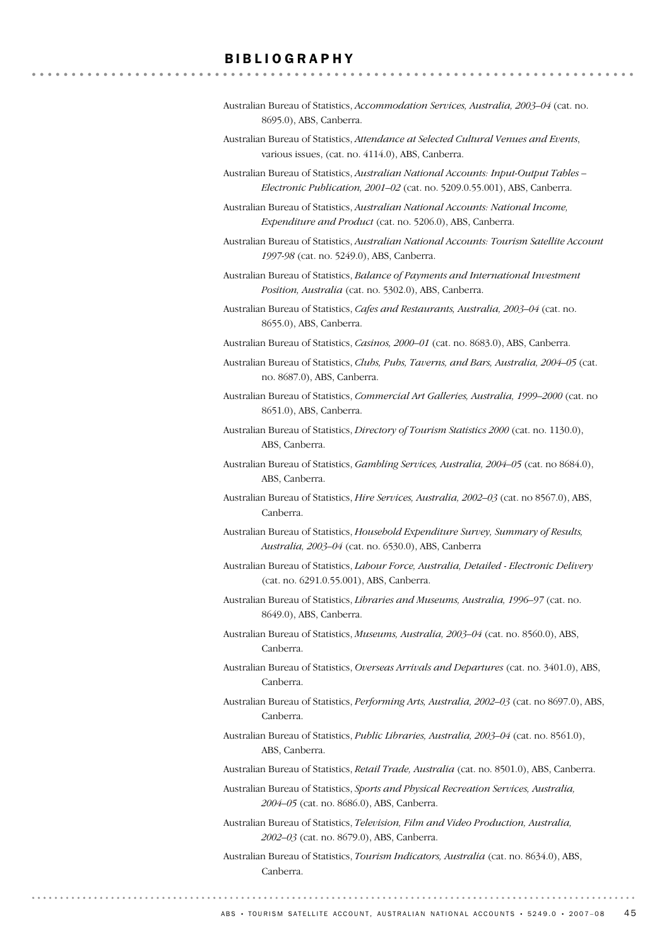#### BIBLIOGRAPHY

. . . . . . . . . . . . . . . .

|                         | Australian Bureau of Statistics, <i>Accommodation Services, Australia, 2003–04</i> (cat. no. |
|-------------------------|----------------------------------------------------------------------------------------------|
| 8695.0), ABS, Canberra. |                                                                                              |

- Australian Bureau of Statistics, *Attendance at Selected Cultural Venues and Events*, various issues, (cat. no. 4114.0), ABS, Canberra.
- Australian Bureau of Statistics, *Australian National Accounts: Input-Output Tables – Electronic Publication, 2001–02* (cat. no. 5209.0.55.001), ABS, Canberra.
- Australian Bureau of Statistics, *Australian National Accounts: National Income, Expenditure and Product* (cat. no. 5206.0), ABS, Canberra.
- Australian Bureau of Statistics, *Australian National Accounts: Tourism Satellite Account 1997-98* (cat. no. 5249.0), ABS, Canberra.
- Australian Bureau of Statistics, *Balance of Payments and International Investment Position, Australia* (cat. no. 5302.0), ABS, Canberra.
- Australian Bureau of Statistics, *Cafes and Restaurants, Australia, 2003–04* (cat. no. 8655.0), ABS, Canberra.
- Australian Bureau of Statistics, *Casinos, 2000–01* (cat. no. 8683.0), ABS, Canberra.
- Australian Bureau of Statistics, *Clubs, Pubs, Taverns, and Bars, Australia, 2004–05* (cat. no. 8687.0), ABS, Canberra.
- Australian Bureau of Statistics, *Commercial Art Galleries, Australia, 1999–2000* (cat. no 8651.0), ABS, Canberra.
- Australian Bureau of Statistics, *Directory of Tourism Statistics 2000* (cat. no. 1130.0), ABS, Canberra.
- Australian Bureau of Statistics, *Gambling Services, Australia, 2004–05* (cat. no 8684.0), ABS, Canberra.
- Australian Bureau of Statistics, *Hire Services, Australia, 2002–03* (cat. no 8567.0), ABS, Canberra.
- Australian Bureau of Statistics, *Household Expenditure Survey, Summary of Results, Australia, 2003–04* (cat. no. 6530.0), ABS, Canberra
- Australian Bureau of Statistics, *Labour Force, Australia, Detailed Electronic Delivery* (cat. no. 6291.0.55.001), ABS, Canberra.
- Australian Bureau of Statistics, *Libraries and Museums, Australia, 1996–97* (cat. no. 8649.0), ABS, Canberra.
- Australian Bureau of Statistics, *Museums, Australia, 2003–04* (cat. no. 8560.0), ABS, Canberra.
- Australian Bureau of Statistics, *Overseas Arrivals and Departures* (cat. no. 3401.0), ABS, Canberra.
- Australian Bureau of Statistics, *Performing Arts, Australia, 2002–03* (cat. no 8697.0), ABS, Canberra.
- Australian Bureau of Statistics, *Public Libraries, Australia, 2003–04* (cat. no. 8561.0), ABS, Canberra.
- Australian Bureau of Statistics, *Retail Trade, Australia* (cat. no. 8501.0), ABS, Canberra.
- Australian Bureau of Statistics, *Sports and Physical Recreation Services, Australia, 2004–05* (cat. no. 8686.0), ABS, Canberra.
- Australian Bureau of Statistics, *Television, Film and Video Production, Australia, 2002–03* (cat. no. 8679.0), ABS, Canberra.
- Australian Bureau of Statistics, *Tourism Indicators, Australia* (cat. no. 8634.0), ABS, Canberra.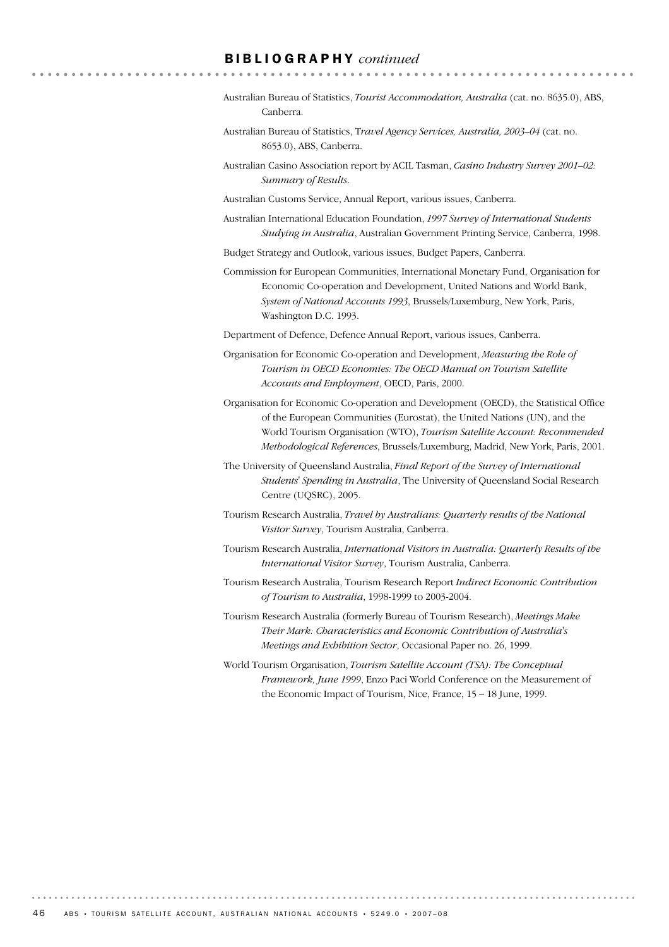#### BIBLIOGRAPHY *continued*

- Australian Bureau of Statistics, *Tourist Accommodation, Australia* (cat. no. 8635.0), ABS, Canberra.
- Australian Bureau of Statistics, T*ravel Agency Services, Australia, 2003–04* (cat. no. 8653.0), ABS, Canberra.
- Australian Casino Association report by ACIL Tasman, *Casino Industry Survey 2001–02: Summary of Results*.
- Australian Customs Service, Annual Report, various issues, Canberra.
- Australian International Education Foundation, *1997 Survey of International Students Studying in Australia*, Australian Government Printing Service, Canberra, 1998.
- Budget Strategy and Outlook, various issues, Budget Papers, Canberra.
- Commission for European Communities, International Monetary Fund, Organisation for Economic Co-operation and Development, United Nations and World Bank, *System of National Accounts 1993*, Brussels/Luxemburg, New York, Paris, Washington D.C. 1993.
- Department of Defence, Defence Annual Report, various issues, Canberra.
- Organisation for Economic Co-operation and Development, *Measuring the Role of Tourism in OECD Economies: The OECD Manual on Tourism Satellite Accounts and Employment*, OECD, Paris, 2000.
- Organisation for Economic Co-operation and Development (OECD), the Statistical Office of the European Communities (Eurostat), the United Nations (UN), and the World Tourism Organisation (WTO), *Tourism Satellite Account: Recommended Methodological References*, Brussels/Luxemburg, Madrid, New York, Paris, 2001.
- The University of Queensland Australia, *Final Report of the Survey of International Students' Spending in Australia*, The University of Queensland Social Research Centre (UQSRC), 2005.
- Tourism Research Australia, *Travel by Australians: Quarterly results of the National Visitor Survey*, Tourism Australia, Canberra.
- Tourism Research Australia, *International Visitors in Australia: Quarterly Results of the International Visitor Survey*, Tourism Australia, Canberra.
- Tourism Research Australia, Tourism Research Report *Indirect Economic Contribution of Tourism to Australia*, 1998-1999 to 2003-2004.
- Tourism Research Australia (formerly Bureau of Tourism Research), *Meetings Make Their Mark: Characteristics and Economic Contribution of Australia's Meetings and Exhibition Sector*, Occasional Paper no. 26, 1999.
- World Tourism Organisation, *Tourism Satellite Account (TSA): The Conceptual Framework, June 1999*, Enzo Paci World Conference on the Measurement of the Economic Impact of Tourism, Nice, France, 15 – 18 June, 1999.